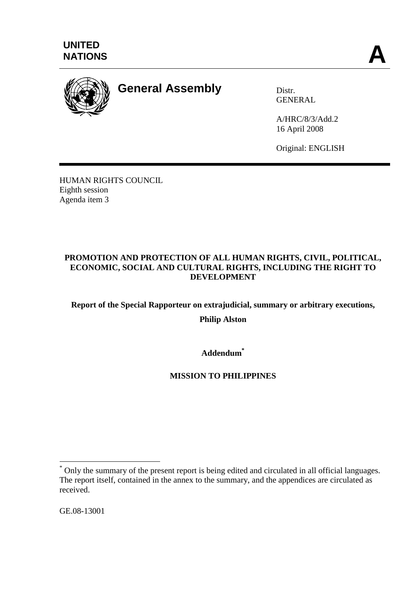



# **General Assembly** Distr.

**GENERAL** 

A/HRC/8/3/Add.2 16 April 2008

Original: ENGLISH

HUMAN RIGHTS COUNCIL Eighth session Agenda item 3

## **PROMOTION AND PROTECTION OF ALL HUMAN RIGHTS, CIVIL, POLITICAL, ECONOMIC, SOCIAL AND CULTURAL RIGHTS, INCLUDING THE RIGHT TO DEVELOPMENT**

**Report of the Special Rapporteur on extrajudicial, summary or arbitrary executions,** 

**Philip Alston** 

**Addendum\***

# **MISSION TO PHILIPPINES**

GE.08-13001

 $\overline{a}$ 

<sup>\*</sup> Only the summary of the present report is being edited and circulated in all official languages. The report itself, contained in the annex to the summary, and the appendices are circulated as received.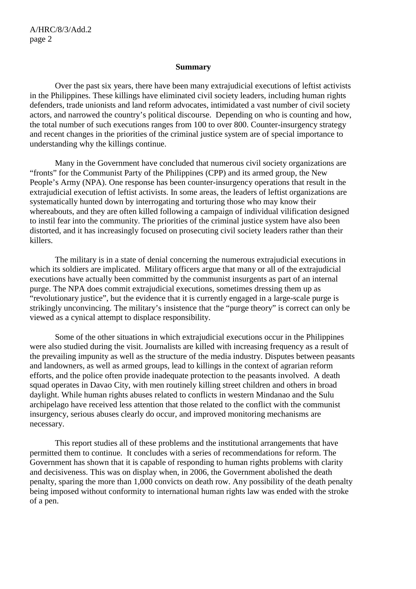#### **Summary**

Over the past six years, there have been many extrajudicial executions of leftist activists in the Philippines. These killings have eliminated civil society leaders, including human rights defenders, trade unionists and land reform advocates, intimidated a vast number of civil society actors, and narrowed the country's political discourse. Depending on who is counting and how, the total number of such executions ranges from 100 to over 800. Counter-insurgency strategy and recent changes in the priorities of the criminal justice system are of special importance to understanding why the killings continue.

Many in the Government have concluded that numerous civil society organizations are "fronts" for the Communist Party of the Philippines (CPP) and its armed group, the New People's Army (NPA). One response has been counter-insurgency operations that result in the extrajudicial execution of leftist activists. In some areas, the leaders of leftist organizations are systematically hunted down by interrogating and torturing those who may know their whereabouts, and they are often killed following a campaign of individual vilification designed to instil fear into the community. The priorities of the criminal justice system have also been distorted, and it has increasingly focused on prosecuting civil society leaders rather than their killers.

The military is in a state of denial concerning the numerous extrajudicial executions in which its soldiers are implicated. Military officers argue that many or all of the extrajudicial executions have actually been committed by the communist insurgents as part of an internal purge. The NPA does commit extrajudicial executions, sometimes dressing them up as "revolutionary justice", but the evidence that it is currently engaged in a large-scale purge is strikingly unconvincing. The military's insistence that the "purge theory" is correct can only be viewed as a cynical attempt to displace responsibility.

Some of the other situations in which extrajudicial executions occur in the Philippines were also studied during the visit. Journalists are killed with increasing frequency as a result of the prevailing impunity as well as the structure of the media industry. Disputes between peasants and landowners, as well as armed groups, lead to killings in the context of agrarian reform efforts, and the police often provide inadequate protection to the peasants involved. A death squad operates in Davao City, with men routinely killing street children and others in broad daylight. While human rights abuses related to conflicts in western Mindanao and the Sulu archipelago have received less attention that those related to the conflict with the communist insurgency, serious abuses clearly do occur, and improved monitoring mechanisms are necessary.

This report studies all of these problems and the institutional arrangements that have permitted them to continue. It concludes with a series of recommendations for reform. The Government has shown that it is capable of responding to human rights problems with clarity and decisiveness. This was on display when, in 2006, the Government abolished the death penalty, sparing the more than 1,000 convicts on death row. Any possibility of the death penalty being imposed without conformity to international human rights law was ended with the stroke of a pen.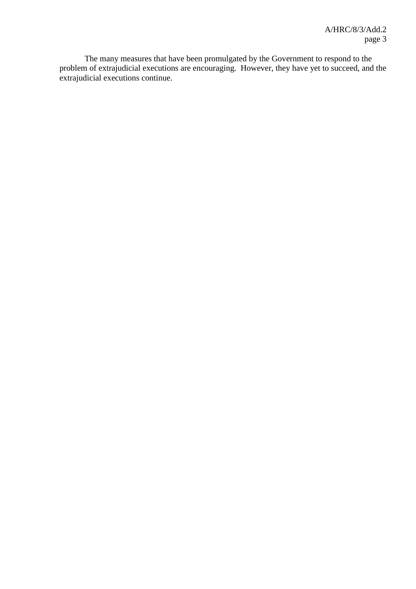The many measures that have been promulgated by the Government to respond to the problem of extrajudicial executions are encouraging. However, they have yet to succeed, and the extrajudicial executions continue.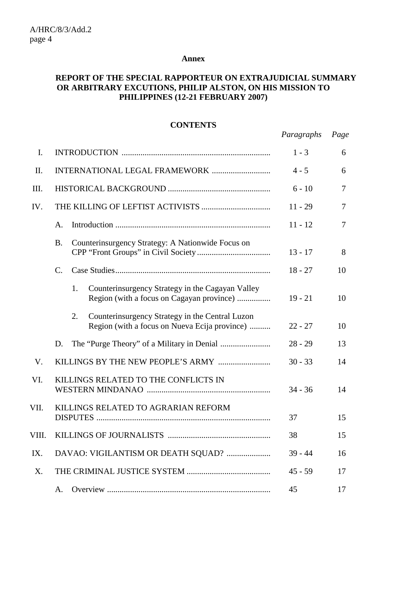#### **Annex**

## **REPORT OF THE SPECIAL RAPPORTEUR ON EXTRAJUDICIAL SUMMARY OR ARBITRARY EXCUTIONS, PHILIP ALSTON, ON HIS MISSION TO PHILIPPINES (12-21 FEBRUARY 2007)**

#### **CONTENTS**

|       |                                                                                                        | Paragraphs | Page           |
|-------|--------------------------------------------------------------------------------------------------------|------------|----------------|
| I.    |                                                                                                        | $1 - 3$    | 6              |
| II.   |                                                                                                        | $4 - 5$    | 6              |
| III.  |                                                                                                        | $6 - 10$   | $\overline{7}$ |
| IV.   |                                                                                                        | $11 - 29$  | $\overline{7}$ |
|       | A.                                                                                                     | $11 - 12$  | $\overline{7}$ |
|       | <b>B.</b><br>Counterinsurgency Strategy: A Nationwide Focus on                                         | $13 - 17$  | 8              |
|       | $C_{\cdot}$                                                                                            | $18 - 27$  | 10             |
|       | Counterinsurgency Strategy in the Cagayan Valley<br>1.<br>Region (with a focus on Cagayan province)    | $19 - 21$  | 10             |
|       | Counterinsurgency Strategy in the Central Luzon<br>2.<br>Region (with a focus on Nueva Ecija province) | $22 - 27$  | 10             |
|       | D.                                                                                                     | $28 - 29$  | 13             |
| V.    |                                                                                                        | $30 - 33$  | 14             |
| VI.   | KILLINGS RELATED TO THE CONFLICTS IN                                                                   | $34 - 36$  | 14             |
| VII.  | KILLINGS RELATED TO AGRARIAN REFORM                                                                    | 37         | 15             |
| VIII. |                                                                                                        | 38         | 15             |
| IX.   | DAVAO: VIGILANTISM OR DEATH SQUAD?                                                                     | $39 - 44$  | 16             |
| X.    |                                                                                                        | $45 - 59$  | 17             |
|       | A.                                                                                                     | 45         | 17             |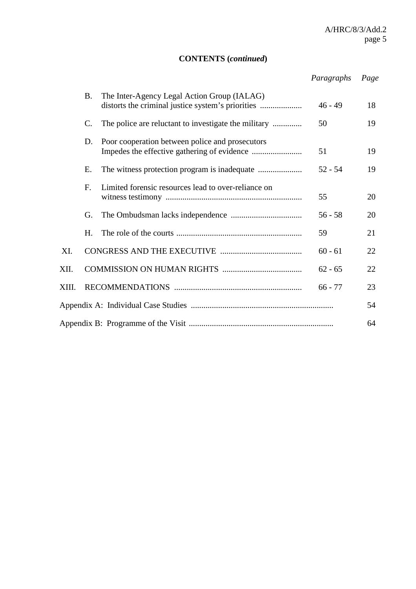# **CONTENTS (***continued***)**

|       |           |                                                      | Paragraphs | Page |
|-------|-----------|------------------------------------------------------|------------|------|
|       | <b>B.</b> | The Inter-Agency Legal Action Group (IALAG)          | $46 - 49$  | 18   |
|       | C.        | The police are reluctant to investigate the military | 50         | 19   |
|       | D.        | Poor cooperation between police and prosecutors      | 51         | 19   |
|       | Е.        |                                                      | $52 - 54$  | 19   |
|       | F.        | Limited forensic resources lead to over-reliance on  | 55         | 20   |
|       | G.        |                                                      | $56 - 58$  | 20   |
|       | H.        |                                                      | 59         | 21   |
| XI.   |           |                                                      | $60 - 61$  | 22   |
| XII.  |           |                                                      | $62 - 65$  | 22   |
| XIII. |           |                                                      | $66 - 77$  | 23   |
|       |           |                                                      |            | 54   |
|       |           |                                                      |            | 64   |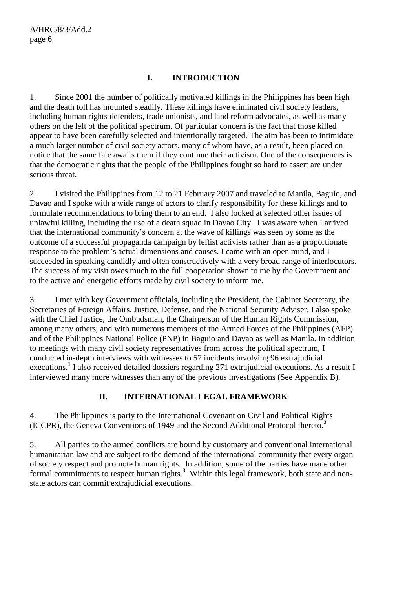## **I. INTRODUCTION**

1. Since 2001 the number of politically motivated killings in the Philippines has been high and the death toll has mounted steadily. These killings have eliminated civil society leaders, including human rights defenders, trade unionists, and land reform advocates, as well as many others on the left of the political spectrum. Of particular concern is the fact that those killed appear to have been carefully selected and intentionally targeted. The aim has been to intimidate a much larger number of civil society actors, many of whom have, as a result, been placed on notice that the same fate awaits them if they continue their activism. One of the consequences is that the democratic rights that the people of the Philippines fought so hard to assert are under serious threat.

2. I visited the Philippines from 12 to 21 February 2007 and traveled to Manila, Baguio, and Davao and I spoke with a wide range of actors to clarify responsibility for these killings and to formulate recommendations to bring them to an end. I also looked at selected other issues of unlawful killing, including the use of a death squad in Davao City. I was aware when I arrived that the international community's concern at the wave of killings was seen by some as the outcome of a successful propaganda campaign by leftist activists rather than as a proportionate response to the problem's actual dimensions and causes. I came with an open mind, and I succeeded in speaking candidly and often constructively with a very broad range of interlocutors. The success of my visit owes much to the full cooperation shown to me by the Government and to the active and energetic efforts made by civil society to inform me.

3. I met with key Government officials, including the President, the Cabinet Secretary, the Secretaries of Foreign Affairs, Justice, Defense, and the National Security Adviser. I also spoke with the Chief Justice, the Ombudsman, the Chairperson of the Human Rights Commission, among many others, and with numerous members of the Armed Forces of the Philippines (AFP) and of the Philippines National Police (PNP) in Baguio and Davao as well as Manila. In addition to meetings with many civil society representatives from across the political spectrum, I conducted in-depth interviews with witnesses to 57 incidents involving 96 extrajudicial executions.<sup>1</sup> I also received detailed dossiers regarding 271 extrajudicial executions. As a result I interviewed many more witnesses than any of the previous investigations (See Appendix B).

# **II. INTERNATIONAL LEGAL FRAMEWORK**

4. The Philippines is party to the International Covenant on Civil and Political Rights (ICCPR), the Geneva Conventions of 1949 and the Second Additional Protocol thereto.**<sup>2</sup>**

5. All parties to the armed conflicts are bound by customary and conventional international humanitarian law and are subject to the demand of the international community that every organ of society respect and promote human rights. In addition, some of the parties have made other formal commitments to respect human rights.<sup>3</sup> Within this legal framework, both state and nonstate actors can commit extrajudicial executions.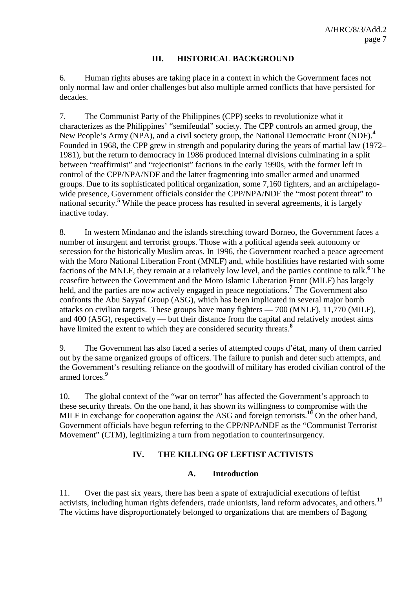#### **III. HISTORICAL BACKGROUND**

6. Human rights abuses are taking place in a context in which the Government faces not only normal law and order challenges but also multiple armed conflicts that have persisted for decades.

7. The Communist Party of the Philippines (CPP) seeks to revolutionize what it characterizes as the Philippines' "semifeudal" society. The CPP controls an armed group, the New People's Army (NPA), and a civil society group, the National Democratic Front (NDF).**<sup>4</sup>** Founded in 1968, the CPP grew in strength and popularity during the years of martial law (1972– 1981), but the return to democracy in 1986 produced internal divisions culminating in a split between "reaffirmist" and "rejectionist" factions in the early 1990s, with the former left in control of the CPP/NPA/NDF and the latter fragmenting into smaller armed and unarmed groups. Due to its sophisticated political organization, some 7,160 fighters, and an archipelagowide presence, Government officials consider the CPP/NPA/NDF the "most potent threat" to national security.**<sup>5</sup>** While the peace process has resulted in several agreements, it is largely inactive today.

8. In western Mindanao and the islands stretching toward Borneo, the Government faces a number of insurgent and terrorist groups. Those with a political agenda seek autonomy or secession for the historically Muslim areas. In 1996, the Government reached a peace agreement with the Moro National Liberation Front (MNLF) and, while hostilities have restarted with some factions of the MNLF, they remain at a relatively low level, and the parties continue to talk.**<sup>6</sup>** The ceasefire between the Government and the Moro Islamic Liberation Front (MILF) has largely held, and the parties are now actively engaged in peace negotiations.**<sup>7</sup>** The Government also confronts the Abu Sayyaf Group (ASG), which has been implicated in several major bomb attacks on civilian targets. These groups have many fighters — 700 (MNLF), 11,770 (MILF), and 400 (ASG), respectively — but their distance from the capital and relatively modest aims have limited the extent to which they are considered security threats.**<sup>8</sup>**

9. The Government has also faced a series of attempted coups d'état, many of them carried out by the same organized groups of officers. The failure to punish and deter such attempts, and the Government's resulting reliance on the goodwill of military has eroded civilian control of the armed forces.**<sup>9</sup>**

10. The global context of the "war on terror" has affected the Government's approach to these security threats. On the one hand, it has shown its willingness to compromise with the MILF in exchange for cooperation against the ASG and foreign terrorists.<sup>10</sup> On the other hand, Government officials have begun referring to the CPP/NPA/NDF as the "Communist Terrorist Movement" (CTM), legitimizing a turn from negotiation to counterinsurgency.

## **IV. THE KILLING OF LEFTIST ACTIVISTS**

#### **A. Introduction**

11. Over the past six years, there has been a spate of extrajudicial executions of leftist activists, including human rights defenders, trade unionists, land reform advocates, and others.**<sup>11</sup>** The victims have disproportionately belonged to organizations that are members of Bagong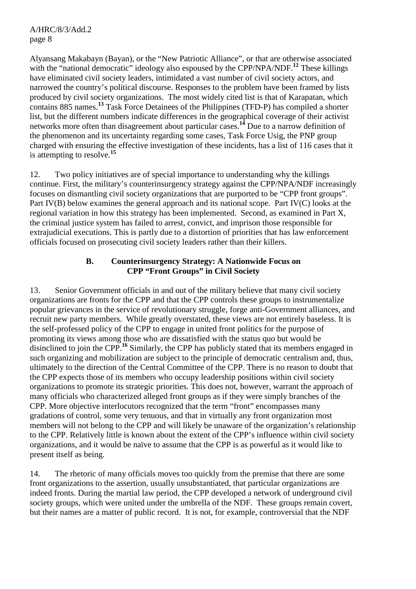Alyansang Makabayn (Bayan), or the "New Patriotic Alliance", or that are otherwise associated with the "national democratic" ideology also espoused by the CPP/NPA/NDF.<sup>12</sup> These killings have eliminated civil society leaders, intimidated a vast number of civil society actors, and narrowed the country's political discourse. Responses to the problem have been framed by lists produced by civil society organizations. The most widely cited list is that of Karapatan, which contains 885 names.**<sup>13</sup>** Task Force Detainees of the Philippines (TFD-P) has compiled a shorter list, but the different numbers indicate differences in the geographical coverage of their activist networks more often than disagreement about particular cases.**<sup>14</sup>** Due to a narrow definition of the phenomenon and its uncertainty regarding some cases, Task Force Usig, the PNP group charged with ensuring the effective investigation of these incidents, has a list of 116 cases that it is attempting to resolve.**<sup>15</sup>**

12. Two policy initiatives are of special importance to understanding why the killings continue. First, the military's counterinsurgency strategy against the CPP/NPA/NDF increasingly focuses on dismantling civil society organizations that are purported to be "CPP front groups". Part IV(B) below examines the general approach and its national scope. Part IV(C) looks at the regional variation in how this strategy has been implemented. Second, as examined in Part X, the criminal justice system has failed to arrest, convict, and imprison those responsible for extrajudicial executions. This is partly due to a distortion of priorities that has law enforcement officials focused on prosecuting civil society leaders rather than their killers.

#### **B. Counterinsurgency Strategy: A Nationwide Focus on CPP "Front Groups" in Civil Society**

13. Senior Government officials in and out of the military believe that many civil society organizations are fronts for the CPP and that the CPP controls these groups to instrumentalize popular grievances in the service of revolutionary struggle, forge anti-Government alliances, and recruit new party members. While greatly overstated, these views are not entirely baseless. It is the self-professed policy of the CPP to engage in united front politics for the purpose of promoting its views among those who are dissatisfied with the status quo but would be disinclined to join the CPP.**<sup>16</sup>** Similarly, the CPP has publicly stated that its members engaged in such organizing and mobilization are subject to the principle of democratic centralism and, thus, ultimately to the direction of the Central Committee of the CPP. There is no reason to doubt that the CPP expects those of its members who occupy leadership positions within civil society organizations to promote its strategic priorities. This does not, however, warrant the approach of many officials who characterized alleged front groups as if they were simply branches of the CPP. More objective interlocutors recognized that the term "front" encompasses many gradations of control, some very tenuous, and that in virtually any front organization most members will not belong to the CPP and will likely be unaware of the organization's relationship to the CPP. Relatively little is known about the extent of the CPP's influence within civil society organizations, and it would be naïve to assume that the CPP is as powerful as it would like to present itself as being.

14. The rhetoric of many officials moves too quickly from the premise that there are some front organizations to the assertion, usually unsubstantiated, that particular organizations are indeed fronts. During the martial law period, the CPP developed a network of underground civil society groups, which were united under the umbrella of the NDF. These groups remain covert, but their names are a matter of public record. It is not, for example, controversial that the NDF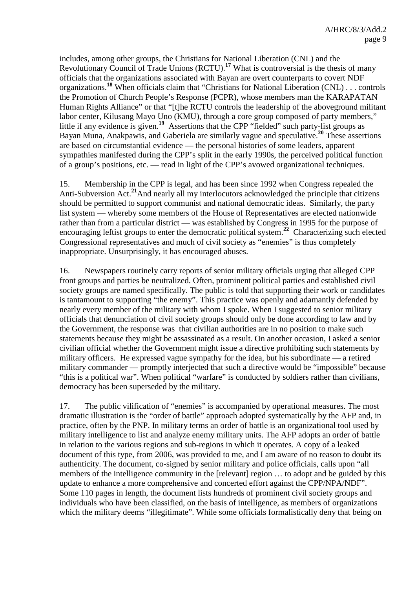includes, among other groups, the Christians for National Liberation (CNL) and the Revolutionary Council of Trade Unions (RCTU).**<sup>17</sup>** What is controversial is the thesis of many officials that the organizations associated with Bayan are overt counterparts to covert NDF organizations.**<sup>18</sup>** When officials claim that "Christians for National Liberation (CNL) . . . controls the Promotion of Church People's Response (PCPR), whose members man the KARAPATAN Human Rights Alliance" or that "[t]he RCTU controls the leadership of the aboveground militant labor center, Kilusang Mayo Uno (KMU), through a core group composed of party members," little if any evidence is given.**<sup>19</sup>** Assertions that the CPP "fielded" such party-list groups as Bayan Muna, Anakpawis, and Gaberiela are similarly vague and speculative.**<sup>20</sup>** These assertions are based on circumstantial evidence — the personal histories of some leaders, apparent sympathies manifested during the CPP's split in the early 1990s, the perceived political function of a group's positions, etc. — read in light of the CPP's avowed organizational techniques.

15. Membership in the CPP is legal, and has been since 1992 when Congress repealed the Anti-Subversion Act.**<sup>21</sup>**And nearly all my interlocutors acknowledged the principle that citizens should be permitted to support communist and national democratic ideas. Similarly, the party list system — whereby some members of the House of Representatives are elected nationwide rather than from a particular district — was established by Congress in 1995 for the purpose of encouraging leftist groups to enter the democratic political system.**<sup>22</sup>** Characterizing such elected Congressional representatives and much of civil society as "enemies" is thus completely inappropriate. Unsurprisingly, it has encouraged abuses.

16. Newspapers routinely carry reports of senior military officials urging that alleged CPP front groups and parties be neutralized. Often, prominent political parties and established civil society groups are named specifically. The public is told that supporting their work or candidates is tantamount to supporting "the enemy". This practice was openly and adamantly defended by nearly every member of the military with whom I spoke. When I suggested to senior military officials that denunciation of civil society groups should only be done according to law and by the Government, the response was that civilian authorities are in no position to make such statements because they might be assassinated as a result. On another occasion, I asked a senior civilian official whether the Government might issue a directive prohibiting such statements by military officers. He expressed vague sympathy for the idea, but his subordinate — a retired military commander — promptly interjected that such a directive would be "impossible" because "this is a political war". When political "warfare" is conducted by soldiers rather than civilians, democracy has been superseded by the military.

17. The public vilification of "enemies" is accompanied by operational measures. The most dramatic illustration is the "order of battle" approach adopted systematically by the AFP and, in practice, often by the PNP. In military terms an order of battle is an organizational tool used by military intelligence to list and analyze enemy military units. The AFP adopts an order of battle in relation to the various regions and sub-regions in which it operates. A copy of a leaked document of this type, from 2006, was provided to me, and I am aware of no reason to doubt its authenticity. The document, co-signed by senior military and police officials, calls upon "all members of the intelligence community in the [relevant] region ... to adopt and be guided by this update to enhance a more comprehensive and concerted effort against the CPP/NPA/NDF". Some 110 pages in length, the document lists hundreds of prominent civil society groups and individuals who have been classified, on the basis of intelligence, as members of organizations which the military deems "illegitimate". While some officials formalistically deny that being on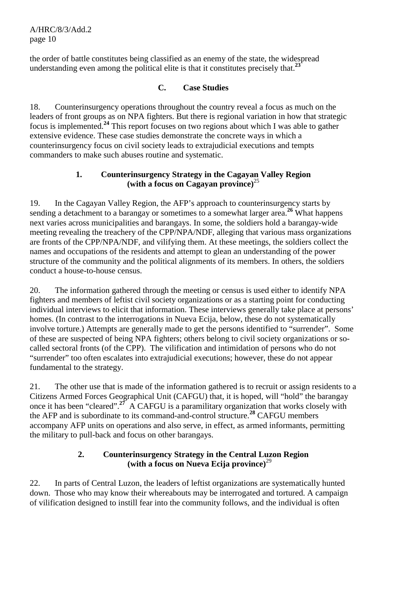A/HRC/8/3/Add.2 page 10

the order of battle constitutes being classified as an enemy of the state, the widespread understanding even among the political elite is that it constitutes precisely that.**<sup>23</sup>**

# **C. Case Studies**

18. Counterinsurgency operations throughout the country reveal a focus as much on the leaders of front groups as on NPA fighters. But there is regional variation in how that strategic focus is implemented.**<sup>24</sup>** This report focuses on two regions about which I was able to gather extensive evidence. These case studies demonstrate the concrete ways in which a counterinsurgency focus on civil society leads to extrajudicial executions and tempts commanders to make such abuses routine and systematic.

## **1. Counterinsurgency Strategy in the Cagayan Valley Region (with a focus on Cagayan province)**<sup>25</sup>

19. In the Cagayan Valley Region, the AFP's approach to counterinsurgency starts by sending a detachment to a barangay or sometimes to a somewhat larger area.<sup>26</sup> What happens next varies across municipalities and barangays. In some, the soldiers hold a barangay-wide meeting revealing the treachery of the CPP/NPA/NDF, alleging that various mass organizations are fronts of the CPP/NPA/NDF, and vilifying them. At these meetings, the soldiers collect the names and occupations of the residents and attempt to glean an understanding of the power structure of the community and the political alignments of its members. In others, the soldiers conduct a house-to-house census.

20. The information gathered through the meeting or census is used either to identify NPA fighters and members of leftist civil society organizations or as a starting point for conducting individual interviews to elicit that information. These interviews generally take place at persons' homes. (In contrast to the interrogations in Nueva Ecija, below, these do not systematically involve torture.) Attempts are generally made to get the persons identified to "surrender". Some of these are suspected of being NPA fighters; others belong to civil society organizations or socalled sectoral fronts (of the CPP). The vilification and intimidation of persons who do not "surrender" too often escalates into extrajudicial executions; however, these do not appear fundamental to the strategy.

21. The other use that is made of the information gathered is to recruit or assign residents to a Citizens Armed Forces Geographical Unit (CAFGU) that, it is hoped, will "hold" the barangay once it has been "cleared".**<sup>27</sup>** A CAFGU is a paramilitary organization that works closely with the AFP and is subordinate to its command-and-control structure.**<sup>28</sup>** CAFGU members accompany AFP units on operations and also serve, in effect, as armed informants, permitting the military to pull-back and focus on other barangays.

## **2. Counterinsurgency Strategy in the Central Luzon Region (with a focus on Nueva Ecija province)**<sup>29</sup>

22. In parts of Central Luzon, the leaders of leftist organizations are systematically hunted down. Those who may know their whereabouts may be interrogated and tortured. A campaign of vilification designed to instill fear into the community follows, and the individual is often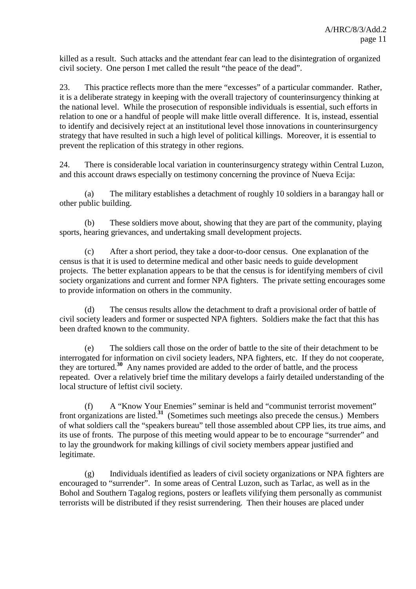killed as a result. Such attacks and the attendant fear can lead to the disintegration of organized civil society. One person I met called the result "the peace of the dead".

23. This practice reflects more than the mere "excesses" of a particular commander. Rather, it is a deliberate strategy in keeping with the overall trajectory of counterinsurgency thinking at the national level. While the prosecution of responsible individuals is essential, such efforts in relation to one or a handful of people will make little overall difference. It is, instead, essential to identify and decisively reject at an institutional level those innovations in counterinsurgency strategy that have resulted in such a high level of political killings. Moreover, it is essential to prevent the replication of this strategy in other regions.

24. There is considerable local variation in counterinsurgency strategy within Central Luzon, and this account draws especially on testimony concerning the province of Nueva Ecija:

(a) The military establishes a detachment of roughly 10 soldiers in a barangay hall or other public building.

(b) These soldiers move about, showing that they are part of the community, playing sports, hearing grievances, and undertaking small development projects.

(c) After a short period, they take a door-to-door census. One explanation of the census is that it is used to determine medical and other basic needs to guide development projects. The better explanation appears to be that the census is for identifying members of civil society organizations and current and former NPA fighters. The private setting encourages some to provide information on others in the community.

(d) The census results allow the detachment to draft a provisional order of battle of civil society leaders and former or suspected NPA fighters. Soldiers make the fact that this has been drafted known to the community.

(e) The soldiers call those on the order of battle to the site of their detachment to be interrogated for information on civil society leaders, NPA fighters, etc. If they do not cooperate, they are tortured.**<sup>30</sup>** Any names provided are added to the order of battle, and the process repeated. Over a relatively brief time the military develops a fairly detailed understanding of the local structure of leftist civil society.

(f) A "Know Your Enemies" seminar is held and "communist terrorist movement" front organizations are listed.**<sup>31</sup>** (Sometimes such meetings also precede the census.) Members of what soldiers call the "speakers bureau" tell those assembled about CPP lies, its true aims, and its use of fronts. The purpose of this meeting would appear to be to encourage "surrender" and to lay the groundwork for making killings of civil society members appear justified and legitimate.

(g) Individuals identified as leaders of civil society organizations or NPA fighters are encouraged to "surrender". In some areas of Central Luzon, such as Tarlac, as well as in the Bohol and Southern Tagalog regions, posters or leaflets vilifying them personally as communist terrorists will be distributed if they resist surrendering. Then their houses are placed under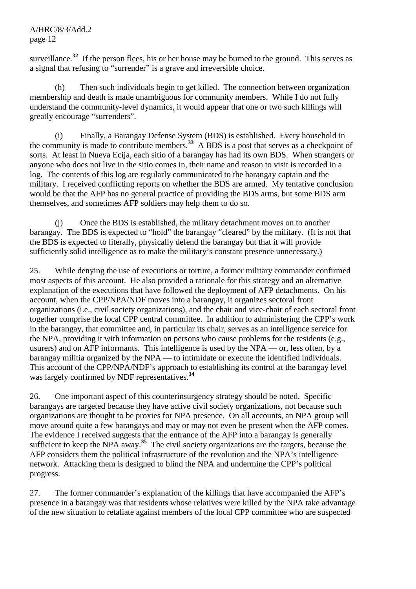surveillance.<sup>32</sup> If the person flees, his or her house may be burned to the ground. This serves as a signal that refusing to "surrender" is a grave and irreversible choice.

(h) Then such individuals begin to get killed. The connection between organization membership and death is made unambiguous for community members. While I do not fully understand the community-level dynamics, it would appear that one or two such killings will greatly encourage "surrenders".

(i) Finally, a Barangay Defense System (BDS) is established. Every household in the community is made to contribute members.<sup>33</sup> A BDS is a post that serves as a checkpoint of sorts. At least in Nueva Ecija, each sitio of a barangay has had its own BDS. When strangers or anyone who does not live in the sitio comes in, their name and reason to visit is recorded in a log. The contents of this log are regularly communicated to the barangay captain and the military. I received conflicting reports on whether the BDS are armed. My tentative conclusion would be that the AFP has no general practice of providing the BDS arms, but some BDS arm themselves, and sometimes AFP soldiers may help them to do so.

(j) Once the BDS is established, the military detachment moves on to another barangay. The BDS is expected to "hold" the barangay "cleared" by the military. (It is not that the BDS is expected to literally, physically defend the barangay but that it will provide sufficiently solid intelligence as to make the military's constant presence unnecessary.)

25. While denying the use of executions or torture, a former military commander confirmed most aspects of this account. He also provided a rationale for this strategy and an alternative explanation of the executions that have followed the deployment of AFP detachments. On his account, when the CPP/NPA/NDF moves into a barangay, it organizes sectoral front organizations (i.e., civil society organizations), and the chair and vice-chair of each sectoral front together comprise the local CPP central committee. In addition to administering the CPP's work in the barangay, that committee and, in particular its chair, serves as an intelligence service for the NPA, providing it with information on persons who cause problems for the residents (e.g., usurers) and on AFP informants. This intelligence is used by the NPA — or, less often, by a barangay militia organized by the NPA — to intimidate or execute the identified individuals. This account of the CPP/NPA/NDF's approach to establishing its control at the barangay level was largely confirmed by NDF representatives.**<sup>34</sup>**

26. One important aspect of this counterinsurgency strategy should be noted. Specific barangays are targeted because they have active civil society organizations, not because such organizations are thought to be proxies for NPA presence. On all accounts, an NPA group will move around quite a few barangays and may or may not even be present when the AFP comes. The evidence I received suggests that the entrance of the AFP into a barangay is generally sufficient to keep the NPA away.**<sup>35</sup>** The civil society organizations are the targets, because the AFP considers them the political infrastructure of the revolution and the NPA's intelligence network. Attacking them is designed to blind the NPA and undermine the CPP's political progress.

27. The former commander's explanation of the killings that have accompanied the AFP's presence in a barangay was that residents whose relatives were killed by the NPA take advantage of the new situation to retaliate against members of the local CPP committee who are suspected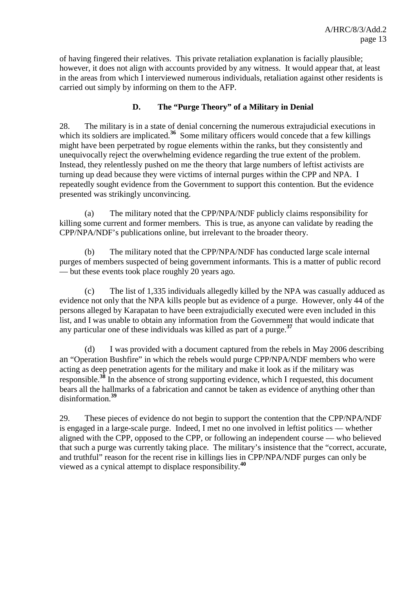of having fingered their relatives. This private retaliation explanation is facially plausible; however, it does not align with accounts provided by any witness. It would appear that, at least in the areas from which I interviewed numerous individuals, retaliation against other residents is carried out simply by informing on them to the AFP.

## **D. The "Purge Theory" of a Military in Denial**

28. The military is in a state of denial concerning the numerous extrajudicial executions in which its soldiers are implicated.<sup>36</sup> Some military officers would concede that a few killings might have been perpetrated by rogue elements within the ranks, but they consistently and unequivocally reject the overwhelming evidence regarding the true extent of the problem. Instead, they relentlessly pushed on me the theory that large numbers of leftist activists are turning up dead because they were victims of internal purges within the CPP and NPA.I repeatedly sought evidence from the Government to support this contention. But the evidence presented was strikingly unconvincing.

(a) The military noted that the CPP/NPA/NDF publicly claims responsibility for killing some current and former members. This is true, as anyone can validate by reading the CPP/NPA/NDF's publications online, but irrelevant to the broader theory.

(b) The military noted that the CPP/NPA/NDF has conducted large scale internal purges of members suspected of being government informants. This is a matter of public record — but these events took place roughly 20 years ago.

(c) The list of 1,335 individuals allegedly killed by the NPA was casually adduced as evidence not only that the NPA kills people but as evidence of a purge. However, only 44 of the persons alleged by Karapatan to have been extrajudicially executed were even included in this list, and I was unable to obtain any information from the Government that would indicate that any particular one of these individuals was killed as part of a purge.**<sup>37</sup>**

(d) I was provided with a document captured from the rebels in May 2006 describing an "Operation Bushfire" in which the rebels would purge CPP/NPA/NDF members who were acting as deep penetration agents for the military and make it look as if the military was responsible.**<sup>38</sup>** In the absence of strong supporting evidence, which I requested, this document bears all the hallmarks of a fabrication and cannot be taken as evidence of anything other than disinformation.**<sup>39</sup>**

29. These pieces of evidence do not begin to support the contention that the CPP/NPA/NDF is engaged in a large-scale purge. Indeed, I met no one involved in leftist politics — whether aligned with the CPP, opposed to the CPP, or following an independent course — who believed that such a purge was currently taking place. The military's insistence that the "correct, accurate, and truthful" reason for the recent rise in killings lies in CPP/NPA/NDF purges can only be viewed as a cynical attempt to displace responsibility.**<sup>40</sup>**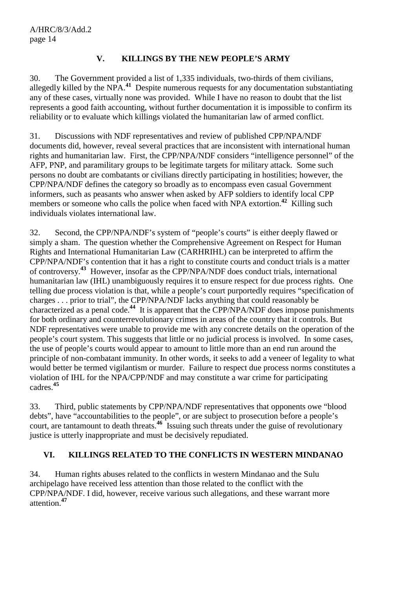## **V. KILLINGS BY THE NEW PEOPLE'S ARMY**

30. The Government provided a list of 1,335 individuals, two-thirds of them civilians, allegedly killed by the NPA.**<sup>41</sup>** Despite numerous requests for any documentation substantiating any of these cases, virtually none was provided. While I have no reason to doubt that the list represents a good faith accounting, without further documentation it is impossible to confirm its reliability or to evaluate which killings violated the humanitarian law of armed conflict.

31. Discussions with NDF representatives and review of published CPP/NPA/NDF documents did, however, reveal several practices that are inconsistent with international human rights and humanitarian law. First, the CPP/NPA/NDF considers "intelligence personnel" of the AFP, PNP, and paramilitary groups to be legitimate targets for military attack. Some such persons no doubt are combatants or civilians directly participating in hostilities; however, the CPP/NPA/NDF defines the category so broadly as to encompass even casual Government informers, such as peasants who answer when asked by AFP soldiers to identify local CPP members or someone who calls the police when faced with NPA extortion.<sup>42</sup> Killing such individuals violates international law.

32. Second, the CPP/NPA/NDF's system of "people's courts" is either deeply flawed or simply a sham. The question whether the Comprehensive Agreement on Respect for Human Rights and International Humanitarian Law (CARHRIHL) can be interpreted to affirm the CPP/NPA/NDF's contention that it has a right to constitute courts and conduct trials is a matter of controversy.**<sup>43</sup>** However, insofar as the CPP/NPA/NDF does conduct trials, international humanitarian law (IHL) unambiguously requires it to ensure respect for due process rights. One telling due process violation is that, while a people's court purportedly requires "specification of charges . . . prior to trial", the CPP/NPA/NDF lacks anything that could reasonably be characterized as a penal code.**<sup>44</sup>** It is apparent that the CPP/NPA/NDF does impose punishments for both ordinary and counterrevolutionary crimes in areas of the country that it controls. But NDF representatives were unable to provide me with any concrete details on the operation of the people's court system. This suggests that little or no judicial process is involved. In some cases, the use of people's courts would appear to amount to little more than an end run around the principle of non-combatant immunity. In other words, it seeks to add a veneer of legality to what would better be termed vigilantism or murder. Failure to respect due process norms constitutes a violation of IHL for the NPA/CPP/NDF and may constitute a war crime for participating cadres.**<sup>45</sup>**

33. Third, public statements by CPP/NPA/NDF representatives that opponents owe "blood debts", have "accountabilities to the people", or are subject to prosecution before a people's court, are tantamount to death threats.**<sup>46</sup>** Issuing such threats under the guise of revolutionary justice is utterly inappropriate and must be decisively repudiated.

# **VI. KILLINGS RELATED TO THE CONFLICTS IN WESTERN MINDANAO**

34. Human rights abuses related to the conflicts in western Mindanao and the Sulu archipelago have received less attention than those related to the conflict with the CPP/NPA/NDF. I did, however, receive various such allegations, and these warrant more attention.**<sup>47</sup>**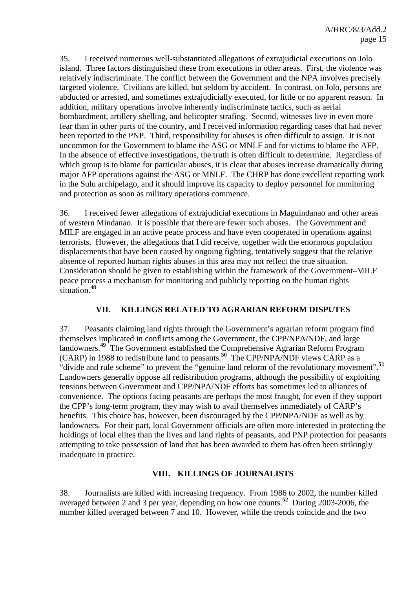35. I received numerous well-substantiated allegations of extrajudicial executions on Jolo island. Three factors distinguished these from executions in other areas. First, the violence was relatively indiscriminate. The conflict between the Government and the NPA involves precisely targeted violence. Civilians are killed, but seldom by accident. In contrast, on Jolo, persons are abducted or arrested, and sometimes extrajudicially executed, for little or no apparent reason. In addition, military operations involve inherently indiscriminate tactics, such as aerial bombardment, artillery shelling, and helicopter strafing. Second, witnesses live in even more fear than in other parts of the country, and I received information regarding cases that had never been reported to the PNP. Third, responsibility for abuses is often difficult to assign. It is not uncommon for the Government to blame the ASG or MNLF and for victims to blame the AFP. In the absence of effective investigations, the truth is often difficult to determine. Regardless of which group is to blame for particular abuses, it is clear that abuses increase dramatically during major AFP operations against the ASG or MNLF. The CHRP has done excellent reporting work in the Sulu archipelago, and it should improve its capacity to deploy personnel for monitoring and protection as soon as military operations commence.

36. I received fewer allegations of extrajudicial executions in Maguindanao and other areas of western Mindanao. It is possible that there are fewer such abuses. The Government and MILF are engaged in an active peace process and have even cooperated in operations against terrorists. However, the allegations that I did receive, together with the enormous population displacements that have been caused by ongoing fighting, tentatively suggest that the relative absence of reported human rights abuses in this area may not reflect the true situation. Consideration should be given to establishing within the framework of the Government–MILF peace process a mechanism for monitoring and publicly reporting on the human rights situation.**<sup>48</sup>**

## **VII. KILLINGS RELATED TO AGRARIAN REFORM DISPUTES**

37. Peasants claiming land rights through the Government's agrarian reform program find themselves implicated in conflicts among the Government, the CPP/NPA/NDF, and large landowners.**<sup>49</sup>** The Government established the Comprehensive Agrarian Reform Program (CARP) in 1988 to redistribute land to peasants.**<sup>50</sup>** The CPP/NPA/NDF views CARP as a "divide and rule scheme" to prevent the "genuine land reform of the revolutionary movement".**<sup>51</sup>** Landowners generally oppose all redistribution programs, although the possibility of exploiting tensions between Government and CPP/NPA/NDF efforts has sometimes led to alliances of convenience. The options facing peasants are perhaps the most fraught, for even if they support the CPP's long-term program, they may wish to avail themselves immediately of CARP's benefits. This choice has, however, been discouraged by the CPP/NPA/NDF as well as by landowners. For their part, local Government officials are often more interested in protecting the holdings of local elites than the lives and land rights of peasants, and PNP protection for peasants attempting to take possession of land that has been awarded to them has often been strikingly inadequate in practice.

#### **VIII. KILLINGS OF JOURNALISTS**

38. Journalists are killed with increasing frequency. From 1986 to 2002, the number killed averaged between 2 and 3 per year, depending on how one counts.**<sup>52</sup>** During 2003-2006, the number killed averaged between 7 and 10. However, while the trends coincide and the two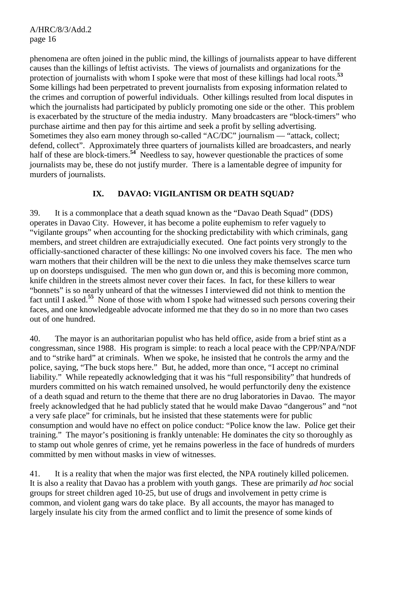phenomena are often joined in the public mind, the killings of journalists appear to have different causes than the killings of leftist activists. The views of journalists and organizations for the protection of journalists with whom I spoke were that most of these killings had local roots.**<sup>53</sup>** Some killings had been perpetrated to prevent journalists from exposing information related to the crimes and corruption of powerful individuals. Other killings resulted from local disputes in which the journalists had participated by publicly promoting one side or the other. This problem is exacerbated by the structure of the media industry. Many broadcasters are "block-timers" who purchase airtime and then pay for this airtime and seek a profit by selling advertising. Sometimes they also earn money through so-called "AC/DC" journalism — "attack, collect; defend, collect". Approximately three quarters of journalists killed are broadcasters, and nearly half of these are block-timers.<sup>54</sup> Needless to say, however questionable the practices of some journalists may be, these do not justify murder. There is a lamentable degree of impunity for murders of journalists.

## **IX. DAVAO: VIGILANTISM OR DEATH SQUAD?**

39. It is a commonplace that a death squad known as the "Davao Death Squad" (DDS) operates in Davao City. However, it has become a polite euphemism to refer vaguely to "vigilante groups" when accounting for the shocking predictability with which criminals, gang members, and street children are extrajudicially executed. One fact points very strongly to the officially-sanctioned character of these killings: No one involved covers his face. The men who warn mothers that their children will be the next to die unless they make themselves scarce turn up on doorsteps undisguised. The men who gun down or, and this is becoming more common, knife children in the streets almost never cover their faces. In fact, for these killers to wear "bonnets" is so nearly unheard of that the witnesses I interviewed did not think to mention the fact until I asked.**<sup>55</sup>** None of those with whom I spoke had witnessed such persons covering their faces, and one knowledgeable advocate informed me that they do so in no more than two cases out of one hundred.

40. The mayor is an authoritarian populist who has held office, aside from a brief stint as a congressman, since 1988. His program is simple: to reach a local peace with the CPP/NPA/NDF and to "strike hard" at criminals. When we spoke, he insisted that he controls the army and the police, saying, "The buck stops here." But, he added, more than once, "I accept no criminal liability." While repeatedly acknowledging that it was his "full responsibility" that hundreds of murders committed on his watch remained unsolved, he would perfunctorily deny the existence of a death squad and return to the theme that there are no drug laboratories in Davao. The mayor freely acknowledged that he had publicly stated that he would make Davao "dangerous" and "not a very safe place" for criminals, but he insisted that these statements were for public consumption and would have no effect on police conduct: "Police know the law. Police get their training." The mayor's positioning is frankly untenable: He dominates the city so thoroughly as to stamp out whole genres of crime, yet he remains powerless in the face of hundreds of murders committed by men without masks in view of witnesses.

41. It is a reality that when the major was first elected, the NPA routinely killed policemen. It is also a reality that Davao has a problem with youth gangs. These are primarily *ad hoc* social groups for street children aged 10-25, but use of drugs and involvement in petty crime is common, and violent gang wars do take place. By all accounts, the mayor has managed to largely insulate his city from the armed conflict and to limit the presence of some kinds of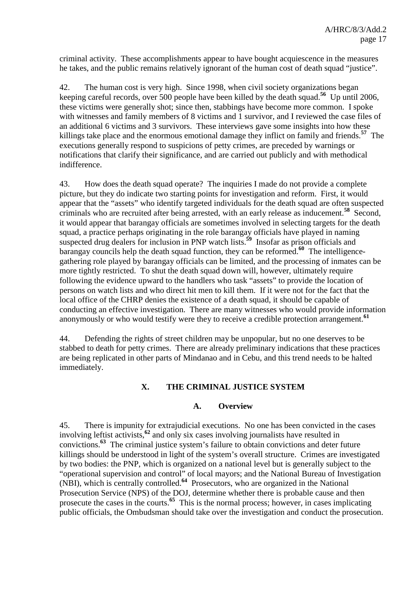criminal activity. These accomplishments appear to have bought acquiescence in the measures he takes, and the public remains relatively ignorant of the human cost of death squad "justice".

42. The human cost is very high. Since 1998, when civil society organizations began keeping careful records, over 500 people have been killed by the death squad.**<sup>56</sup>** Up until 2006, these victims were generally shot; since then, stabbings have become more common. I spoke with witnesses and family members of 8 victims and 1 survivor, and I reviewed the case files of an additional 6 victims and 3 survivors. These interviews gave some insights into how these killings take place and the enormous emotional damage they inflict on family and friends.**<sup>57</sup>** The executions generally respond to suspicions of petty crimes, are preceded by warnings or notifications that clarify their significance, and are carried out publicly and with methodical indifference.

43. How does the death squad operate? The inquiries I made do not provide a complete picture, but they do indicate two starting points for investigation and reform. First, it would appear that the "assets" who identify targeted individuals for the death squad are often suspected criminals who are recruited after being arrested, with an early release as inducement.**<sup>58</sup>** Second, it would appear that barangay officials are sometimes involved in selecting targets for the death squad, a practice perhaps originating in the role barangay officials have played in naming suspected drug dealers for inclusion in PNP watch lists.**<sup>59</sup>** Insofar as prison officials and barangay councils help the death squad function, they can be reformed.**<sup>60</sup>** The intelligencegathering role played by barangay officials can be limited, and the processing of inmates can be more tightly restricted. To shut the death squad down will, however, ultimately require following the evidence upward to the handlers who task "assets" to provide the location of persons on watch lists and who direct hit men to kill them. If it were not for the fact that the local office of the CHRP denies the existence of a death squad, it should be capable of conducting an effective investigation. There are many witnesses who would provide information anonymously or who would testify were they to receive a credible protection arrangement.**<sup>61</sup>**

44. Defending the rights of street children may be unpopular, but no one deserves to be stabbed to death for petty crimes. There are already preliminary indications that these practices are being replicated in other parts of Mindanao and in Cebu, and this trend needs to be halted immediately.

## **X. THE CRIMINAL JUSTICE SYSTEM**

#### **A. Overview**

45. There is impunity for extrajudicial executions. No one has been convicted in the cases involving leftist activists,**<sup>62</sup>** and only six cases involving journalists have resulted in convictions.**<sup>63</sup>** The criminal justice system's failure to obtain convictions and deter future killings should be understood in light of the system's overall structure. Crimes are investigated by two bodies: the PNP, which is organized on a national level but is generally subject to the "operational supervision and control" of local mayors; and the National Bureau of Investigation (NBI), which is centrally controlled.**<sup>64</sup>** Prosecutors, who are organized in the National Prosecution Service (NPS) of the DOJ, determine whether there is probable cause and then prosecute the cases in the courts.**<sup>65</sup>** This is the normal process; however, in cases implicating public officials, the Ombudsman should take over the investigation and conduct the prosecution.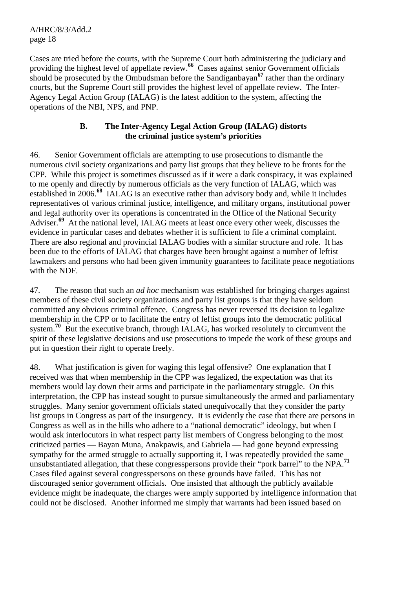A/HRC/8/3/Add.2 page 18

Cases are tried before the courts, with the Supreme Court both administering the judiciary and providing the highest level of appellate review.**<sup>66</sup>** Cases against senior Government officials should be prosecuted by the Ombudsman before the Sandiganbayan**<sup>67</sup>** rather than the ordinary courts, but the Supreme Court still provides the highest level of appellate review. The Inter-Agency Legal Action Group (IALAG) is the latest addition to the system, affecting the operations of the NBI, NPS, and PNP.

#### **B. The Inter-Agency Legal Action Group (IALAG) distorts the criminal justice system's priorities**

46. Senior Government officials are attempting to use prosecutions to dismantle the numerous civil society organizations and party list groups that they believe to be fronts for the CPP. While this project is sometimes discussed as if it were a dark conspiracy, it was explained to me openly and directly by numerous officials as the very function of IALAG, which was established in 2006.**<sup>68</sup>** IALAG is an executive rather than advisory body and, while it includes representatives of various criminal justice, intelligence, and military organs, institutional power and legal authority over its operations is concentrated in the Office of the National Security Adviser.**<sup>69</sup>** At the national level, IALAG meets at least once every other week, discusses the evidence in particular cases and debates whether it is sufficient to file a criminal complaint. There are also regional and provincial IALAG bodies with a similar structure and role. It has been due to the efforts of IALAG that charges have been brought against a number of leftist lawmakers and persons who had been given immunity guarantees to facilitate peace negotiations with the NDF.

47. The reason that such an *ad hoc* mechanism was established for bringing charges against members of these civil society organizations and party list groups is that they have seldom committed any obvious criminal offence. Congress has never reversed its decision to legalize membership in the CPP or to facilitate the entry of leftist groups into the democratic political system.**<sup>70</sup>** But the executive branch, through IALAG, has worked resolutely to circumvent the spirit of these legislative decisions and use prosecutions to impede the work of these groups and put in question their right to operate freely.

48. What justification is given for waging this legal offensive? One explanation that I received was that when membership in the CPP was legalized, the expectation was that its members would lay down their arms and participate in the parliamentary struggle. On this interpretation, the CPP has instead sought to pursue simultaneously the armed and parliamentary struggles. Many senior government officials stated unequivocally that they consider the party list groups in Congress as part of the insurgency. It is evidently the case that there are persons in Congress as well as in the hills who adhere to a "national democratic" ideology, but when I would ask interlocutors in what respect party list members of Congress belonging to the most criticized parties — Bayan Muna, Anakpawis, and Gabriela — had gone beyond expressing sympathy for the armed struggle to actually supporting it, I was repeatedly provided the same unsubstantiated allegation, that these congresspersons provide their "pork barrel" to the NPA.**<sup>71</sup>** Cases filed against several congresspersons on these grounds have failed. This has not discouraged senior government officials. One insisted that although the publicly available evidence might be inadequate, the charges were amply supported by intelligence information that could not be disclosed. Another informed me simply that warrants had been issued based on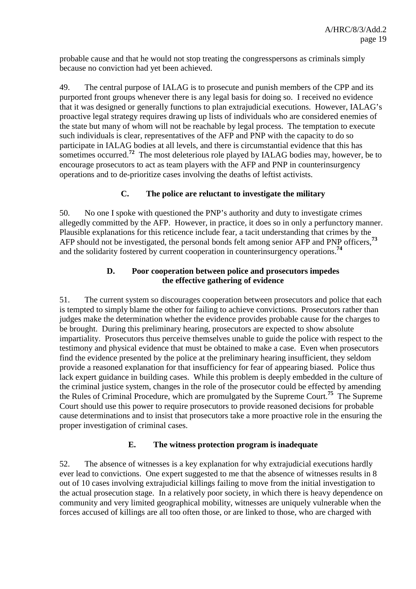probable cause and that he would not stop treating the congresspersons as criminals simply because no conviction had yet been achieved.

49. The central purpose of IALAG is to prosecute and punish members of the CPP and its purported front groups whenever there is any legal basis for doing so. I received no evidence that it was designed or generally functions to plan extrajudicial executions. However, IALAG's proactive legal strategy requires drawing up lists of individuals who are considered enemies of the state but many of whom will not be reachable by legal process. The temptation to execute such individuals is clear, representatives of the AFP and PNP with the capacity to do so participate in IALAG bodies at all levels, and there is circumstantial evidence that this has sometimes occurred.<sup>72</sup> The most deleterious role played by IALAG bodies may, however, be to encourage prosecutors to act as team players with the AFP and PNP in counterinsurgency operations and to de-prioritize cases involving the deaths of leftist activists.

## **C. The police are reluctant to investigate the military**

50. No one I spoke with questioned the PNP's authority and duty to investigate crimes allegedly committed by the AFP. However, in practice, it does so in only a perfunctory manner. Plausible explanations for this reticence include fear, a tacit understanding that crimes by the AFP should not be investigated, the personal bonds felt among senior AFP and PNP officers,**<sup>73</sup>** and the solidarity fostered by current cooperation in counterinsurgency operations.**<sup>74</sup>**

## **D. Poor cooperation between police and prosecutors impedes the effective gathering of evidence**

51. The current system so discourages cooperation between prosecutors and police that each is tempted to simply blame the other for failing to achieve convictions. Prosecutors rather than judges make the determination whether the evidence provides probable cause for the charges to be brought. During this preliminary hearing, prosecutors are expected to show absolute impartiality. Prosecutors thus perceive themselves unable to guide the police with respect to the testimony and physical evidence that must be obtained to make a case. Even when prosecutors find the evidence presented by the police at the preliminary hearing insufficient, they seldom provide a reasoned explanation for that insufficiency for fear of appearing biased. Police thus lack expert guidance in building cases. While this problem is deeply embedded in the culture of the criminal justice system, changes in the role of the prosecutor could be effected by amending the Rules of Criminal Procedure, which are promulgated by the Supreme Court.**<sup>75</sup>** The Supreme Court should use this power to require prosecutors to provide reasoned decisions for probable cause determinations and to insist that prosecutors take a more proactive role in the ensuring the proper investigation of criminal cases.

## **E. The witness protection program is inadequate**

52. The absence of witnesses is a key explanation for why extrajudicial executions hardly ever lead to convictions. One expert suggested to me that the absence of witnesses results in 8 out of 10 cases involving extrajudicial killings failing to move from the initial investigation to the actual prosecution stage. In a relatively poor society, in which there is heavy dependence on community and very limited geographical mobility, witnesses are uniquely vulnerable when the forces accused of killings are all too often those, or are linked to those, who are charged with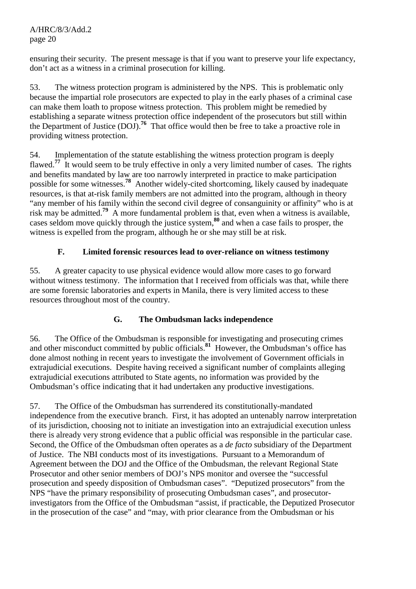ensuring their security. The present message is that if you want to preserve your life expectancy, don't act as a witness in a criminal prosecution for killing.

53. The witness protection program is administered by the NPS. This is problematic only because the impartial role prosecutors are expected to play in the early phases of a criminal case can make them loath to propose witness protection. This problem might be remedied by establishing a separate witness protection office independent of the prosecutors but still within the Department of Justice (DOJ).<sup>76</sup> That office would then be free to take a proactive role in providing witness protection.

54. Implementation of the statute establishing the witness protection program is deeply flawed.**<sup>77</sup>** It would seem to be truly effective in only a very limited number of cases. The rights and benefits mandated by law are too narrowly interpreted in practice to make participation possible for some witnesses.**<sup>78</sup>** Another widely-cited shortcoming, likely caused by inadequate resources, is that at-risk family members are not admitted into the program, although in theory "any member of his family within the second civil degree of consanguinity or affinity" who is at risk may be admitted.<sup>79</sup> A more fundamental problem is that, even when a witness is available, cases seldom move quickly through the justice system,**<sup>80</sup>** and when a case fails to prosper, the witness is expelled from the program, although he or she may still be at risk.

# **F. Limited forensic resources lead to over-reliance on witness testimony**

55. A greater capacity to use physical evidence would allow more cases to go forward without witness testimony. The information that I received from officials was that, while there are some forensic laboratories and experts in Manila, there is very limited access to these resources throughout most of the country.

# **G. The Ombudsman lacks independence**

56. The Office of the Ombudsman is responsible for investigating and prosecuting crimes and other misconduct committed by public officials.**<sup>81</sup>** However, the Ombudsman's office has done almost nothing in recent years to investigate the involvement of Government officials in extrajudicial executions. Despite having received a significant number of complaints alleging extrajudicial executions attributed to State agents, no information was provided by the Ombudsman's office indicating that it had undertaken any productive investigations.

57. The Office of the Ombudsman has surrendered its constitutionally-mandated independence from the executive branch. First, it has adopted an untenably narrow interpretation of its jurisdiction, choosing not to initiate an investigation into an extrajudicial execution unless there is already very strong evidence that a public official was responsible in the particular case. Second, the Office of the Ombudsman often operates as a *de facto* subsidiary of the Department of Justice. The NBI conducts most of its investigations. Pursuant to a Memorandum of Agreement between the DOJ and the Office of the Ombudsman, the relevant Regional State Prosecutor and other senior members of DOJ's NPS monitor and oversee the "successful prosecution and speedy disposition of Ombudsman cases". "Deputized prosecutors" from the NPS "have the primary responsibility of prosecuting Ombudsman cases", and prosecutorinvestigators from the Office of the Ombudsman "assist, if practicable, the Deputized Prosecutor in the prosecution of the case" and "may, with prior clearance from the Ombudsman or his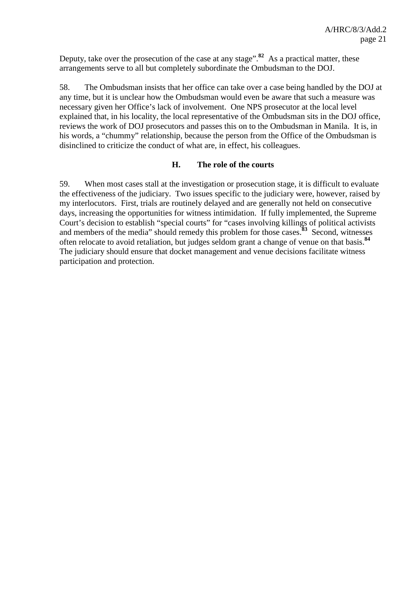Deputy, take over the prosecution of the case at any stage".**<sup>82</sup>** As a practical matter, these arrangements serve to all but completely subordinate the Ombudsman to the DOJ.

58. The Ombudsman insists that her office can take over a case being handled by the DOJ at any time, but it is unclear how the Ombudsman would even be aware that such a measure was necessary given her Office's lack of involvement. One NPS prosecutor at the local level explained that, in his locality, the local representative of the Ombudsman sits in the DOJ office, reviews the work of DOJ prosecutors and passes this on to the Ombudsman in Manila. It is, in his words, a "chummy" relationship, because the person from the Office of the Ombudsman is disinclined to criticize the conduct of what are, in effect, his colleagues.

#### **H. The role of the courts**

59. When most cases stall at the investigation or prosecution stage, it is difficult to evaluate the effectiveness of the judiciary. Two issues specific to the judiciary were, however, raised by my interlocutors. First, trials are routinely delayed and are generally not held on consecutive days, increasing the opportunities for witness intimidation. If fully implemented, the Supreme Court's decision to establish "special courts" for "cases involving killings of political activists and members of the media" should remedy this problem for those cases.**<sup>83</sup>** Second, witnesses often relocate to avoid retaliation, but judges seldom grant a change of venue on that basis.**<sup>84</sup>** The judiciary should ensure that docket management and venue decisions facilitate witness participation and protection.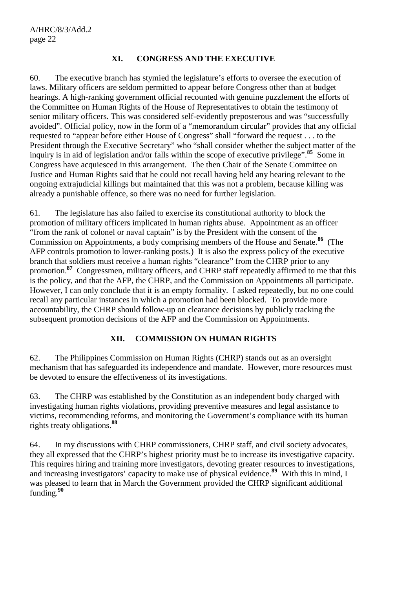#### **XI. CONGRESS AND THE EXECUTIVE**

60. The executive branch has stymied the legislature's efforts to oversee the execution of laws. Military officers are seldom permitted to appear before Congress other than at budget hearings. A high-ranking government official recounted with genuine puzzlement the efforts of the Committee on Human Rights of the House of Representatives to obtain the testimony of senior military officers. This was considered self-evidently preposterous and was "successfully avoided". Official policy, now in the form of a "memorandum circular" provides that any official requested to "appear before either House of Congress" shall "forward the request . . . to the President through the Executive Secretary" who "shall consider whether the subject matter of the inquiry is in aid of legislation and/or falls within the scope of executive privilege".**<sup>85</sup>** Some in Congress have acquiesced in this arrangement. The then Chair of the Senate Committee on Justice and Human Rights said that he could not recall having held any hearing relevant to the ongoing extrajudicial killings but maintained that this was not a problem, because killing was already a punishable offence, so there was no need for further legislation.

61. The legislature has also failed to exercise its constitutional authority to block the promotion of military officers implicated in human rights abuse. Appointment as an officer "from the rank of colonel or naval captain" is by the President with the consent of the Commission on Appointments, a body comprising members of the House and Senate.**<sup>86</sup>** (The AFP controls promotion to lower-ranking posts.) It is also the express policy of the executive branch that soldiers must receive a human rights "clearance" from the CHRP prior to any promotion.<sup>87</sup> Congressmen, military officers, and CHRP staff repeatedly affirmed to me that this is the policy, and that the AFP, the CHRP, and the Commission on Appointments all participate. However, I can only conclude that it is an empty formality. I asked repeatedly, but no one could recall any particular instances in which a promotion had been blocked. To provide more accountability, the CHRP should follow-up on clearance decisions by publicly tracking the subsequent promotion decisions of the AFP and the Commission on Appointments.

## **XII. COMMISSION ON HUMAN RIGHTS**

62. The Philippines Commission on Human Rights (CHRP) stands out as an oversight mechanism that has safeguarded its independence and mandate. However, more resources must be devoted to ensure the effectiveness of its investigations.

63. The CHRP was established by the Constitution as an independent body charged with investigating human rights violations, providing preventive measures and legal assistance to victims, recommending reforms, and monitoring the Government's compliance with its human rights treaty obligations.**<sup>88</sup>**

64. In my discussions with CHRP commissioners, CHRP staff, and civil society advocates, they all expressed that the CHRP's highest priority must be to increase its investigative capacity. This requires hiring and training more investigators, devoting greater resources to investigations, and increasing investigators' capacity to make use of physical evidence.**<sup>89</sup>** With this in mind, I was pleased to learn that in March the Government provided the CHRP significant additional funding.**<sup>90</sup>**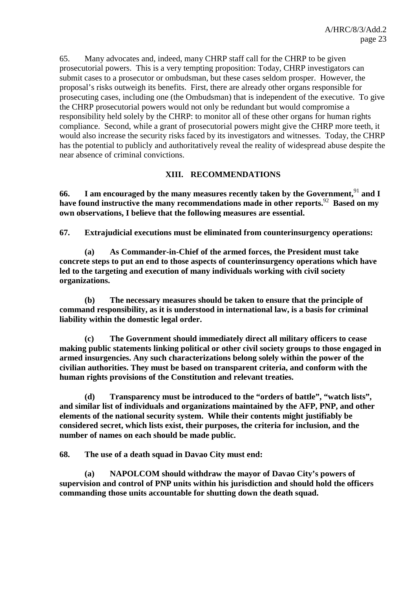65. Many advocates and, indeed, many CHRP staff call for the CHRP to be given prosecutorial powers. This is a very tempting proposition: Today, CHRP investigators can submit cases to a prosecutor or ombudsman, but these cases seldom prosper. However, the proposal's risks outweigh its benefits. First, there are already other organs responsible for prosecuting cases, including one (the Ombudsman) that is independent of the executive. To give the CHRP prosecutorial powers would not only be redundant but would compromise a responsibility held solely by the CHRP: to monitor all of these other organs for human rights compliance. Second, while a grant of prosecutorial powers might give the CHRP more teeth, it would also increase the security risks faced by its investigators and witnesses. Today, the CHRP has the potential to publicly and authoritatively reveal the reality of widespread abuse despite the near absence of criminal convictions.

#### **XIII. RECOMMENDATIONS**

**66. I am encouraged by the many measures recently taken by the Government,**<sup>91</sup> **and I have found instructive the many recommendations made in other reports.**<sup>92</sup> **Based on my own observations, I believe that the following measures are essential.** 

**67. Extrajudicial executions must be eliminated from counterinsurgency operations:** 

**(a) As Commander-in-Chief of the armed forces, the President must take concrete steps to put an end to those aspects of counterinsurgency operations which have led to the targeting and execution of many individuals working with civil society organizations.** 

**(b) The necessary measures should be taken to ensure that the principle of command responsibility, as it is understood in international law, is a basis for criminal liability within the domestic legal order.** 

**(c) The Government should immediately direct all military officers to cease making public statements linking political or other civil society groups to those engaged in armed insurgencies. Any such characterizations belong solely within the power of the civilian authorities. They must be based on transparent criteria, and conform with the human rights provisions of the Constitution and relevant treaties.** 

**(d) Transparency must be introduced to the "orders of battle", "watch lists", and similar list of individuals and organizations maintained by the AFP, PNP, and other elements of the national security system. While their contents might justifiably be considered secret, which lists exist, their purposes, the criteria for inclusion, and the number of names on each should be made public.** 

**68. The use of a death squad in Davao City must end:** 

**(a) NAPOLCOM should withdraw the mayor of Davao City's powers of supervision and control of PNP units within his jurisdiction and should hold the officers commanding those units accountable for shutting down the death squad.**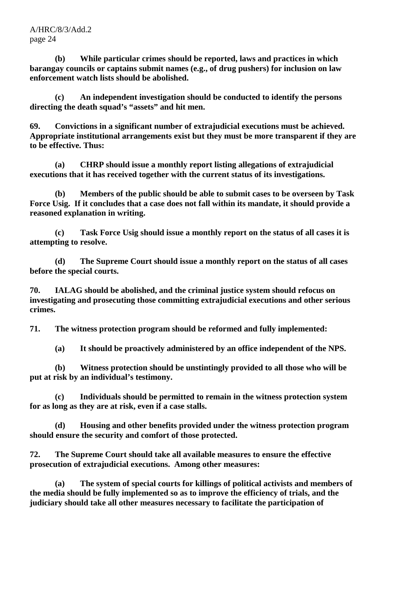**(b) While particular crimes should be reported, laws and practices in which barangay councils or captains submit names (e.g., of drug pushers) for inclusion on law enforcement watch lists should be abolished.** 

**(c) An independent investigation should be conducted to identify the persons directing the death squad's "assets" and hit men.** 

**69. Convictions in a significant number of extrajudicial executions must be achieved. Appropriate institutional arrangements exist but they must be more transparent if they are to be effective. Thus:** 

**(a) CHRP should issue a monthly report listing allegations of extrajudicial executions that it has received together with the current status of its investigations.** 

**(b) Members of the public should be able to submit cases to be overseen by Task Force Usig. If it concludes that a case does not fall within its mandate, it should provide a reasoned explanation in writing.** 

 **(c) Task Force Usig should issue a monthly report on the status of all cases it is attempting to resolve.** 

**(d) The Supreme Court should issue a monthly report on the status of all cases before the special courts.** 

**70. IALAG should be abolished, and the criminal justice system should refocus on investigating and prosecuting those committing extrajudicial executions and other serious crimes.** 

**71. The witness protection program should be reformed and fully implemented:** 

 **(a) It should be proactively administered by an office independent of the NPS.** 

 **(b) Witness protection should be unstintingly provided to all those who will be put at risk by an individual's testimony.** 

 **(c) Individuals should be permitted to remain in the witness protection system for as long as they are at risk, even if a case stalls.** 

 **(d) Housing and other benefits provided under the witness protection program should ensure the security and comfort of those protected.** 

**72. The Supreme Court should take all available measures to ensure the effective prosecution of extrajudicial executions. Among other measures:** 

 **(a) The system of special courts for killings of political activists and members of the media should be fully implemented so as to improve the efficiency of trials, and the judiciary should take all other measures necessary to facilitate the participation of**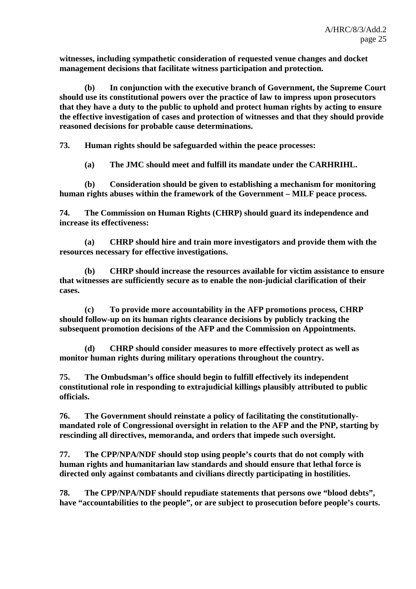**witnesses, including sympathetic consideration of requested venue changes and docket management decisions that facilitate witness participation and protection.** 

 **(b) In conjunction with the executive branch of Government, the Supreme Court should use its constitutional powers over the practice of law to impress upon prosecutors that they have a duty to the public to uphold and protect human rights by acting to ensure the effective investigation of cases and protection of witnesses and that they should provide reasoned decisions for probable cause determinations.** 

**73. Human rights should be safeguarded within the peace processes:** 

 **(a) The JMC should meet and fulfill its mandate under the CARHRIHL.** 

 **(b) Consideration should be given to establishing a mechanism for monitoring human rights abuses within the framework of the Government – MILF peace process.** 

**74. The Commission on Human Rights (CHRP) should guard its independence and increase its effectiveness:** 

 **(a) CHRP should hire and train more investigators and provide them with the resources necessary for effective investigations.** 

 **(b) CHRP should increase the resources available for victim assistance to ensure that witnesses are sufficiently secure as to enable the non-judicial clarification of their cases.** 

 **(c) To provide more accountability in the AFP promotions process, CHRP should follow-up on its human rights clearance decisions by publicly tracking the subsequent promotion decisions of the AFP and the Commission on Appointments.** 

 **(d) CHRP should consider measures to more effectively protect as well as monitor human rights during military operations throughout the country.** 

**75. The Ombudsman's office should begin to fulfill effectively its independent constitutional role in responding to extrajudicial killings plausibly attributed to public officials.** 

**76. The Government should reinstate a policy of facilitating the constitutionallymandated role of Congressional oversight in relation to the AFP and the PNP, starting by rescinding all directives, memoranda, and orders that impede such oversight.** 

**77. The CPP/NPA/NDF should stop using people's courts that do not comply with human rights and humanitarian law standards and should ensure that lethal force is directed only against combatants and civilians directly participating in hostilities.** 

**78. The CPP/NPA/NDF should repudiate statements that persons owe "blood debts", have "accountabilities to the people", or are subject to prosecution before people's courts.**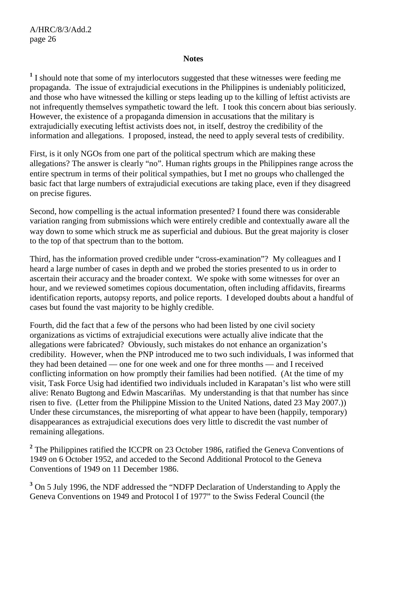#### **Notes**

<sup>1</sup> I should note that some of my interlocutors suggested that these witnesses were feeding me propaganda. The issue of extrajudicial executions in the Philippines is undeniably politicized, and those who have witnessed the killing or steps leading up to the killing of leftist activists are not infrequently themselves sympathetic toward the left. I took this concern about bias seriously. However, the existence of a propaganda dimension in accusations that the military is extrajudicially executing leftist activists does not, in itself, destroy the credibility of the information and allegations. I proposed, instead, the need to apply several tests of credibility.

First, is it only NGOs from one part of the political spectrum which are making these allegations? The answer is clearly "no". Human rights groups in the Philippines range across the entire spectrum in terms of their political sympathies, but I met no groups who challenged the basic fact that large numbers of extrajudicial executions are taking place, even if they disagreed on precise figures.

Second, how compelling is the actual information presented? I found there was considerable variation ranging from submissions which were entirely credible and contextually aware all the way down to some which struck me as superficial and dubious. But the great majority is closer to the top of that spectrum than to the bottom.

Third, has the information proved credible under "cross-examination"? My colleagues and I heard a large number of cases in depth and we probed the stories presented to us in order to ascertain their accuracy and the broader context. We spoke with some witnesses for over an hour, and we reviewed sometimes copious documentation, often including affidavits, firearms identification reports, autopsy reports, and police reports. I developed doubts about a handful of cases but found the vast majority to be highly credible.

Fourth, did the fact that a few of the persons who had been listed by one civil society organizations as victims of extrajudicial executions were actually alive indicate that the allegations were fabricated? Obviously, such mistakes do not enhance an organization's credibility. However, when the PNP introduced me to two such individuals, I was informed that they had been detained — one for one week and one for three months — and I received conflicting information on how promptly their families had been notified. (At the time of my visit, Task Force Usig had identified two individuals included in Karapatan's list who were still alive: Renato Bugtong and Edwin Mascariñas. My understanding is that that number has since risen to five. (Letter from the Philippine Mission to the United Nations, dated 23 May 2007.)) Under these circumstances, the misreporting of what appear to have been (happily, temporary) disappearances as extrajudicial executions does very little to discredit the vast number of remaining allegations.

<sup>2</sup> The Philippines ratified the ICCPR on 23 October 1986, ratified the Geneva Conventions of 1949 on 6 October 1952, and acceded to the Second Additional Protocol to the Geneva Conventions of 1949 on 11 December 1986.

<sup>3</sup> On 5 July 1996, the NDF addressed the "NDFP Declaration of Understanding to Apply the Geneva Conventions on 1949 and Protocol I of 1977" to the Swiss Federal Council (the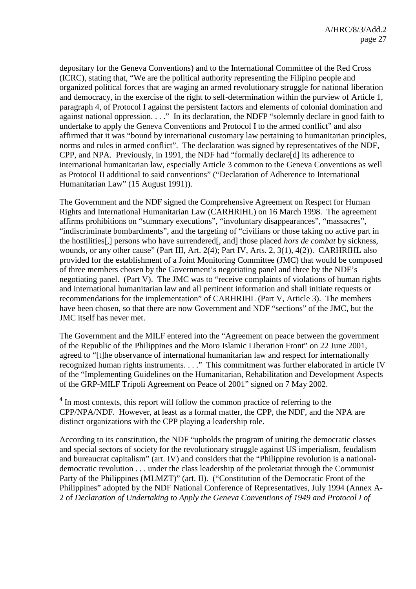depositary for the Geneva Conventions) and to the International Committee of the Red Cross (ICRC), stating that, "We are the political authority representing the Filipino people and organized political forces that are waging an armed revolutionary struggle for national liberation and democracy, in the exercise of the right to self-determination within the purview of Article 1, paragraph 4, of Protocol I against the persistent factors and elements of colonial domination and against national oppression. . . ." In its declaration, the NDFP "solemnly declare in good faith to undertake to apply the Geneva Conventions and Protocol I to the armed conflict" and also affirmed that it was "bound by international customary law pertaining to humanitarian principles, norms and rules in armed conflict". The declaration was signed by representatives of the NDF, CPP, and NPA. Previously, in 1991, the NDF had "formally declare[d] its adherence to international humanitarian law, especially Article 3 common to the Geneva Conventions as well as Protocol II additional to said conventions" ("Declaration of Adherence to International Humanitarian Law" (15 August 1991)).

The Government and the NDF signed the Comprehensive Agreement on Respect for Human Rights and International Humanitarian Law (CARHRIHL) on 16 March 1998. The agreement affirms prohibitions on "summary executions", "involuntary disappearances", "massacres", "indiscriminate bombardments", and the targeting of "civilians or those taking no active part in the hostilities[,] persons who have surrendered[, and] those placed *hors de combat* by sickness, wounds, or any other cause" (Part III, Art. 2(4); Part IV, Arts. 2, 3(1), 4(2)). CARHRIHL also provided for the establishment of a Joint Monitoring Committee (JMC) that would be composed of three members chosen by the Government's negotiating panel and three by the NDF's negotiating panel. (Part V). The JMC was to "receive complaints of violations of human rights and international humanitarian law and all pertinent information and shall initiate requests or recommendations for the implementation" of CARHRIHL (Part V, Article 3). The members have been chosen, so that there are now Government and NDF "sections" of the JMC, but the JMC itself has never met.

The Government and the MILF entered into the "Agreement on peace between the government of the Republic of the Philippines and the Moro Islamic Liberation Front" on 22 June 2001, agreed to "[t]he observance of international humanitarian law and respect for internationally recognized human rights instruments. . . ." This commitment was further elaborated in article IV of the "Implementing Guidelines on the Humanitarian, Rehabilitation and Development Aspects of the GRP-MILF Tripoli Agreement on Peace of 2001" signed on 7 May 2002.

<sup>4</sup> In most contexts, this report will follow the common practice of referring to the CPP/NPA/NDF. However, at least as a formal matter, the CPP, the NDF, and the NPA are distinct organizations with the CPP playing a leadership role.

According to its constitution, the NDF "upholds the program of uniting the democratic classes and special sectors of society for the revolutionary struggle against US imperialism, feudalism and bureaucrat capitalism" (art. IV) and considers that the "Philippine revolution is a nationaldemocratic revolution . . . under the class leadership of the proletariat through the Communist Party of the Philippines (MLMZT)" (art. II). ("Constitution of the Democratic Front of the Philippines" adopted by the NDF National Conference of Representatives, July 1994 (Annex A-2 of *Declaration of Undertaking to Apply the Geneva Conventions of 1949 and Protocol I of*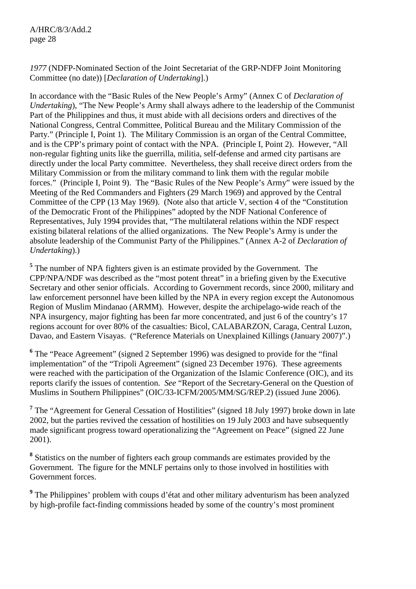## *1977* (NDFP-Nominated Section of the Joint Secretariat of the GRP-NDFP Joint Monitoring Committee (no date)) [*Declaration of Undertaking*].)

In accordance with the "Basic Rules of the New People's Army" (Annex C of *Declaration of Undertaking*), "The New People's Army shall always adhere to the leadership of the Communist Part of the Philippines and thus, it must abide with all decisions orders and directives of the National Congress, Central Committee, Political Bureau and the Military Commission of the Party." (Principle I, Point 1). The Military Commission is an organ of the Central Committee, and is the CPP's primary point of contact with the NPA. (Principle I, Point 2). However, "All non-regular fighting units like the guerrilla, militia, self-defense and armed city partisans are directly under the local Party committee. Nevertheless, they shall receive direct orders from the Military Commission or from the military command to link them with the regular mobile forces." (Principle I, Point 9). The "Basic Rules of the New People's Army" were issued by the Meeting of the Red Commanders and Fighters (29 March 1969) and approved by the Central Committee of the CPP (13 May 1969). (Note also that article V, section 4 of the "Constitution of the Democratic Front of the Philippines" adopted by the NDF National Conference of Representatives, July 1994 provides that, "The multilateral relations within the NDF respect existing bilateral relations of the allied organizations. The New People's Army is under the absolute leadership of the Communist Party of the Philippines." (Annex A-2 of *Declaration of Undertaking*).)

<sup>5</sup> The number of NPA fighters given is an estimate provided by the Government. The CPP/NPA/NDF was described as the "most potent threat" in a briefing given by the Executive Secretary and other senior officials. According to Government records, since 2000, military and law enforcement personnel have been killed by the NPA in every region except the Autonomous Region of Muslim Mindanao (ARMM). However, despite the archipelago-wide reach of the NPA insurgency, major fighting has been far more concentrated, and just 6 of the country's 17 regions account for over 80% of the casualties: Bicol, CALABARZON, Caraga, Central Luzon, Davao, and Eastern Visayas. ("Reference Materials on Unexplained Killings (January 2007)".)

<sup>6</sup> The "Peace Agreement" (signed 2 September 1996) was designed to provide for the "final implementation" of the "Tripoli Agreement" (signed 23 December 1976). These agreements were reached with the participation of the Organization of the Islamic Conference (OIC), and its reports clarify the issues of contention. *See* "Report of the Secretary-General on the Question of Muslims in Southern Philippines" (OIC/33-ICFM/2005/MM/SG/REP.2) (issued June 2006).

<sup>7</sup> The "Agreement for General Cessation of Hostilities" (signed 18 July 1997) broke down in late 2002, but the parties revived the cessation of hostilities on 19 July 2003 and have subsequently made significant progress toward operationalizing the "Agreement on Peace" (signed 22 June 2001).

<sup>8</sup> Statistics on the number of fighters each group commands are estimates provided by the Government. The figure for the MNLF pertains only to those involved in hostilities with Government forces.

<sup>9</sup> The Philippines' problem with coups d'état and other military adventurism has been analyzed by high-profile fact-finding commissions headed by some of the country's most prominent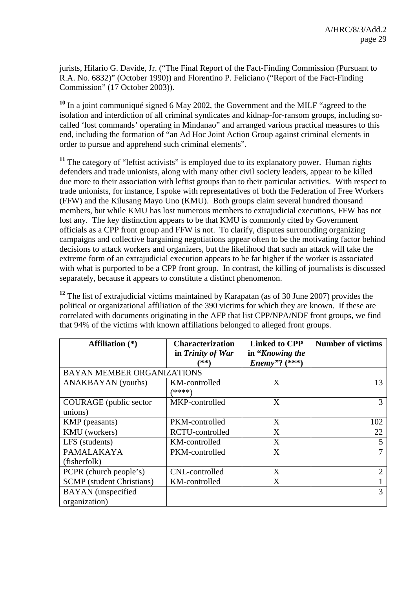jurists, Hilario G. Davide, Jr. ("The Final Report of the Fact-Finding Commission (Pursuant to R.A. No. 6832)" (October 1990)) and Florentino P. Feliciano ("Report of the Fact-Finding Commission" (17 October 2003)).

**<sup>10</sup>** In a joint communiqué signed 6 May 2002, the Government and the MILF "agreed to the isolation and interdiction of all criminal syndicates and kidnap-for-ransom groups, including socalled 'lost commands' operating in Mindanao" and arranged various practical measures to this end, including the formation of "an Ad Hoc Joint Action Group against criminal elements in order to pursue and apprehend such criminal elements".

<sup>11</sup> The category of "leftist activists" is employed due to its explanatory power. Human rights defenders and trade unionists, along with many other civil society leaders, appear to be killed due more to their association with leftist groups than to their particular activities. With respect to trade unionists, for instance, I spoke with representatives of both the Federation of Free Workers (FFW) and the Kilusang Mayo Uno (KMU). Both groups claim several hundred thousand members, but while KMU has lost numerous members to extrajudicial executions, FFW has not lost any. The key distinction appears to be that KMU is commonly cited by Government officials as a CPP front group and FFW is not. To clarify, disputes surrounding organizing campaigns and collective bargaining negotiations appear often to be the motivating factor behind decisions to attack workers and organizers, but the likelihood that such an attack will take the extreme form of an extrajudicial execution appears to be far higher if the worker is associated with what is purported to be a CPP front group. In contrast, the killing of journalists is discussed separately, because it appears to constitute a distinct phenomenon.

**<sup>12</sup>** The list of extrajudicial victims maintained by Karapatan (as of 30 June 2007) provides the political or organizational affiliation of the 390 victims for which they are known. If these are correlated with documents originating in the AFP that list CPP/NPA/NDF front groups, we find that 94% of the victims with known affiliations belonged to alleged front groups.

| Affiliation (*)                   | <b>Characterization</b> | <b>Linked to CPP</b>    | <b>Number of victims</b> |
|-----------------------------------|-------------------------|-------------------------|--------------------------|
|                                   | in Trinity of War       | in "Knowing the"        |                          |
|                                   | **                      | <i>Enemy</i> "? $(***)$ |                          |
| <b>BAYAN MEMBER ORGANIZATIONS</b> |                         |                         |                          |
| ANAKBAYAN (youths)                | KM-controlled           | X                       | 13                       |
|                                   | (****)                  |                         |                          |
| COURAGE (public sector            | MKP-controlled          | X                       |                          |
| unions)                           |                         |                         |                          |
| KMP (peasants)                    | PKM-controlled          | X                       | 102                      |
| KMU (workers)                     | RCTU-controlled         | X                       | 22                       |
| LFS (students)                    | KM-controlled           | X                       | 5                        |
| PAMALAKAYA                        | PKM-controlled          | X                       | 7                        |
| (fisherfolk)                      |                         |                         |                          |
| PCPR (church people's)            | CNL-controlled          | X                       | 2                        |
| <b>SCMP</b> (student Christians)  | KM-controlled           | X                       |                          |
| <b>BAYAN</b> (unspecified         |                         |                         | 3                        |
| organization)                     |                         |                         |                          |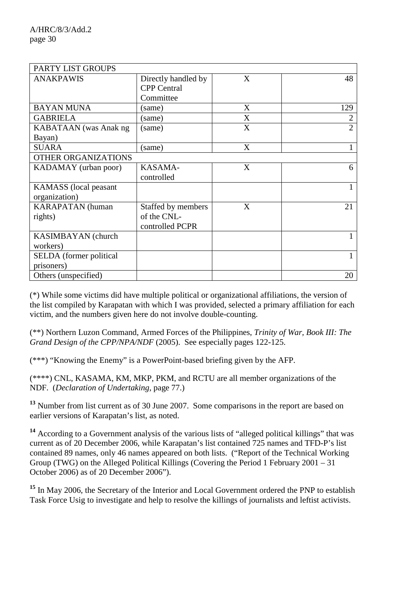| PARTY LIST GROUPS                             |                                                        |   |                |
|-----------------------------------------------|--------------------------------------------------------|---|----------------|
| <b>ANAKPAWIS</b>                              | Directly handled by<br><b>CPP</b> Central<br>Committee | X | 48             |
| <b>BAYAN MUNA</b>                             | (same)                                                 | X | 129            |
| <b>GABRIELA</b>                               | (same)                                                 | X | $\overline{2}$ |
| KABATAAN (was Anak ng<br>Bayan)               | (same)                                                 | X | $\overline{2}$ |
| <b>SUARA</b>                                  | (same)                                                 | X |                |
| OTHER ORGANIZATIONS                           |                                                        |   |                |
| KADAMAY (urban poor)                          | KASAMA-<br>controlled                                  | X | 6              |
| <b>KAMASS</b> (local peasant<br>organization) |                                                        |   |                |
| <b>KARAPATAN</b> (human<br>rights)            | Staffed by members<br>of the CNL-<br>controlled PCPR   | X | 21             |
| KASIMBAYAN (church                            |                                                        |   |                |
| workers)                                      |                                                        |   |                |
| SELDA (former political<br>prisoners)         |                                                        |   |                |
| Others (unspecified)                          |                                                        |   | 20             |

(\*) While some victims did have multiple political or organizational affiliations, the version of the list compiled by Karapatan with which I was provided, selected a primary affiliation for each victim, and the numbers given here do not involve double-counting.

(\*\*) Northern Luzon Command, Armed Forces of the Philippines, *Trinity of War, Book III: The Grand Design of the CPP/NPA/NDF* (2005). See especially pages 122-125.

(\*\*\*) "Knowing the Enemy" is a PowerPoint-based briefing given by the AFP.

(\*\*\*\*) CNL, KASAMA, KM, MKP, PKM, and RCTU are all member organizations of the NDF. (*Declaration of Undertaking*, page 77.)

**<sup>13</sup>** Number from list current as of 30 June 2007. Some comparisons in the report are based on earlier versions of Karapatan's list, as noted.

**<sup>14</sup>** According to a Government analysis of the various lists of "alleged political killings" that was current as of 20 December 2006, while Karapatan's list contained 725 names and TFD-P's list contained 89 names, only 46 names appeared on both lists. ("Report of the Technical Working Group (TWG) on the Alleged Political Killings (Covering the Period 1 February 2001 – 31 October 2006) as of 20 December 2006").

**<sup>15</sup>** In May 2006, the Secretary of the Interior and Local Government ordered the PNP to establish Task Force Usig to investigate and help to resolve the killings of journalists and leftist activists.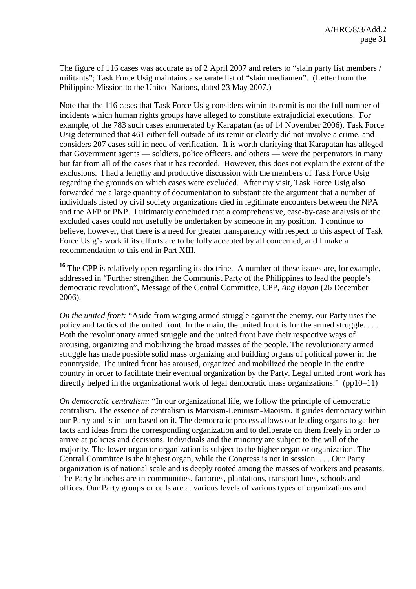The figure of 116 cases was accurate as of 2 April 2007 and refers to "slain party list members / militants"; Task Force Usig maintains a separate list of "slain mediamen". (Letter from the Philippine Mission to the United Nations, dated 23 May 2007.)

Note that the 116 cases that Task Force Usig considers within its remit is not the full number of incidents which human rights groups have alleged to constitute extrajudicial executions. For example, of the 783 such cases enumerated by Karapatan (as of 14 November 2006), Task Force Usig determined that 461 either fell outside of its remit or clearly did not involve a crime, and considers 207 cases still in need of verification. It is worth clarifying that Karapatan has alleged that Government agents — soldiers, police officers, and others — were the perpetrators in many but far from all of the cases that it has recorded. However, this does not explain the extent of the exclusions. I had a lengthy and productive discussion with the members of Task Force Usig regarding the grounds on which cases were excluded. After my visit, Task Force Usig also forwarded me a large quantity of documentation to substantiate the argument that a number of individuals listed by civil society organizations died in legitimate encounters between the NPA and the AFP or PNP. I ultimately concluded that a comprehensive, case-by-case analysis of the excluded cases could not usefully be undertaken by someone in my position. I continue to believe, however, that there is a need for greater transparency with respect to this aspect of Task Force Usig's work if its efforts are to be fully accepted by all concerned, and I make a recommendation to this end in Part XIII.

<sup>16</sup> The CPP is relatively open regarding its doctrine. A number of these issues are, for example, addressed in "Further strengthen the Communist Party of the Philippines to lead the people's democratic revolution", Message of the Central Committee, CPP, *Ang Bayan* (26 December 2006).

*On the united front:* "Aside from waging armed struggle against the enemy, our Party uses the policy and tactics of the united front. In the main, the united front is for the armed struggle. . . . Both the revolutionary armed struggle and the united front have their respective ways of arousing, organizing and mobilizing the broad masses of the people. The revolutionary armed struggle has made possible solid mass organizing and building organs of political power in the countryside. The united front has aroused, organized and mobilized the people in the entire country in order to facilitate their eventual organization by the Party. Legal united front work has directly helped in the organizational work of legal democratic mass organizations." (pp10–11)

*On democratic centralism:* "In our organizational life, we follow the principle of democratic centralism. The essence of centralism is Marxism-Leninism-Maoism. It guides democracy within our Party and is in turn based on it. The democratic process allows our leading organs to gather facts and ideas from the corresponding organization and to deliberate on them freely in order to arrive at policies and decisions. Individuals and the minority are subject to the will of the majority. The lower organ or organization is subject to the higher organ or organization. The Central Committee is the highest organ, while the Congress is not in session. . . . Our Party organization is of national scale and is deeply rooted among the masses of workers and peasants. The Party branches are in communities, factories, plantations, transport lines, schools and offices. Our Party groups or cells are at various levels of various types of organizations and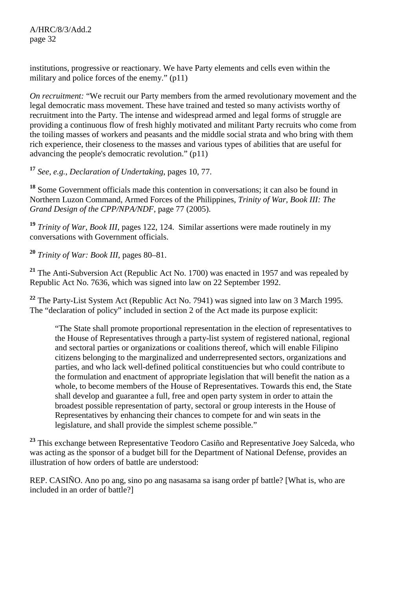A/HRC/8/3/Add.2 page 32

institutions, progressive or reactionary. We have Party elements and cells even within the military and police forces of the enemy." (p11)

*On recruitment:* "We recruit our Party members from the armed revolutionary movement and the legal democratic mass movement. These have trained and tested so many activists worthy of recruitment into the Party. The intense and widespread armed and legal forms of struggle are providing a continuous flow of fresh highly motivated and militant Party recruits who come from the toiling masses of workers and peasants and the middle social strata and who bring with them rich experience, their closeness to the masses and various types of abilities that are useful for advancing the people's democratic revolution." (p11)

**<sup>17</sup>** *See*, *e.g.*, *Declaration of Undertaking*, pages 10, 77.

**<sup>18</sup>** Some Government officials made this contention in conversations; it can also be found in Northern Luzon Command, Armed Forces of the Philippines, *Trinity of War, Book III: The Grand Design of the CPP/NPA/NDF*, page 77 (2005).

**<sup>19</sup>** *Trinity of War, Book III*, pages 122, 124. Similar assertions were made routinely in my conversations with Government officials.

**<sup>20</sup>** *Trinity of War: Book III*, pages 80–81.

**<sup>21</sup>** The Anti-Subversion Act (Republic Act No. 1700) was enacted in 1957 and was repealed by Republic Act No. 7636, which was signed into law on 22 September 1992.

**<sup>22</sup>** The Party-List System Act (Republic Act No. 7941) was signed into law on 3 March 1995. The "declaration of policy" included in section 2 of the Act made its purpose explicit:

"The State shall promote proportional representation in the election of representatives to the House of Representatives through a party-list system of registered national, regional and sectoral parties or organizations or coalitions thereof, which will enable Filipino citizens belonging to the marginalized and underrepresented sectors, organizations and parties, and who lack well-defined political constituencies but who could contribute to the formulation and enactment of appropriate legislation that will benefit the nation as a whole, to become members of the House of Representatives. Towards this end, the State shall develop and guarantee a full, free and open party system in order to attain the broadest possible representation of party, sectoral or group interests in the House of Representatives by enhancing their chances to compete for and win seats in the legislature, and shall provide the simplest scheme possible."

<sup>23</sup> This exchange between Representative Teodoro Casiño and Representative Joey Salceda, who was acting as the sponsor of a budget bill for the Department of National Defense, provides an illustration of how orders of battle are understood:

REP. CASIÑO. Ano po ang, sino po ang nasasama sa isang order pf battle? [What is, who are included in an order of battle?]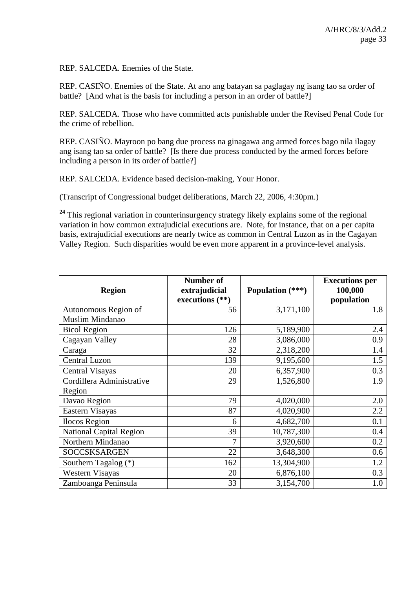REP. SALCEDA. Enemies of the State.

REP. CASIÑO. Enemies of the State. At ano ang batayan sa paglagay ng isang tao sa order of battle? [And what is the basis for including a person in an order of battle?]

REP. SALCEDA. Those who have committed acts punishable under the Revised Penal Code for the crime of rebellion.

REP. CASIÑO. Mayroon po bang due process na ginagawa ang armed forces bago nila ilagay ang isang tao sa order of battle? [Is there due process conducted by the armed forces before including a person in its order of battle?]

REP. SALCEDA. Evidence based decision-making, Your Honor.

(Transcript of Congressional budget deliberations, March 22, 2006, 4:30pm.)

<sup>24</sup> This regional variation in counterinsurgency strategy likely explains some of the regional variation in how common extrajudicial executions are. Note, for instance, that on a per capita basis, extrajudicial executions are nearly twice as common in Central Luzon as in the Cagayan Valley Region. Such disparities would be even more apparent in a province-level analysis.

|                                | <b>Number of</b>  |                  | <b>Executions per</b> |
|--------------------------------|-------------------|------------------|-----------------------|
| <b>Region</b>                  | extrajudicial     | Population (***) | 100,000               |
|                                | executions $(**)$ |                  | population            |
| Autonomous Region of           | 56                | 3,171,100        | 1.8                   |
| Muslim Mindanao                |                   |                  |                       |
| <b>Bicol Region</b>            | 126               | 5,189,900        | 2.4                   |
| Cagayan Valley                 | 28                | 3,086,000        | 0.9                   |
| Caraga                         | 32                | 2,318,200        | 1.4                   |
| Central Luzon                  | 139               | 9,195,600        | 1.5                   |
| Central Visayas                | 20                | 6,357,900        | 0.3                   |
| Cordillera Administrative      | 29                | 1,526,800        | 1.9                   |
| Region                         |                   |                  |                       |
| Davao Region                   | 79                | 4,020,000        | 2.0                   |
| Eastern Visayas                | 87                | 4,020,900        | 2.2                   |
| <b>Ilocos Region</b>           | 6                 | 4,682,700        | 0.1                   |
| <b>National Capital Region</b> | 39                | 10,787,300       | 0.4                   |
| Northern Mindanao              | 7                 | 3,920,600        | 0.2                   |
| <b>SOCCSKSARGEN</b>            | 22                | 3,648,300        | 0.6                   |
| Southern Tagalog (*)           | 162               | 13,304,900       | 1.2                   |
| <b>Western Visayas</b>         | 20                | 6,876,100        | 0.3                   |
| Zamboanga Peninsula            | 33                | 3,154,700        | 1.0                   |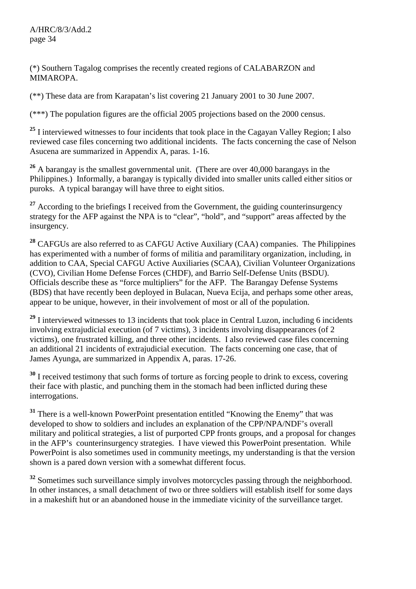(\*) Southern Tagalog comprises the recently created regions of CALABARZON and MIMAROPA.

(\*\*) These data are from Karapatan's list covering 21 January 2001 to 30 June 2007.

(\*\*\*) The population figures are the official 2005 projections based on the 2000 census.

<sup>25</sup> I interviewed witnesses to four incidents that took place in the Cagayan Valley Region; I also reviewed case files concerning two additional incidents. The facts concerning the case of Nelson Asucena are summarized in Appendix A, paras. 1-16.

**<sup>26</sup>** A barangay is the smallest governmental unit. (There are over 40,000 barangays in the Philippines.) Informally, a barangay is typically divided into smaller units called either sitios or puroks. A typical barangay will have three to eight sitios.

<sup>27</sup> According to the briefings I received from the Government, the guiding counterinsurgency strategy for the AFP against the NPA is to "clear", "hold", and "support" areas affected by the insurgency.

**<sup>28</sup>** CAFGUs are also referred to as CAFGU Active Auxiliary (CAA) companies. The Philippines has experimented with a number of forms of militia and paramilitary organization, including, in addition to CAA, Special CAFGU Active Auxiliaries (SCAA), Civilian Volunteer Organizations (CVO), Civilian Home Defense Forces (CHDF), and Barrio Self-Defense Units (BSDU). Officials describe these as "force multipliers" for the AFP. The Barangay Defense Systems (BDS) that have recently been deployed in Bulacan, Nueva Ecija, and perhaps some other areas, appear to be unique, however, in their involvement of most or all of the population.

**<sup>29</sup>** I interviewed witnesses to 13 incidents that took place in Central Luzon, including 6 incidents involving extrajudicial execution (of 7 victims), 3 incidents involving disappearances (of 2 victims), one frustrated killing, and three other incidents. I also reviewed case files concerning an additional 21 incidents of extrajudicial execution. The facts concerning one case, that of James Ayunga, are summarized in Appendix A, paras. 17-26.

**<sup>30</sup>** I received testimony that such forms of torture as forcing people to drink to excess, covering their face with plastic, and punching them in the stomach had been inflicted during these interrogations.

<sup>31</sup> There is a well-known PowerPoint presentation entitled "Knowing the Enemy" that was developed to show to soldiers and includes an explanation of the CPP/NPA/NDF's overall military and political strategies, a list of purported CPP fronts groups, and a proposal for changes in the AFP's counterinsurgency strategies. I have viewed this PowerPoint presentation. While PowerPoint is also sometimes used in community meetings, my understanding is that the version shown is a pared down version with a somewhat different focus.

<sup>32</sup> Sometimes such surveillance simply involves motorcycles passing through the neighborhood. In other instances, a small detachment of two or three soldiers will establish itself for some days in a makeshift hut or an abandoned house in the immediate vicinity of the surveillance target.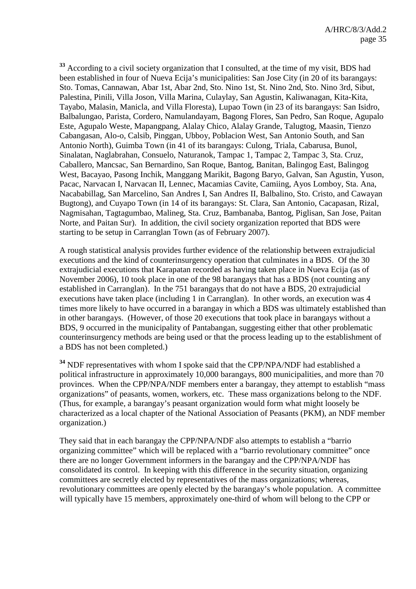**<sup>33</sup>** According to a civil society organization that I consulted, at the time of my visit, BDS had been established in four of Nueva Ecija's municipalities: San Jose City (in 20 of its barangays: Sto. Tomas, Cannawan, Abar 1st, Abar 2nd, Sto. Nino 1st, St. Nino 2nd, Sto. Nino 3rd, Sibut, Palestina, Pinili, Villa Joson, Villa Marina, Culaylay, San Agustin, Kaliwanagan, Kita-Kita, Tayabo, Malasin, Manicla, and Villa Floresta), Lupao Town (in 23 of its barangays: San Isidro, Balbalungao, Parista, Cordero, Namulandayam, Bagong Flores, San Pedro, San Roque, Agupalo Este, Agupalo Weste, Mapangpang, Alalay Chico, Alalay Grande, Talugtog, Maasin, Tienzo Cabangasan, Alo-o, Calsib, Pinggan, Ubboy, Poblacion West, San Antonio South, and San Antonio North), Guimba Town (in 41 of its barangays: Culong, Triala, Cabarusa, Bunol, Sinalatan, Naglabrahan, Consuelo, Naturanok, Tampac 1, Tampac 2, Tampac 3, Sta. Cruz, Caballero, Mancsac, San Bernardino, San Roque, Bantog, Banitan, Balingog East, Balingog West, Bacayao, Pasong Inchik, Manggang Marikit, Bagong Baryo, Galvan, San Agustin, Yuson, Pacac, Narvacan I, Narvacan II, Lennec, Macamias Cavite, Camiing, Ayos Lomboy, Sta. Ana, Nacababillag, San Marcelino, San Andres I, San Andres II, Balbalino, Sto. Cristo, and Cawayan Bugtong), and Cuyapo Town (in 14 of its barangays: St. Clara, San Antonio, Cacapasan, Rizal, Nagmisahan, Tagtagumbao, Malineg, Sta. Cruz, Bambanaba, Bantog, Piglisan, San Jose, Paitan Norte, and Paitan Sur). In addition, the civil society organization reported that BDS were starting to be setup in Carranglan Town (as of February 2007).

A rough statistical analysis provides further evidence of the relationship between extrajudicial executions and the kind of counterinsurgency operation that culminates in a BDS. Of the 30 extrajudicial executions that Karapatan recorded as having taken place in Nueva Ecija (as of November 2006), 10 took place in one of the 98 barangays that has a BDS (not counting any established in Carranglan). In the 751 barangays that do not have a BDS, 20 extrajudicial executions have taken place (including 1 in Carranglan). In other words, an execution was 4 times more likely to have occurred in a barangay in which a BDS was ultimately established than in other barangays. (However, of those 20 executions that took place in barangays without a BDS, 9 occurred in the municipality of Pantabangan, suggesting either that other problematic counterinsurgency methods are being used or that the process leading up to the establishment of a BDS has not been completed.)

**<sup>34</sup>** NDF representatives with whom I spoke said that the CPP/NPA/NDF had established a political infrastructure in approximately 10,000 barangays, 800 municipalities, and more than 70 provinces. When the CPP/NPA/NDF members enter a barangay, they attempt to establish "mass organizations" of peasants, women, workers, etc. These mass organizations belong to the NDF. (Thus, for example, a barangay's peasant organization would form what might loosely be characterized as a local chapter of the National Association of Peasants (PKM), an NDF member organization.)

They said that in each barangay the CPP/NPA/NDF also attempts to establish a "barrio organizing committee" which will be replaced with a "barrio revolutionary committee" once there are no longer Government informers in the barangay and the CPP/NPA/NDF has consolidated its control. In keeping with this difference in the security situation, organizing committees are secretly elected by representatives of the mass organizations; whereas, revolutionary committees are openly elected by the barangay's whole population. A committee will typically have 15 members, approximately one-third of whom will belong to the CPP or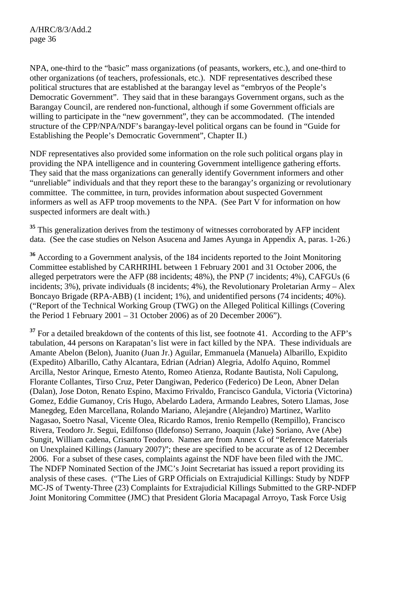NPA, one-third to the "basic" mass organizations (of peasants, workers, etc.), and one-third to other organizations (of teachers, professionals, etc.). NDF representatives described these political structures that are established at the barangay level as "embryos of the People's Democratic Government". They said that in these barangays Government organs, such as the Barangay Council, are rendered non-functional, although if some Government officials are willing to participate in the "new government", they can be accommodated. (The intended structure of the CPP/NPA/NDF's barangay-level political organs can be found in "Guide for Establishing the People's Democratic Government", Chapter II.)

NDF representatives also provided some information on the role such political organs play in providing the NPA intelligence and in countering Government intelligence gathering efforts. They said that the mass organizations can generally identify Government informers and other "unreliable" individuals and that they report these to the barangay's organizing or revolutionary committee. The committee, in turn, provides information about suspected Government informers as well as AFP troop movements to the NPA. (See Part V for information on how suspected informers are dealt with.)

<sup>35</sup> This generalization derives from the testimony of witnesses corroborated by AFP incident data. (See the case studies on Nelson Asucena and James Ayunga in Appendix A, paras. 1-26.)

**<sup>36</sup>** According to a Government analysis, of the 184 incidents reported to the Joint Monitoring Committee established by CARHRIHL between 1 February 2001 and 31 October 2006, the alleged perpetrators were the AFP (88 incidents; 48%), the PNP (7 incidents; 4%), CAFGUs (6 incidents; 3%), private individuals (8 incidents; 4%), the Revolutionary Proletarian Army – Alex Boncayo Brigade (RPA-ABB) (1 incident; 1%), and unidentified persons (74 incidents; 40%). ("Report of the Technical Working Group (TWG) on the Alleged Political Killings (Covering the Period 1 February 2001 – 31 October 2006) as of 20 December 2006").

<sup>37</sup> For a detailed breakdown of the contents of this list, see footnote 41. According to the AFP's tabulation, 44 persons on Karapatan's list were in fact killed by the NPA. These individuals are Amante Abelon (Belon), Juanito (Juan Jr.) Aguilar, Emmanuela (Manuela) Albarillo, Expidito (Expedito) Albarillo, Cathy Alcantara, Edrian (Adrian) Alegria, Adolfo Aquino, Rommel Arcilla, Nestor Arinque, Ernesto Atento, Romeo Atienza, Rodante Bautista, Noli Capulong, Florante Collantes, Tirso Cruz, Peter Dangiwan, Pederico (Federico) De Leon, Abner Delan (Dalan), Jose Doton, Renato Espino, Maximo Frivaldo, Francisco Gandula, Victoria (Victorina) Gomez, Eddie Gumanoy, Cris Hugo, Abelardo Ladera, Armando Leabres, Sotero Llamas, Jose Manegdeg, Eden Marcellana, Rolando Mariano, Alejandre (Alejandro) Martinez, Warlito Nagasao, Soetro Nasal, Vicente Olea, Ricardo Ramos, Irenio Rempello (Rempillo), Francisco Rivera, Teodoro Jr. Segui, Edilfonso (Ildefonso) Serrano, Joaquin (Jake) Soriano, Ave (Abe) Sungit, William cadena, Crisanto Teodoro. Names are from Annex G of "Reference Materials on Unexplained Killings (January 2007)"; these are specified to be accurate as of 12 December 2006. For a subset of these cases, complaints against the NDF have been filed with the JMC. The NDFP Nominated Section of the JMC's Joint Secretariat has issued a report providing its analysis of these cases. ("The Lies of GRP Officials on Extrajudicial Killings: Study by NDFP MC-JS of Twenty-Three (23) Complaints for Extrajudicial Killings Submitted to the GRP-NDFP Joint Monitoring Committee (JMC) that President Gloria Macapagal Arroyo, Task Force Usig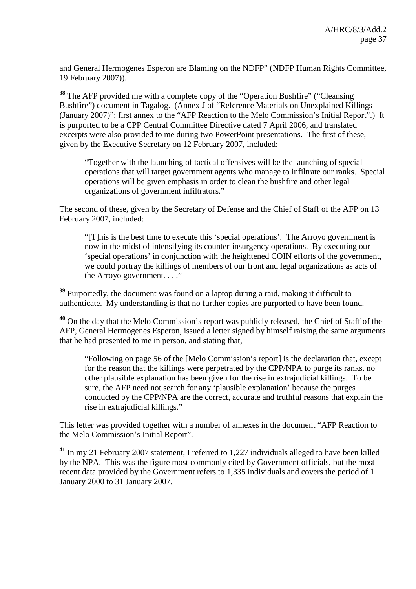and General Hermogenes Esperon are Blaming on the NDFP" (NDFP Human Rights Committee, 19 February 2007)).

**<sup>38</sup>** The AFP provided me with a complete copy of the "Operation Bushfire" ("Cleansing Bushfire") document in Tagalog. (Annex J of "Reference Materials on Unexplained Killings (January 2007)"; first annex to the "AFP Reaction to the Melo Commission's Initial Report".) It is purported to be a CPP Central Committee Directive dated 7 April 2006, and translated excerpts were also provided to me during two PowerPoint presentations. The first of these, given by the Executive Secretary on 12 February 2007, included:

"Together with the launching of tactical offensives will be the launching of special operations that will target government agents who manage to infiltrate our ranks. Special operations will be given emphasis in order to clean the bushfire and other legal organizations of government infiltrators."

The second of these, given by the Secretary of Defense and the Chief of Staff of the AFP on 13 February 2007, included:

"[T]his is the best time to execute this 'special operations'. The Arroyo government is now in the midst of intensifying its counter-insurgency operations. By executing our 'special operations' in conjunction with the heightened COIN efforts of the government, we could portray the killings of members of our front and legal organizations as acts of the Arroyo government. . . ."

**<sup>39</sup>** Purportedly, the document was found on a laptop during a raid, making it difficult to authenticate. My understanding is that no further copies are purported to have been found.

**<sup>40</sup>** On the day that the Melo Commission's report was publicly released, the Chief of Staff of the AFP, General Hermogenes Esperon, issued a letter signed by himself raising the same arguments that he had presented to me in person, and stating that,

"Following on page 56 of the [Melo Commission's report] is the declaration that, except for the reason that the killings were perpetrated by the CPP/NPA to purge its ranks, no other plausible explanation has been given for the rise in extrajudicial killings. To be sure, the AFP need not search for any 'plausible explanation' because the purges conducted by the CPP/NPA are the correct, accurate and truthful reasons that explain the rise in extrajudicial killings."

This letter was provided together with a number of annexes in the document "AFP Reaction to the Melo Commission's Initial Report".

**<sup>41</sup>** In my 21 February 2007 statement, I referred to 1,227 individuals alleged to have been killed by the NPA. This was the figure most commonly cited by Government officials, but the most recent data provided by the Government refers to 1,335 individuals and covers the period of 1 January 2000 to 31 January 2007.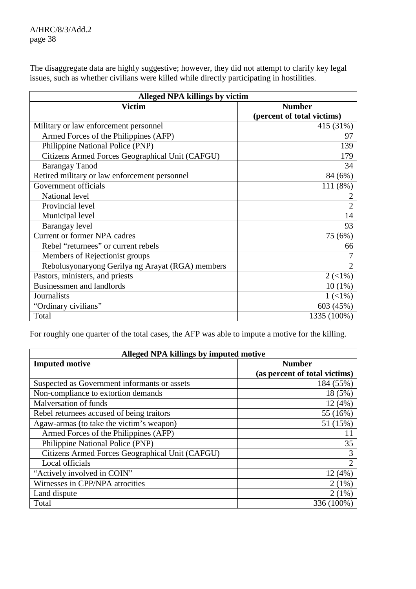The disaggregate data are highly suggestive; however, they did not attempt to clarify key legal issues, such as whether civilians were killed while directly participating in hostilities.

| Alleged NPA killings by victim                   |                            |  |  |
|--------------------------------------------------|----------------------------|--|--|
| <b>Victim</b>                                    | <b>Number</b>              |  |  |
|                                                  | (percent of total victims) |  |  |
| Military or law enforcement personnel            | 415 (31%)                  |  |  |
| Armed Forces of the Philippines (AFP)            | 97                         |  |  |
| Philippine National Police (PNP)                 | 139                        |  |  |
| Citizens Armed Forces Geographical Unit (CAFGU)  | 179                        |  |  |
| <b>Barangay Tanod</b>                            | 34                         |  |  |
| Retired military or law enforcement personnel    | 84 (6%)                    |  |  |
| Government officials                             | 111 (8%)                   |  |  |
| National level                                   |                            |  |  |
| Provincial level                                 | $\overline{2}$             |  |  |
| Municipal level                                  | 14                         |  |  |
| Barangay level                                   | 93                         |  |  |
| Current or former NPA cadres                     | 75 (6%)                    |  |  |
| Rebel "returnees" or current rebels              | 66                         |  |  |
| Members of Rejectionist groups                   |                            |  |  |
| Rebolusyonaryong Gerilya ng Arayat (RGA) members | $\mathfrak{D}$             |  |  |
| Pastors, ministers, and priests                  | $2(1\%)$                   |  |  |
| <b>Businessmen and landlords</b>                 | $10(1\%)$                  |  |  |
| Journalists                                      | $1(1\%)$                   |  |  |
| "Ordinary civilians"                             | 603 (45%)                  |  |  |
| Total                                            | 1335 (100%)                |  |  |

For roughly one quarter of the total cases, the AFP was able to impute a motive for the killing.

| Alleged NPA killings by imputed motive          |                               |  |  |
|-------------------------------------------------|-------------------------------|--|--|
| <b>Imputed motive</b>                           | <b>Number</b>                 |  |  |
|                                                 | (as percent of total victims) |  |  |
| Suspected as Government informants or assets    | 184 (55%)                     |  |  |
| Non-compliance to extortion demands             | 18 (5%)                       |  |  |
| Malversation of funds                           | 12(4%)                        |  |  |
| Rebel returnees accused of being traitors       | 55 (16%)                      |  |  |
| Agaw-armas (to take the victim's weapon)        | 51 (15%)                      |  |  |
| Armed Forces of the Philippines (AFP)           | 11                            |  |  |
| Philippine National Police (PNP)                | 35                            |  |  |
| Citizens Armed Forces Geographical Unit (CAFGU) | 3                             |  |  |
| Local officials                                 | 2                             |  |  |
| "Actively involved in COIN"                     | 12(4%)                        |  |  |
| Witnesses in CPP/NPA atrocities                 | $2(1\%)$                      |  |  |
| Land dispute                                    | $2(1\%)$                      |  |  |
| Total                                           | 336 (100%)                    |  |  |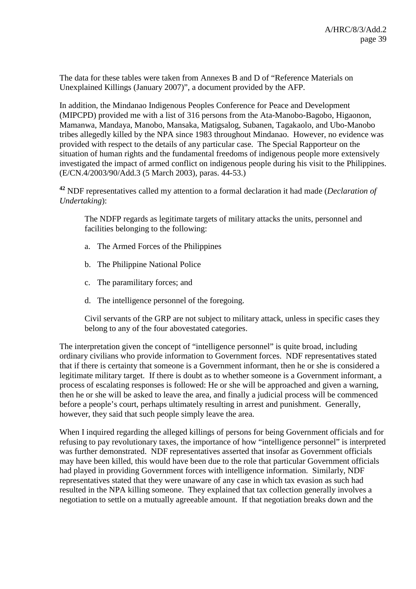The data for these tables were taken from Annexes B and D of "Reference Materials on Unexplained Killings (January 2007)", a document provided by the AFP.

In addition, the Mindanao Indigenous Peoples Conference for Peace and Development (MIPCPD) provided me with a list of 316 persons from the Ata-Manobo-Bagobo, Higaonon, Mamanwa, Mandaya, Manobo, Mansaka, Matigsalog, Subanen, Tagakaolo, and Ubo-Manobo tribes allegedly killed by the NPA since 1983 throughout Mindanao. However, no evidence was provided with respect to the details of any particular case. The Special Rapporteur on the situation of human rights and the fundamental freedoms of indigenous people more extensively investigated the impact of armed conflict on indigenous people during his visit to the Philippines. (E/CN.4/2003/90/Add.3 (5 March 2003), paras. 44-53.)

**<sup>42</sup>** NDF representatives called my attention to a formal declaration it had made (*Declaration of Undertaking*):

The NDFP regards as legitimate targets of military attacks the units, personnel and facilities belonging to the following:

- a. The Armed Forces of the Philippines
- b. The Philippine National Police
- c. The paramilitary forces; and
- d. The intelligence personnel of the foregoing.

Civil servants of the GRP are not subject to military attack, unless in specific cases they belong to any of the four abovestated categories.

The interpretation given the concept of "intelligence personnel" is quite broad, including ordinary civilians who provide information to Government forces. NDF representatives stated that if there is certainty that someone is a Government informant, then he or she is considered a legitimate military target. If there is doubt as to whether someone is a Government informant, a process of escalating responses is followed: He or she will be approached and given a warning, then he or she will be asked to leave the area, and finally a judicial process will be commenced before a people's court, perhaps ultimately resulting in arrest and punishment. Generally, however, they said that such people simply leave the area.

When I inquired regarding the alleged killings of persons for being Government officials and for refusing to pay revolutionary taxes, the importance of how "intelligence personnel" is interpreted was further demonstrated. NDF representatives asserted that insofar as Government officials may have been killed, this would have been due to the role that particular Government officials had played in providing Government forces with intelligence information. Similarly, NDF representatives stated that they were unaware of any case in which tax evasion as such had resulted in the NPA killing someone. They explained that tax collection generally involves a negotiation to settle on a mutually agreeable amount. If that negotiation breaks down and the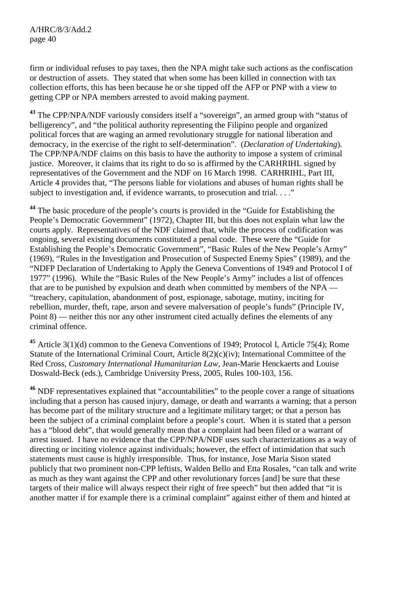firm or individual refuses to pay taxes, then the NPA might take such actions as the confiscation or destruction of assets. They stated that when some has been killed in connection with tax collection efforts, this has been because he or she tipped off the AFP or PNP with a view to getting CPP or NPA members arrested to avoid making payment.

**<sup>43</sup>** The CPP/NPA/NDF variously considers itself a "sovereign", an armed group with "status of belligerency", and "the political authority representing the Filipino people and organized political forces that are waging an armed revolutionary struggle for national liberation and democracy, in the exercise of the right to self-determination". (*Declaration of Undertaking*). The CPP/NPA/NDF claims on this basis to have the authority to impose a system of criminal justice. Moreover, it claims that its right to do so is affirmed by the CARHRIHL signed by representatives of the Government and the NDF on 16 March 1998. CARHRIHL, Part III, Article 4 provides that, "The persons liable for violations and abuses of human rights shall be subject to investigation and, if evidence warrants, to prosecution and trial. . . ."

**<sup>44</sup>** The basic procedure of the people's courts is provided in the "Guide for Establishing the People's Democratic Government" (1972), Chapter III, but this does not explain what law the courts apply. Representatives of the NDF claimed that, while the process of codification was ongoing, several existing documents constituted a penal code. These were the "Guide for Establishing the People's Democratic Government", "Basic Rules of the New People's Army" (1969), "Rules in the Investigation and Prosecution of Suspected Enemy Spies" (1989), and the "NDFP Declaration of Undertaking to Apply the Geneva Conventions of 1949 and Protocol I of 1977" (1996). While the "Basic Rules of the New People's Army" includes a list of offences that are to be punished by expulsion and death when committed by members of the NPA — "treachery, capitulation, abandonment of post, espionage, sabotage, mutiny, inciting for rebellion, murder, theft, rape, arson and severe malversation of people's funds" (Principle IV, Point 8) — neither this nor any other instrument cited actually defines the elements of any criminal offence.

**<sup>45</sup>** Article 3(1)(d) common to the Geneva Conventions of 1949; Protocol I, Article 75(4); Rome Statute of the International Criminal Court, Article 8(2)(c)(iv); International Committee of the Red Cross, *Customary International Humanitarian Law*, Jean-Marie Henckaerts and Louise Doswald-Beck (eds.), Cambridge University Press, 2005, Rules 100-103, 156.

**<sup>46</sup>** NDF representatives explained that "accountabilities" to the people cover a range of situations including that a person has caused injury, damage, or death and warrants a warning; that a person has become part of the military structure and a legitimate military target; or that a person has been the subject of a criminal complaint before a people's court. When it is stated that a person has a "blood debt", that would generally mean that a complaint had been filed or a warrant of arrest issued. I have no evidence that the CPP/NPA/NDF uses such characterizations as a way of directing or inciting violence against individuals; however, the effect of intimidation that such statements must cause is highly irresponsible. Thus, for instance, Jose Maria Sison stated publicly that two prominent non-CPP leftists, Walden Bello and Etta Rosales, "can talk and write as much as they want against the CPP and other revolutionary forces [and] be sure that these targets of their malice will always respect their right of free speech" but then added that "it is another matter if for example there is a criminal complaint" against either of them and hinted at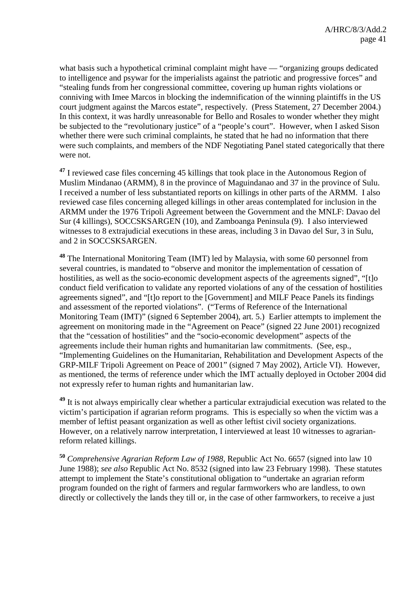what basis such a hypothetical criminal complaint might have — "organizing groups dedicated to intelligence and psywar for the imperialists against the patriotic and progressive forces" and "stealing funds from her congressional committee, covering up human rights violations or conniving with Imee Marcos in blocking the indemnification of the winning plaintiffs in the US court judgment against the Marcos estate", respectively. (Press Statement, 27 December 2004.) In this context, it was hardly unreasonable for Bello and Rosales to wonder whether they might be subjected to the "revolutionary justice" of a "people's court". However, when I asked Sison whether there were such criminal complaints, he stated that he had no information that there were such complaints, and members of the NDF Negotiating Panel stated categorically that there were not.

<sup>47</sup> I reviewed case files concerning 45 killings that took place in the Autonomous Region of Muslim Mindanao (ARMM), 8 in the province of Maguindanao and 37 in the province of Sulu. I received a number of less substantiated reports on killings in other parts of the ARMM. I also reviewed case files concerning alleged killings in other areas contemplated for inclusion in the ARMM under the 1976 Tripoli Agreement between the Government and the MNLF: Davao del Sur (4 killings), SOCCSKSARGEN (10), and Zamboanga Peninsula (9). I also interviewed witnesses to 8 extrajudicial executions in these areas, including 3 in Davao del Sur, 3 in Sulu, and 2 in SOCCSKSARGEN.

**<sup>48</sup>** The International Monitoring Team (IMT) led by Malaysia, with some 60 personnel from several countries, is mandated to "observe and monitor the implementation of cessation of hostilities, as well as the socio-economic development aspects of the agreements signed", "[t]o conduct field verification to validate any reported violations of any of the cessation of hostilities agreements signed", and "[t]o report to the [Government] and MILF Peace Panels its findings and assessment of the reported violations". ("Terms of Reference of the International Monitoring Team (IMT)" (signed 6 September 2004), art. 5.) Earlier attempts to implement the agreement on monitoring made in the "Agreement on Peace" (signed 22 June 2001) recognized that the "cessation of hostilities" and the "socio-economic development" aspects of the agreements include their human rights and humanitarian law commitments. (See, esp., "Implementing Guidelines on the Humanitarian, Rehabilitation and Development Aspects of the GRP-MILF Tripoli Agreement on Peace of 2001" (signed 7 May 2002), Article VI). However, as mentioned, the terms of reference under which the IMT actually deployed in October 2004 did not expressly refer to human rights and humanitarian law.

**<sup>49</sup>** It is not always empirically clear whether a particular extrajudicial execution was related to the victim's participation if agrarian reform programs. This is especially so when the victim was a member of leftist peasant organization as well as other leftist civil society organizations. However, on a relatively narrow interpretation, I interviewed at least 10 witnesses to agrarianreform related killings.

**<sup>50</sup>** *Comprehensive Agrarian Reform Law of 1988*, Republic Act No. 6657 (signed into law 10 June 1988); *see also* Republic Act No. 8532 (signed into law 23 February 1998). These statutes attempt to implement the State's constitutional obligation to "undertake an agrarian reform program founded on the right of farmers and regular farmworkers who are landless, to own directly or collectively the lands they till or, in the case of other farmworkers, to receive a just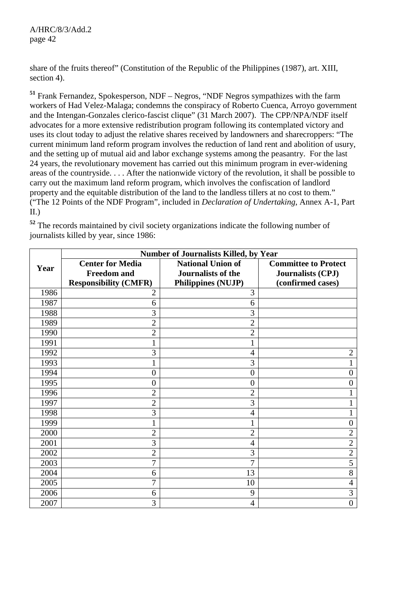share of the fruits thereof" (Constitution of the Republic of the Philippines (1987), art. XIII, section 4).

**<sup>51</sup>** Frank Fernandez, Spokesperson, NDF – Negros, "NDF Negros sympathizes with the farm workers of Had Velez-Malaga; condemns the conspiracy of Roberto Cuenca, Arroyo government and the Intengan-Gonzales clerico-fascist clique" (31 March 2007). The CPP/NPA/NDF itself advocates for a more extensive redistribution program following its contemplated victory and uses its clout today to adjust the relative shares received by landowners and sharecroppers: "The current minimum land reform program involves the reduction of land rent and abolition of usury, and the setting up of mutual aid and labor exchange systems among the peasantry. For the last 24 years, the revolutionary movement has carried out this minimum program in ever-widening areas of the countryside. . . . After the nationwide victory of the revolution, it shall be possible to carry out the maximum land reform program, which involves the confiscation of landlord property and the equitable distribution of the land to the landless tillers at no cost to them." ("The 12 Points of the NDF Program", included in *Declaration of Undertaking*, Annex A-1, Part II.)

|      |                                                                               | <b>Number of Journalists Killed, by Year</b>                                       |                                                                       |
|------|-------------------------------------------------------------------------------|------------------------------------------------------------------------------------|-----------------------------------------------------------------------|
| Year | <b>Center for Media</b><br><b>Freedom</b> and<br><b>Responsibility (CMFR)</b> | <b>National Union of</b><br><b>Journalists of the</b><br><b>Philippines (NUJP)</b> | <b>Committee to Protect</b><br>Journalists (CPJ)<br>(confirmed cases) |
| 1986 | $\overline{2}$                                                                | 3                                                                                  |                                                                       |
| 1987 | 6                                                                             | 6                                                                                  |                                                                       |
| 1988 | 3                                                                             | 3                                                                                  |                                                                       |
| 1989 | $\overline{c}$                                                                | $\overline{2}$                                                                     |                                                                       |
| 1990 | $\overline{c}$                                                                | $\overline{2}$                                                                     |                                                                       |
| 1991 | $\mathbf{1}$                                                                  | $\mathbf{1}$                                                                       |                                                                       |
| 1992 | 3                                                                             | $\overline{4}$                                                                     | 2                                                                     |
| 1993 | 1                                                                             | 3                                                                                  |                                                                       |
| 1994 | $\boldsymbol{0}$                                                              | $\boldsymbol{0}$                                                                   | 0                                                                     |
| 1995 | $\overline{0}$                                                                | $\overline{0}$                                                                     | 0                                                                     |
| 1996 | $\overline{2}$                                                                | $\overline{2}$                                                                     |                                                                       |
| 1997 | $\overline{2}$                                                                | $\overline{3}$                                                                     |                                                                       |
| 1998 | 3                                                                             | 4                                                                                  | 1                                                                     |
| 1999 | 1                                                                             | 1                                                                                  | $\overline{0}$                                                        |
| 2000 | $\overline{2}$                                                                | $\overline{2}$                                                                     | $\overline{2}$                                                        |
| 2001 | 3                                                                             | $\overline{4}$                                                                     | $\overline{2}$                                                        |
| 2002 | $\overline{2}$                                                                | 3                                                                                  | $\overline{2}$                                                        |
| 2003 | 7                                                                             | 7                                                                                  | $\overline{5}$                                                        |
| 2004 | 6                                                                             | 13                                                                                 | $\overline{8}$                                                        |
| 2005 | $\overline{7}$                                                                | 10                                                                                 | $\overline{4}$                                                        |
| 2006 | 6                                                                             | 9                                                                                  | 3                                                                     |
| 2007 | 3                                                                             | 4                                                                                  | $\boldsymbol{0}$                                                      |

**<sup>52</sup>** The records maintained by civil society organizations indicate the following number of journalists killed by year, since 1986: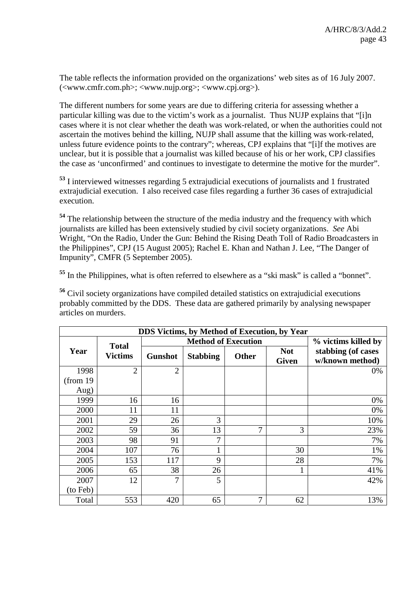The table reflects the information provided on the organizations' web sites as of 16 July 2007. (<www.cmfr.com.ph>; <www.nujp.org>; <www.cpj.org>).

The different numbers for some years are due to differing criteria for assessing whether a particular killing was due to the victim's work as a journalist. Thus NUJP explains that "[i]n cases where it is not clear whether the death was work-related, or when the authorities could not ascertain the motives behind the killing, NUJP shall assume that the killing was work-related, unless future evidence points to the contrary"; whereas, CPJ explains that "[i]f the motives are unclear, but it is possible that a journalist was killed because of his or her work, CPJ classifies the case as 'unconfirmed' and continues to investigate to determine the motive for the murder".

**<sup>53</sup>** I interviewed witnesses regarding 5 extrajudicial executions of journalists and 1 frustrated extrajudicial execution. I also received case files regarding a further 36 cases of extrajudicial execution.

**<sup>54</sup>** The relationship between the structure of the media industry and the frequency with which journalists are killed has been extensively studied by civil society organizations. *See* Abi Wright, "On the Radio, Under the Gun: Behind the Rising Death Toll of Radio Broadcasters in the Philippines", CPJ (15 August 2005); Rachel E. Khan and Nathan J. Lee, "The Danger of Impunity", CMFR (5 September 2005).

<sup>55</sup> In the Philippines, what is often referred to elsewhere as a "ski mask" is called a "bonnet".

**<sup>56</sup>** Civil society organizations have compiled detailed statistics on extrajudicial executions probably committed by the DDS. These data are gathered primarily by analysing newspaper articles on murders.

| <b>DDS Victims, by Method of Execution, by Year</b> |                                |                |                            |              |                            |                                       |
|-----------------------------------------------------|--------------------------------|----------------|----------------------------|--------------|----------------------------|---------------------------------------|
|                                                     |                                |                | <b>Method of Execution</b> |              |                            | % victims killed by                   |
| Year                                                | <b>Total</b><br><b>Victims</b> | <b>Gunshot</b> | <b>Stabbing</b>            | <b>Other</b> | <b>Not</b><br><b>Given</b> | stabbing (of cases<br>w/known method) |
| 1998                                                | $\overline{2}$                 | $\overline{2}$ |                            |              |                            | 0%                                    |
| (from 19                                            |                                |                |                            |              |                            |                                       |
| Aug)                                                |                                |                |                            |              |                            |                                       |
| 1999                                                | 16                             | 16             |                            |              |                            | 0%                                    |
| 2000                                                | 11                             | 11             |                            |              |                            | 0%                                    |
| 2001                                                | 29                             | 26             | 3                          |              |                            | 10%                                   |
| 2002                                                | 59                             | 36             | 13                         | $\tau$       | 3                          | 23%                                   |
| 2003                                                | 98                             | 91             | 7                          |              |                            | 7%                                    |
| 2004                                                | 107                            | 76             | ı                          |              | 30                         | 1%                                    |
| 2005                                                | 153                            | 117            | 9                          |              | 28                         | 7%                                    |
| 2006                                                | 65                             | 38             | 26                         |              |                            | 41%                                   |
| 2007                                                | 12                             | 7              | 5                          |              |                            | 42%                                   |
| (to Feb)                                            |                                |                |                            |              |                            |                                       |
| Total                                               | 553                            | 420            | 65                         | $\tau$       | 62                         | 13%                                   |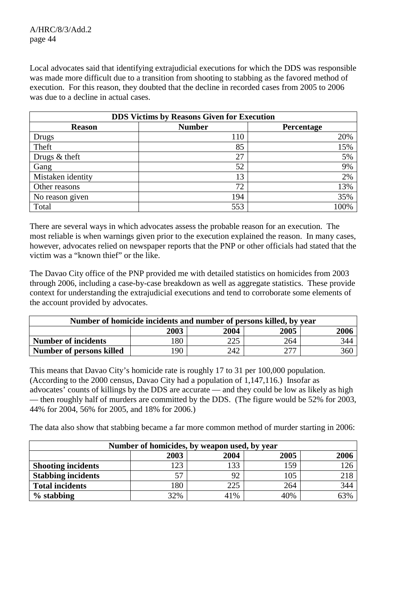Local advocates said that identifying extrajudicial executions for which the DDS was responsible was made more difficult due to a transition from shooting to stabbing as the favored method of execution. For this reason, they doubted that the decline in recorded cases from 2005 to 2006 was due to a decline in actual cases.

| <b>DDS Victims by Reasons Given for Execution</b> |               |            |  |  |
|---------------------------------------------------|---------------|------------|--|--|
| <b>Reason</b>                                     | <b>Number</b> | Percentage |  |  |
| Drugs                                             | 110           | 20%        |  |  |
| Theft                                             | 85            | 15%        |  |  |
| Drugs & theft                                     | 27            | 5%         |  |  |
| Gang                                              | 52            | 9%         |  |  |
| Mistaken identity                                 | 13            | 2%         |  |  |
| Other reasons                                     | 72            | 13%        |  |  |
| No reason given                                   | 194           | 35%        |  |  |
| Total                                             | 553           | 100%       |  |  |

There are several ways in which advocates assess the probable reason for an execution. The most reliable is when warnings given prior to the execution explained the reason. In many cases, however, advocates relied on newspaper reports that the PNP or other officials had stated that the victim was a "known thief" or the like.

The Davao City office of the PNP provided me with detailed statistics on homicides from 2003 through 2006, including a case-by-case breakdown as well as aggregate statistics. These provide context for understanding the extrajudicial executions and tend to corroborate some elements of the account provided by advocates.

| Number of homicide incidents and number of persons killed, by year |                  |     |     |     |  |  |
|--------------------------------------------------------------------|------------------|-----|-----|-----|--|--|
| 2005<br>2003<br>2004<br>2006                                       |                  |     |     |     |  |  |
| <b>Number of incidents</b>                                         | 80               | 225 | 264 | 344 |  |  |
| Number of persons killed                                           | 360<br>90<br>242 |     |     |     |  |  |

This means that Davao City's homicide rate is roughly 17 to 31 per 100,000 population. (According to the 2000 census, Davao City had a population of 1,147,116.) Insofar as advocates' counts of killings by the DDS are accurate — and they could be low as likely as high — then roughly half of murders are committed by the DDS. (The figure would be 52% for 2003, 44% for 2004, 56% for 2005, and 18% for 2006.)

The data also show that stabbing became a far more common method of murder starting in 2006:

| Number of homicides, by weapon used, by year |     |     |     |     |  |  |
|----------------------------------------------|-----|-----|-----|-----|--|--|
| 2005<br>2004<br>2003<br>2006                 |     |     |     |     |  |  |
| <b>Shooting incidents</b>                    | 23  | 133 | 159 | 126 |  |  |
| <b>Stabbing incidents</b>                    | 57  |     | 105 | 218 |  |  |
| <b>Total incidents</b>                       | 180 | 225 | 264 | 344 |  |  |
| $%$ stabbing                                 | 32% | 41% | 40% | 63% |  |  |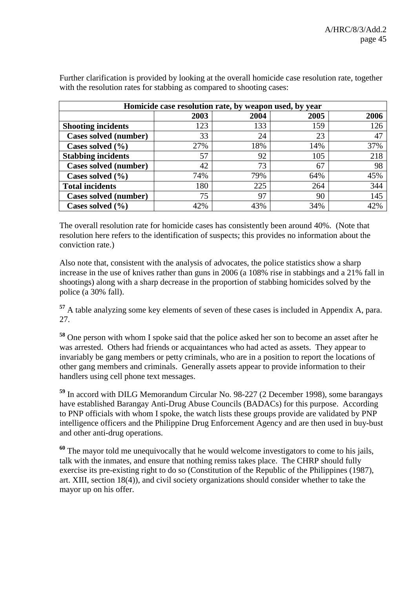| Homicide case resolution rate, by weapon used, by year |      |      |      |      |
|--------------------------------------------------------|------|------|------|------|
|                                                        | 2003 | 2004 | 2005 | 2006 |
| <b>Shooting incidents</b>                              | 123  | 133  | 159  | 126  |
| Cases solved (number)                                  | 33   | 24   | 23   | 47   |
| Cases solved $(\% )$                                   | 27%  | 18%  | 14%  | 37%  |
| <b>Stabbing incidents</b>                              | 57   | 92   | 105  | 218  |
| Cases solved (number)                                  | 42   | 73   | 67   | 98   |
| Cases solved $(\% )$                                   | 74%  | 79%  | 64%  | 45%  |
| <b>Total incidents</b>                                 | 180  | 225  | 264  | 344  |
| Cases solved (number)                                  | 75   | 97   | 90   | 145  |
| Cases solved $(\% )$                                   | 42%  | 43%  | 34%  | 42%  |

Further clarification is provided by looking at the overall homicide case resolution rate, together with the resolution rates for stabbing as compared to shooting cases:

The overall resolution rate for homicide cases has consistently been around 40%. (Note that resolution here refers to the identification of suspects; this provides no information about the conviction rate.)

Also note that, consistent with the analysis of advocates, the police statistics show a sharp increase in the use of knives rather than guns in 2006 (a 108% rise in stabbings and a 21% fall in shootings) along with a sharp decrease in the proportion of stabbing homicides solved by the police (a 30% fall).

**<sup>57</sup>** A table analyzing some key elements of seven of these cases is included in Appendix A, para. 27.

**<sup>58</sup>** One person with whom I spoke said that the police asked her son to become an asset after he was arrested. Others had friends or acquaintances who had acted as assets. They appear to invariably be gang members or petty criminals, who are in a position to report the locations of other gang members and criminals. Generally assets appear to provide information to their handlers using cell phone text messages.

**<sup>59</sup>** In accord with DILG Memorandum Circular No. 98-227 (2 December 1998), some barangays have established Barangay Anti-Drug Abuse Councils (BADACs) for this purpose. According to PNP officials with whom I spoke, the watch lists these groups provide are validated by PNP intelligence officers and the Philippine Drug Enforcement Agency and are then used in buy-bust and other anti-drug operations.

**<sup>60</sup>** The mayor told me unequivocally that he would welcome investigators to come to his jails, talk with the inmates, and ensure that nothing remiss takes place. The CHRP should fully exercise its pre-existing right to do so (Constitution of the Republic of the Philippines (1987), art. XIII, section 18(4)), and civil society organizations should consider whether to take the mayor up on his offer.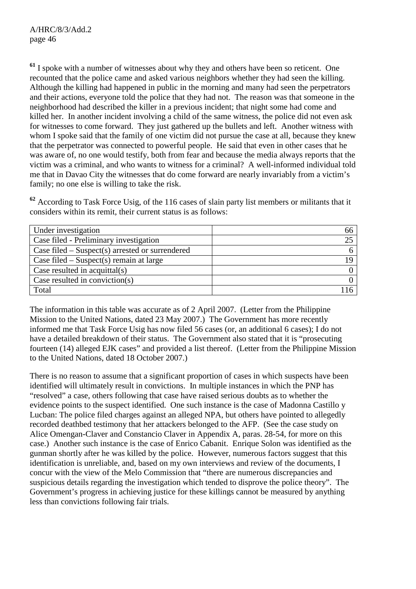**<sup>61</sup>** I spoke with a number of witnesses about why they and others have been so reticent. One recounted that the police came and asked various neighbors whether they had seen the killing. Although the killing had happened in public in the morning and many had seen the perpetrators and their actions, everyone told the police that they had not. The reason was that someone in the neighborhood had described the killer in a previous incident; that night some had come and killed her. In another incident involving a child of the same witness, the police did not even ask for witnesses to come forward. They just gathered up the bullets and left. Another witness with whom I spoke said that the family of one victim did not pursue the case at all, because they knew that the perpetrator was connected to powerful people. He said that even in other cases that he was aware of, no one would testify, both from fear and because the media always reports that the victim was a criminal, and who wants to witness for a criminal? A well-informed individual told me that in Davao City the witnesses that do come forward are nearly invariably from a victim's family; no one else is willing to take the risk.

**<sup>62</sup>** According to Task Force Usig, of the 116 cases of slain party list members or militants that it considers within its remit, their current status is as follows:

| Under investigation                               |  |
|---------------------------------------------------|--|
| Case filed - Preliminary investigation            |  |
| Case filed $-$ Suspect(s) arrested or surrendered |  |
| Case filed $-$ Suspect(s) remain at large         |  |
| Case resulted in acquittal $(s)$                  |  |
| Case resulted in conviction( $s$ )                |  |
| Total                                             |  |

The information in this table was accurate as of 2 April 2007. (Letter from the Philippine Mission to the United Nations, dated 23 May 2007.) The Government has more recently informed me that Task Force Usig has now filed 56 cases (or, an additional 6 cases); I do not have a detailed breakdown of their status. The Government also stated that it is "prosecuting fourteen (14) alleged EJK cases" and provided a list thereof. (Letter from the Philippine Mission to the United Nations, dated 18 October 2007.)

There is no reason to assume that a significant proportion of cases in which suspects have been identified will ultimately result in convictions. In multiple instances in which the PNP has "resolved" a case, others following that case have raised serious doubts as to whether the evidence points to the suspect identified. One such instance is the case of Madonna Castillo y Lucban: The police filed charges against an alleged NPA, but others have pointed to allegedly recorded deathbed testimony that her attackers belonged to the AFP. (See the case study on Alice Omengan-Claver and Constancio Claver in Appendix A, paras. 28-54, for more on this case.) Another such instance is the case of Enrico Cabanit. Enrique Solon was identified as the gunman shortly after he was killed by the police. However, numerous factors suggest that this identification is unreliable, and, based on my own interviews and review of the documents, I concur with the view of the Melo Commission that "there are numerous discrepancies and suspicious details regarding the investigation which tended to disprove the police theory". The Government's progress in achieving justice for these killings cannot be measured by anything less than convictions following fair trials.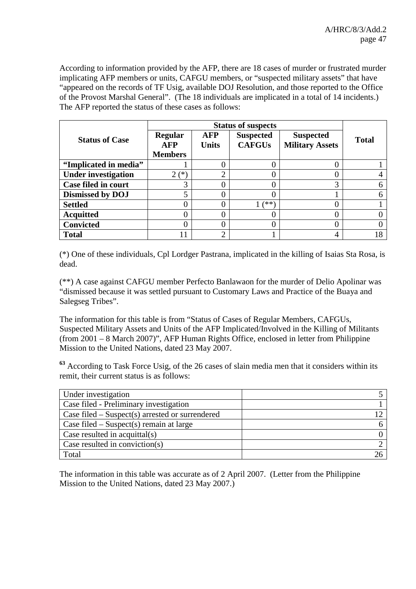According to information provided by the AFP, there are 18 cases of murder or frustrated murder implicating AFP members or units, CAFGU members, or "suspected military assets" that have "appeared on the records of TF Usig, available DOJ Resolution, and those reported to the Office of the Provost Marshal General". (The 18 individuals are implicated in a total of 14 incidents.) The AFP reported the status of these cases as follows:

|                            | <b>Status of suspects</b> |                            |                                   |                                            |              |
|----------------------------|---------------------------|----------------------------|-----------------------------------|--------------------------------------------|--------------|
| <b>Status of Case</b>      | Regular<br>AFP            | <b>AFP</b><br><b>Units</b> | <b>Suspected</b><br><b>CAFGUs</b> | <b>Suspected</b><br><b>Military Assets</b> | <b>Total</b> |
|                            | <b>Members</b>            |                            |                                   |                                            |              |
| "Implicated in media"      |                           |                            |                                   |                                            |              |
| <b>Under investigation</b> | (*`<br>$\overline{2}$     | ◠                          |                                   |                                            |              |
| <b>Case filed in court</b> | ⌒                         |                            |                                   | 3                                          |              |
| <b>Dismissed by DOJ</b>    | 5                         |                            |                                   |                                            |              |
| <b>Settled</b>             |                           |                            | ั**`                              |                                            |              |
| <b>Acquitted</b>           |                           |                            |                                   |                                            |              |
| <b>Convicted</b>           |                           |                            |                                   |                                            |              |
| <b>Total</b>               | ۱1                        | ◠                          |                                   |                                            | 18           |

(\*) One of these individuals, Cpl Lordger Pastrana, implicated in the killing of Isaias Sta Rosa, is dead.

(\*\*) A case against CAFGU member Perfecto Banlawaon for the murder of Delio Apolinar was "dismissed because it was settled pursuant to Customary Laws and Practice of the Buaya and Salegseg Tribes".

The information for this table is from "Status of Cases of Regular Members, CAFGUs, Suspected Military Assets and Units of the AFP Implicated/Involved in the Killing of Militants (from 2001 – 8 March 2007)", AFP Human Rights Office, enclosed in letter from Philippine Mission to the United Nations, dated 23 May 2007.

**<sup>63</sup>** According to Task Force Usig, of the 26 cases of slain media men that it considers within its remit, their current status is as follows:

| Under investigation                               |  |
|---------------------------------------------------|--|
| Case filed - Preliminary investigation            |  |
| Case filed $-$ Suspect(s) arrested or surrendered |  |
| Case filed $-$ Suspect(s) remain at large         |  |
| Case resulted in acquittal $(s)$                  |  |
| Case resulted in conviction( $s$ )                |  |
| Total                                             |  |

The information in this table was accurate as of 2 April 2007. (Letter from the Philippine Mission to the United Nations, dated 23 May 2007.)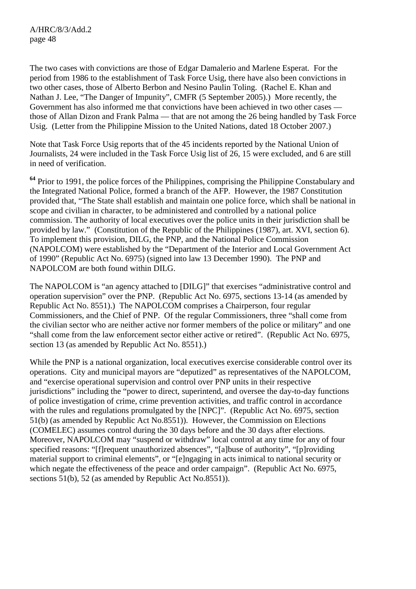The two cases with convictions are those of Edgar Damalerio and Marlene Esperat. For the period from 1986 to the establishment of Task Force Usig, there have also been convictions in two other cases, those of Alberto Berbon and Nesino Paulin Toling. (Rachel E. Khan and Nathan J. Lee, "The Danger of Impunity", CMFR (5 September 2005).) More recently, the Government has also informed me that convictions have been achieved in two other cases those of Allan Dizon and Frank Palma — that are not among the 26 being handled by Task Force Usig. (Letter from the Philippine Mission to the United Nations, dated 18 October 2007.)

Note that Task Force Usig reports that of the 45 incidents reported by the National Union of Journalists, 24 were included in the Task Force Usig list of 26, 15 were excluded, and 6 are still in need of verification.

**<sup>64</sup>** Prior to 1991, the police forces of the Philippines, comprising the Philippine Constabulary and the Integrated National Police, formed a branch of the AFP. However, the 1987 Constitution provided that, "The State shall establish and maintain one police force, which shall be national in scope and civilian in character, to be administered and controlled by a national police commission. The authority of local executives over the police units in their jurisdiction shall be provided by law." (Constitution of the Republic of the Philippines (1987), art. XVI, section 6). To implement this provision, DILG, the PNP, and the National Police Commission (NAPOLCOM) were established by the "Department of the Interior and Local Government Act of 1990" (Republic Act No. 6975) (signed into law 13 December 1990). The PNP and NAPOLCOM are both found within DILG.

The NAPOLCOM is "an agency attached to [DILG]" that exercises "administrative control and operation supervision" over the PNP. (Republic Act No. 6975, sections 13-14 (as amended by Republic Act No. 8551).) The NAPOLCOM comprises a Chairperson, four regular Commissioners, and the Chief of PNP. Of the regular Commissioners, three "shall come from the civilian sector who are neither active nor former members of the police or military" and one "shall come from the law enforcement sector either active or retired". (Republic Act No. 6975, section 13 (as amended by Republic Act No. 8551).)

While the PNP is a national organization, local executives exercise considerable control over its operations. City and municipal mayors are "deputized" as representatives of the NAPOLCOM, and "exercise operational supervision and control over PNP units in their respective jurisdictions" including the "power to direct, superintend, and oversee the day-to-day functions of police investigation of crime, crime prevention activities, and traffic control in accordance with the rules and regulations promulgated by the [NPC]". (Republic Act No. 6975, section 51(b) (as amended by Republic Act No.8551)). However, the Commission on Elections (COMELEC) assumes control during the 30 days before and the 30 days after elections. Moreover, NAPOLCOM may "suspend or withdraw" local control at any time for any of four specified reasons: "[f]requent unauthorized absences", "[a]buse of authority", "[p]roviding material support to criminal elements", or "[e]ngaging in acts inimical to national security or which negate the effectiveness of the peace and order campaign". (Republic Act No. 6975, sections 51(b), 52 (as amended by Republic Act No.8551)).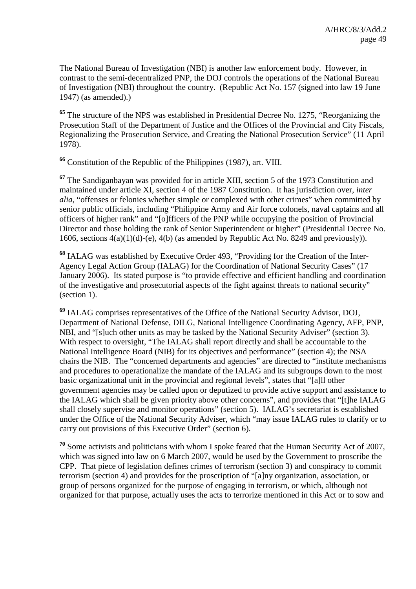The National Bureau of Investigation (NBI) is another law enforcement body. However, in contrast to the semi-decentralized PNP, the DOJ controls the operations of the National Bureau of Investigation (NBI) throughout the country. (Republic Act No. 157 (signed into law 19 June 1947) (as amended).)

**<sup>65</sup>** The structure of the NPS was established in Presidential Decree No. 1275, "Reorganizing the Prosecution Staff of the Department of Justice and the Offices of the Provincial and City Fiscals, Regionalizing the Prosecution Service, and Creating the National Prosecution Service" (11 April 1978).

**<sup>66</sup>** Constitution of the Republic of the Philippines (1987), art. VIII.

**<sup>67</sup>** The Sandiganbayan was provided for in article XIII, section 5 of the 1973 Constitution and maintained under article XI, section 4 of the 1987 Constitution. It has jurisdiction over, *inter alia*, "offenses or felonies whether simple or complexed with other crimes" when committed by senior public officials, including "Philippine Army and Air force colonels, naval captains and all officers of higher rank" and "[o]fficers of the PNP while occupying the position of Provincial Director and those holding the rank of Senior Superintendent or higher" (Presidential Decree No. 1606, sections  $4(a)(1)(d)$ -(e),  $4(b)$  (as amended by Republic Act No. 8249 and previously)).

**<sup>68</sup>** IALAG was established by Executive Order 493, "Providing for the Creation of the Inter-Agency Legal Action Group (IALAG) for the Coordination of National Security Cases" (17 January 2006). Its stated purpose is "to provide effective and efficient handling and coordination of the investigative and prosecutorial aspects of the fight against threats to national security" (section 1).

**<sup>69</sup>** IALAG comprises representatives of the Office of the National Security Advisor, DOJ, Department of National Defense, DILG, National Intelligence Coordinating Agency, AFP, PNP, NBI, and "[s]uch other units as may be tasked by the National Security Adviser" (section 3). With respect to oversight, "The IALAG shall report directly and shall be accountable to the National Intelligence Board (NIB) for its objectives and performance" (section 4); the NSA chairs the NIB. The "concerned departments and agencies" are directed to "institute mechanisms and procedures to operationalize the mandate of the IALAG and its subgroups down to the most basic organizational unit in the provincial and regional levels", states that "[a]ll other government agencies may be called upon or deputized to provide active support and assistance to the IALAG which shall be given priority above other concerns", and provides that "[t]he IALAG shall closely supervise and monitor operations" (section 5). IALAG's secretariat is established under the Office of the National Security Adviser, which "may issue IALAG rules to clarify or to carry out provisions of this Executive Order" (section 6).

**<sup>70</sup>** Some activists and politicians with whom I spoke feared that the Human Security Act of 2007, which was signed into law on 6 March 2007, would be used by the Government to proscribe the CPP. That piece of legislation defines crimes of terrorism (section 3) and conspiracy to commit terrorism (section 4) and provides for the proscription of "[a]ny organization, association, or group of persons organized for the purpose of engaging in terrorism, or which, although not organized for that purpose, actually uses the acts to terrorize mentioned in this Act or to sow and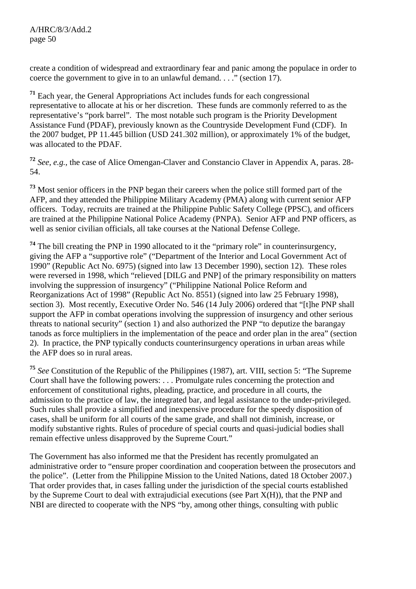create a condition of widespread and extraordinary fear and panic among the populace in order to coerce the government to give in to an unlawful demand. . . ." (section 17).

**<sup>71</sup>** Each year, the General Appropriations Act includes funds for each congressional representative to allocate at his or her discretion. These funds are commonly referred to as the representative's "pork barrel". The most notable such program is the Priority Development Assistance Fund (PDAF), previously known as the Countryside Development Fund (CDF). In the 2007 budget, PP 11.445 billion (USD 241.302 million), or approximately 1% of the budget, was allocated to the PDAF.

**<sup>72</sup>** *See*, *e.g.*, the case of Alice Omengan-Claver and Constancio Claver in Appendix A, paras. 28- 54.

**<sup>73</sup>** Most senior officers in the PNP began their careers when the police still formed part of the AFP, and they attended the Philippine Military Academy (PMA) along with current senior AFP officers. Today, recruits are trained at the Philippine Public Safety College (PPSC), and officers are trained at the Philippine National Police Academy (PNPA). Senior AFP and PNP officers, as well as senior civilian officials, all take courses at the National Defense College.

**<sup>74</sup>** The bill creating the PNP in 1990 allocated to it the "primary role" in counterinsurgency, giving the AFP a "supportive role" ("Department of the Interior and Local Government Act of 1990" (Republic Act No. 6975) (signed into law 13 December 1990), section 12). These roles were reversed in 1998, which "relieved [DILG and PNP] of the primary responsibility on matters involving the suppression of insurgency" ("Philippine National Police Reform and Reorganizations Act of 1998" (Republic Act No. 8551) (signed into law 25 February 1998), section 3). Most recently, Executive Order No. 546 (14 July 2006) ordered that "[t]he PNP shall support the AFP in combat operations involving the suppression of insurgency and other serious threats to national security" (section 1) and also authorized the PNP "to deputize the barangay tanods as force multipliers in the implementation of the peace and order plan in the area" (section 2). In practice, the PNP typically conducts counterinsurgency operations in urban areas while the AFP does so in rural areas.

**<sup>75</sup>** *See* Constitution of the Republic of the Philippines (1987), art. VIII, section 5: "The Supreme Court shall have the following powers: . . . Promulgate rules concerning the protection and enforcement of constitutional rights, pleading, practice, and procedure in all courts, the admission to the practice of law, the integrated bar, and legal assistance to the under-privileged. Such rules shall provide a simplified and inexpensive procedure for the speedy disposition of cases, shall be uniform for all courts of the same grade, and shall not diminish, increase, or modify substantive rights. Rules of procedure of special courts and quasi-judicial bodies shall remain effective unless disapproved by the Supreme Court."

The Government has also informed me that the President has recently promulgated an administrative order to "ensure proper coordination and cooperation between the prosecutors and the police". (Letter from the Philippine Mission to the United Nations, dated 18 October 2007.) That order provides that, in cases falling under the jurisdiction of the special courts established by the Supreme Court to deal with extrajudicial executions (see Part X(H)), that the PNP and NBI are directed to cooperate with the NPS "by, among other things, consulting with public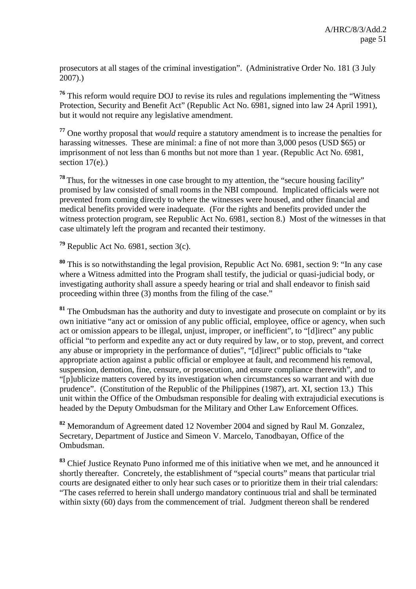prosecutors at all stages of the criminal investigation". (Administrative Order No. 181 (3 July 2007).)

**<sup>76</sup>** This reform would require DOJ to revise its rules and regulations implementing the "Witness Protection, Security and Benefit Act" (Republic Act No. 6981, signed into law 24 April 1991), but it would not require any legislative amendment.

**<sup>77</sup>** One worthy proposal that *would* require a statutory amendment is to increase the penalties for harassing witnesses. These are minimal: a fine of not more than 3,000 pesos (USD \$65) or imprisonment of not less than 6 months but not more than 1 year. (Republic Act No. 6981, section  $17(e)$ .)

<sup>78</sup>Thus, for the witnesses in one case brought to my attention, the "secure housing facility" promised by law consisted of small rooms in the NBI compound. Implicated officials were not prevented from coming directly to where the witnesses were housed, and other financial and medical benefits provided were inadequate. (For the rights and benefits provided under the witness protection program, see Republic Act No. 6981, section 8.) Most of the witnesses in that case ultimately left the program and recanted their testimony.

**<sup>79</sup>** Republic Act No. 6981, section 3(c).

**<sup>80</sup>** This is so notwithstanding the legal provision, Republic Act No. 6981, section 9: "In any case where a Witness admitted into the Program shall testify, the judicial or quasi-judicial body, or investigating authority shall assure a speedy hearing or trial and shall endeavor to finish said proceeding within three (3) months from the filing of the case."

**<sup>81</sup>** The Ombudsman has the authority and duty to investigate and prosecute on complaint or by its own initiative "any act or omission of any public official, employee, office or agency, when such act or omission appears to be illegal, unjust, improper, or inefficient", to "[d]irect" any public official "to perform and expedite any act or duty required by law, or to stop, prevent, and correct any abuse or impropriety in the performance of duties", "[d]irect" public officials to "take appropriate action against a public official or employee at fault, and recommend his removal, suspension, demotion, fine, censure, or prosecution, and ensure compliance therewith", and to "[p]ublicize matters covered by its investigation when circumstances so warrant and with due prudence". (Constitution of the Republic of the Philippines (1987), art. XI, section 13.) This unit within the Office of the Ombudsman responsible for dealing with extrajudicial executions is headed by the Deputy Ombudsman for the Military and Other Law Enforcement Offices.

**<sup>82</sup>** Memorandum of Agreement dated 12 November 2004 and signed by Raul M. Gonzalez, Secretary, Department of Justice and Simeon V. Marcelo, Tanodbayan, Office of the Ombudsman.

**<sup>83</sup>** Chief Justice Reynato Puno informed me of this initiative when we met, and he announced it shortly thereafter. Concretely, the establishment of "special courts" means that particular trial courts are designated either to only hear such cases or to prioritize them in their trial calendars: "The cases referred to herein shall undergo mandatory continuous trial and shall be terminated within sixty (60) days from the commencement of trial. Judgment thereon shall be rendered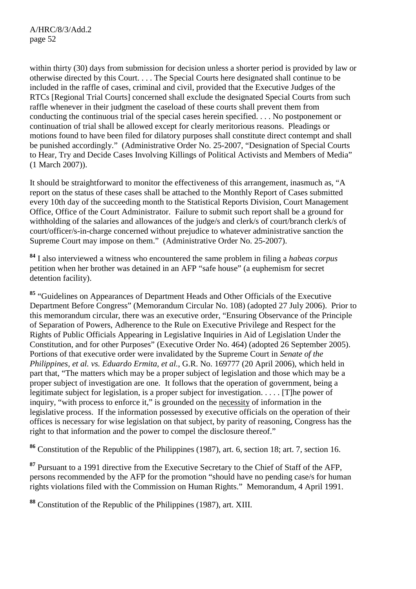within thirty (30) days from submission for decision unless a shorter period is provided by law or otherwise directed by this Court. . . . The Special Courts here designated shall continue to be included in the raffle of cases, criminal and civil, provided that the Executive Judges of the RTCs [Regional Trial Courts] concerned shall exclude the designated Special Courts from such raffle whenever in their judgment the caseload of these courts shall prevent them from conducting the continuous trial of the special cases herein specified. . . . No postponement or continuation of trial shall be allowed except for clearly meritorious reasons. Pleadings or motions found to have been filed for dilatory purposes shall constitute direct contempt and shall be punished accordingly." (Administrative Order No. 25-2007, "Designation of Special Courts to Hear, Try and Decide Cases Involving Killings of Political Activists and Members of Media" (1 March 2007)).

It should be straightforward to monitor the effectiveness of this arrangement, inasmuch as, "A report on the status of these cases shall be attached to the Monthly Report of Cases submitted every 10th day of the succeeding month to the Statistical Reports Division, Court Management Office, Office of the Court Administrator. Failure to submit such report shall be a ground for withholding of the salaries and allowances of the judge/s and clerk/s of court/branch clerk/s of court/officer/s-in-charge concerned without prejudice to whatever administrative sanction the Supreme Court may impose on them." (Administrative Order No. 25-2007).

**<sup>84</sup>** I also interviewed a witness who encountered the same problem in filing a *habeas corpus* petition when her brother was detained in an AFP "safe house" (a euphemism for secret detention facility).

**<sup>85</sup>** "Guidelines on Appearances of Department Heads and Other Officials of the Executive Department Before Congress" (Memorandum Circular No. 108) (adopted 27 July 2006). Prior to this memorandum circular, there was an executive order, "Ensuring Observance of the Principle of Separation of Powers, Adherence to the Rule on Executive Privilege and Respect for the Rights of Public Officials Appearing in Legislative Inquiries in Aid of Legislation Under the Constitution, and for other Purposes" (Executive Order No. 464) (adopted 26 September 2005). Portions of that executive order were invalidated by the Supreme Court in *Senate of the Philippines, et al. vs. Eduardo Ermita, et al.*, G.R. No. 169777 (20 April 2006), which held in part that, "The matters which may be a proper subject of legislation and those which may be a proper subject of investigation are one. It follows that the operation of government, being a legitimate subject for legislation, is a proper subject for investigation. . . . . [T]he power of inquiry, "with process to enforce it," is grounded on the necessity of information in the legislative process. If the information possessed by executive officials on the operation of their offices is necessary for wise legislation on that subject, by parity of reasoning, Congress has the right to that information and the power to compel the disclosure thereof."

**<sup>86</sup>** Constitution of the Republic of the Philippines (1987), art. 6, section 18; art. 7, section 16.

**<sup>87</sup>** Pursuant to a 1991 directive from the Executive Secretary to the Chief of Staff of the AFP, persons recommended by the AFP for the promotion "should have no pending case/s for human rights violations filed with the Commission on Human Rights." Memorandum, 4 April 1991.

**<sup>88</sup>** Constitution of the Republic of the Philippines (1987), art. XIII.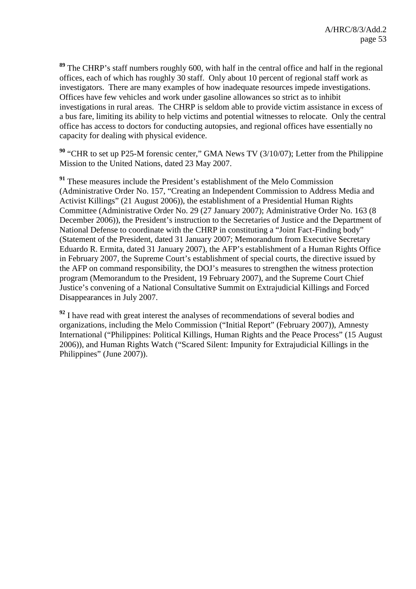**<sup>89</sup>** The CHRP's staff numbers roughly 600, with half in the central office and half in the regional offices, each of which has roughly 30 staff. Only about 10 percent of regional staff work as investigators. There are many examples of how inadequate resources impede investigations. Offices have few vehicles and work under gasoline allowances so strict as to inhibit investigations in rural areas. The CHRP is seldom able to provide victim assistance in excess of a bus fare, limiting its ability to help victims and potential witnesses to relocate. Only the central office has access to doctors for conducting autopsies, and regional offices have essentially no capacity for dealing with physical evidence.

**<sup>90</sup>** "CHR to set up P25-M forensic center," GMA News TV (3/10/07); Letter from the Philippine Mission to the United Nations, dated 23 May 2007.

**<sup>91</sup>** These measures include the President's establishment of the Melo Commission (Administrative Order No. 157, "Creating an Independent Commission to Address Media and Activist Killings" (21 August 2006)), the establishment of a Presidential Human Rights Committee (Administrative Order No. 29 (27 January 2007); Administrative Order No. 163 (8 December 2006)), the President's instruction to the Secretaries of Justice and the Department of National Defense to coordinate with the CHRP in constituting a "Joint Fact-Finding body" (Statement of the President, dated 31 January 2007; Memorandum from Executive Secretary Eduardo R. Ermita, dated 31 January 2007), the AFP's establishment of a Human Rights Office in February 2007, the Supreme Court's establishment of special courts, the directive issued by the AFP on command responsibility, the DOJ's measures to strengthen the witness protection program (Memorandum to the President, 19 February 2007), and the Supreme Court Chief Justice's convening of a National Consultative Summit on Extrajudicial Killings and Forced Disappearances in July 2007.

<sup>92</sup> I have read with great interest the analyses of recommendations of several bodies and organizations, including the Melo Commission ("Initial Report" (February 2007)), Amnesty International ("Philippines: Political Killings, Human Rights and the Peace Process" (15 August 2006)), and Human Rights Watch ("Scared Silent: Impunity for Extrajudicial Killings in the Philippines" (June 2007)).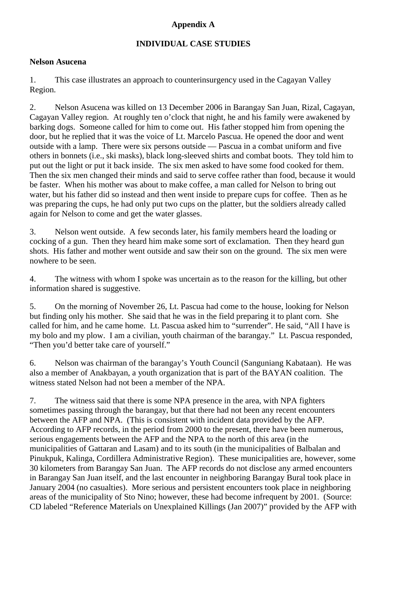## **Appendix A**

## **INDIVIDUAL CASE STUDIES**

#### **Nelson Asucena**

1. This case illustrates an approach to counterinsurgency used in the Cagayan Valley Region.

2. Nelson Asucena was killed on 13 December 2006 in Barangay San Juan, Rizal, Cagayan, Cagayan Valley region. At roughly ten o'clock that night, he and his family were awakened by barking dogs. Someone called for him to come out. His father stopped him from opening the door, but he replied that it was the voice of Lt. Marcelo Pascua. He opened the door and went outside with a lamp. There were six persons outside — Pascua in a combat uniform and five others in bonnets (i.e., ski masks), black long-sleeved shirts and combat boots. They told him to put out the light or put it back inside. The six men asked to have some food cooked for them. Then the six men changed their minds and said to serve coffee rather than food, because it would be faster. When his mother was about to make coffee, a man called for Nelson to bring out water, but his father did so instead and then went inside to prepare cups for coffee. Then as he was preparing the cups, he had only put two cups on the platter, but the soldiers already called again for Nelson to come and get the water glasses.

3. Nelson went outside. A few seconds later, his family members heard the loading or cocking of a gun. Then they heard him make some sort of exclamation. Then they heard gun shots. His father and mother went outside and saw their son on the ground. The six men were nowhere to be seen.

4. The witness with whom I spoke was uncertain as to the reason for the killing, but other information shared is suggestive.

5. On the morning of November 26, Lt. Pascua had come to the house, looking for Nelson but finding only his mother. She said that he was in the field preparing it to plant corn. She called for him, and he came home. Lt. Pascua asked him to "surrender". He said, "All I have is my bolo and my plow. I am a civilian, youth chairman of the barangay." Lt. Pascua responded, "Then you'd better take care of yourself."

6. Nelson was chairman of the barangay's Youth Council (Sanguniang Kabataan). He was also a member of Anakbayan, a youth organization that is part of the BAYAN coalition. The witness stated Nelson had not been a member of the NPA.

7. The witness said that there is some NPA presence in the area, with NPA fighters sometimes passing through the barangay, but that there had not been any recent encounters between the AFP and NPA. (This is consistent with incident data provided by the AFP. According to AFP records, in the period from 2000 to the present, there have been numerous, serious engagements between the AFP and the NPA to the north of this area (in the municipalities of Gattaran and Lasam) and to its south (in the municipalities of Balbalan and Pinukpuk, Kalinga, Cordillera Administrative Region). These municipalities are, however, some 30 kilometers from Barangay San Juan. The AFP records do not disclose any armed encounters in Barangay San Juan itself, and the last encounter in neighboring Barangay Bural took place in January 2004 (no casualties). More serious and persistent encounters took place in neighboring areas of the municipality of Sto Nino; however, these had become infrequent by 2001. (Source: CD labeled "Reference Materials on Unexplained Killings (Jan 2007)" provided by the AFP with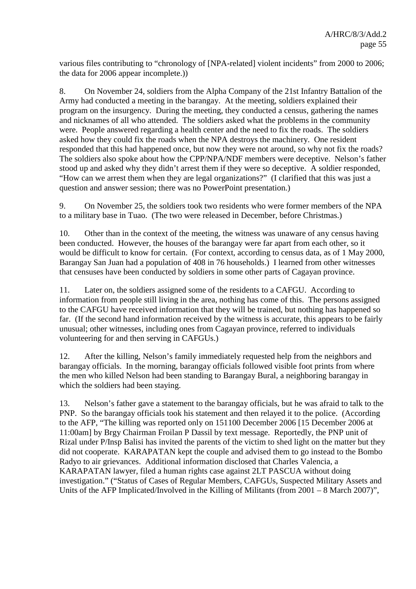various files contributing to "chronology of [NPA-related] violent incidents" from 2000 to 2006; the data for 2006 appear incomplete.))

8. On November 24, soldiers from the Alpha Company of the 21st Infantry Battalion of the Army had conducted a meeting in the barangay. At the meeting, soldiers explained their program on the insurgency. During the meeting, they conducted a census, gathering the names and nicknames of all who attended. The soldiers asked what the problems in the community were. People answered regarding a health center and the need to fix the roads. The soldiers asked how they could fix the roads when the NPA destroys the machinery. One resident responded that this had happened once, but now they were not around, so why not fix the roads? The soldiers also spoke about how the CPP/NPA/NDF members were deceptive. Nelson's father stood up and asked why they didn't arrest them if they were so deceptive. A soldier responded, "How can we arrest them when they are legal organizations?" (I clarified that this was just a question and answer session; there was no PowerPoint presentation.)

9. On November 25, the soldiers took two residents who were former members of the NPA to a military base in Tuao. (The two were released in December, before Christmas.)

10. Other than in the context of the meeting, the witness was unaware of any census having been conducted. However, the houses of the barangay were far apart from each other, so it would be difficult to know for certain. (For context, according to census data, as of 1 May 2000, Barangay San Juan had a population of 408 in 76 households.) I learned from other witnesses that censuses have been conducted by soldiers in some other parts of Cagayan province.

11. Later on, the soldiers assigned some of the residents to a CAFGU. According to information from people still living in the area, nothing has come of this. The persons assigned to the CAFGU have received information that they will be trained, but nothing has happened so far. (If the second hand information received by the witness is accurate, this appears to be fairly unusual; other witnesses, including ones from Cagayan province, referred to individuals volunteering for and then serving in CAFGUs.)

12. After the killing, Nelson's family immediately requested help from the neighbors and barangay officials. In the morning, barangay officials followed visible foot prints from where the men who killed Nelson had been standing to Barangay Bural, a neighboring barangay in which the soldiers had been staying.

13. Nelson's father gave a statement to the barangay officials, but he was afraid to talk to the PNP. So the barangay officials took his statement and then relayed it to the police. (According to the AFP, "The killing was reported only on 151100 December 2006 [15 December 2006 at 11:00am] by Brgy Chairman Froilan P Dassil by text message. Reportedly, the PNP unit of Rizal under P/Insp Balisi has invited the parents of the victim to shed light on the matter but they did not cooperate. KARAPATAN kept the couple and advised them to go instead to the Bombo Radyo to air grievances. Additional information disclosed that Charles Valencia, a KARAPATAN lawyer, filed a human rights case against 2LT PASCUA without doing investigation." ("Status of Cases of Regular Members, CAFGUs, Suspected Military Assets and Units of the AFP Implicated/Involved in the Killing of Militants (from 2001 – 8 March 2007)",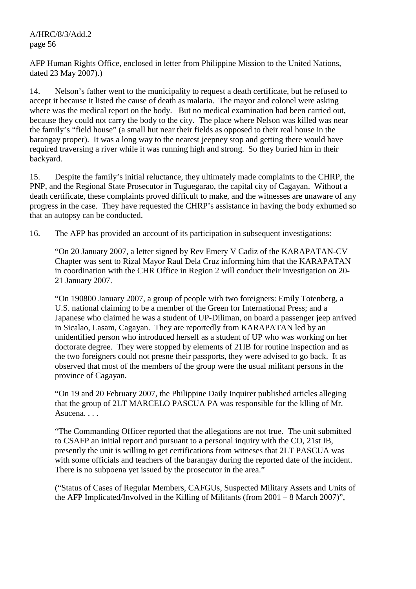## A/HRC/8/3/Add.2 page 56

AFP Human Rights Office, enclosed in letter from Philippine Mission to the United Nations, dated 23 May 2007).)

14. Nelson's father went to the municipality to request a death certificate, but he refused to accept it because it listed the cause of death as malaria. The mayor and colonel were asking where was the medical report on the body. But no medical examination had been carried out, because they could not carry the body to the city. The place where Nelson was killed was near the family's "field house" (a small hut near their fields as opposed to their real house in the barangay proper). It was a long way to the nearest jeepney stop and getting there would have required traversing a river while it was running high and strong. So they buried him in their backyard.

15. Despite the family's initial reluctance, they ultimately made complaints to the CHRP, the PNP, and the Regional State Prosecutor in Tuguegarao, the capital city of Cagayan. Without a death certificate, these complaints proved difficult to make, and the witnesses are unaware of any progress in the case. They have requested the CHRP's assistance in having the body exhumed so that an autopsy can be conducted.

16. The AFP has provided an account of its participation in subsequent investigations:

"On 20 January 2007, a letter signed by Rev Emery V Cadiz of the KARAPATAN-CV Chapter was sent to Rizal Mayor Raul Dela Cruz informing him that the KARAPATAN in coordination with the CHR Office in Region 2 will conduct their investigation on 20- 21 January 2007.

"On 190800 January 2007, a group of people with two foreigners: Emily Totenberg, a U.S. national claiming to be a member of the Green for International Press; and a Japanese who claimed he was a student of UP-Diliman, on board a passenger jeep arrived in Sicalao, Lasam, Cagayan. They are reportedly from KARAPATAN led by an unidentified person who introduced herself as a student of UP who was working on her doctorate degree. They were stopped by elements of 21IB for routine inspection and as the two foreigners could not presne their passports, they were advised to go back. It as observed that most of the members of the group were the usual militant persons in the province of Cagayan.

"On 19 and 20 February 2007, the Philippine Daily Inquirer published articles alleging that the group of 2LT MARCELO PASCUA PA was responsible for the klling of Mr. Asucena. . . .

"The Commanding Officer reported that the allegations are not true. The unit submitted to CSAFP an initial report and pursuant to a personal inquiry with the CO, 21st IB, presently the unit is willing to get certifications from witneses that 2LT PASCUA was with some officials and teachers of the barangay during the reported date of the incident. There is no subpoena yet issued by the prosecutor in the area."

("Status of Cases of Regular Members, CAFGUs, Suspected Military Assets and Units of the AFP Implicated/Involved in the Killing of Militants (from 2001 – 8 March 2007)",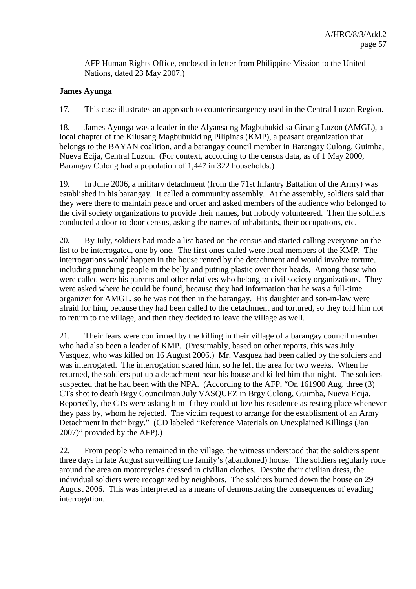AFP Human Rights Office, enclosed in letter from Philippine Mission to the United Nations, dated 23 May 2007.)

#### **James Ayunga**

17. This case illustrates an approach to counterinsurgency used in the Central Luzon Region.

18. James Ayunga was a leader in the Alyansa ng Magbubukid sa Ginang Luzon (AMGL), a local chapter of the Kilusang Magbubukid ng Pilipinas (KMP), a peasant organization that belongs to the BAYAN coalition, and a barangay council member in Barangay Culong, Guimba, Nueva Ecija, Central Luzon. (For context, according to the census data, as of 1 May 2000, Barangay Culong had a population of 1,447 in 322 households.)

19. In June 2006, a military detachment (from the 71st Infantry Battalion of the Army) was established in his barangay. It called a community assembly. At the assembly, soldiers said that they were there to maintain peace and order and asked members of the audience who belonged to the civil society organizations to provide their names, but nobody volunteered. Then the soldiers conducted a door-to-door census, asking the names of inhabitants, their occupations, etc.

20. By July, soldiers had made a list based on the census and started calling everyone on the list to be interrogated, one by one. The first ones called were local members of the KMP. The interrogations would happen in the house rented by the detachment and would involve torture, including punching people in the belly and putting plastic over their heads. Among those who were called were his parents and other relatives who belong to civil society organizations. They were asked where he could be found, because they had information that he was a full-time organizer for AMGL, so he was not then in the barangay. His daughter and son-in-law were afraid for him, because they had been called to the detachment and tortured, so they told him not to return to the village, and then they decided to leave the village as well.

21. Their fears were confirmed by the killing in their village of a barangay council member who had also been a leader of KMP. (Presumably, based on other reports, this was July Vasquez, who was killed on 16 August 2006.) Mr. Vasquez had been called by the soldiers and was interrogated. The interrogation scared him, so he left the area for two weeks. When he returned, the soldiers put up a detachment near his house and killed him that night. The soldiers suspected that he had been with the NPA. (According to the AFP, "On 161900 Aug, three (3) CTs shot to death Brgy Councilman July VASQUEZ in Brgy Culong, Guimba, Nueva Ecija. Reportedly, the CTs were asking him if they could utilize his residence as resting place whenever they pass by, whom he rejected. The victim request to arrange for the establisment of an Army Detachment in their brgy." (CD labeled "Reference Materials on Unexplained Killings (Jan 2007)" provided by the AFP).)

22. From people who remained in the village, the witness understood that the soldiers spent three days in late August surveilling the family's (abandoned) house. The soldiers regularly rode around the area on motorcycles dressed in civilian clothes. Despite their civilian dress, the individual soldiers were recognized by neighbors. The soldiers burned down the house on 29 August 2006. This was interpreted as a means of demonstrating the consequences of evading interrogation.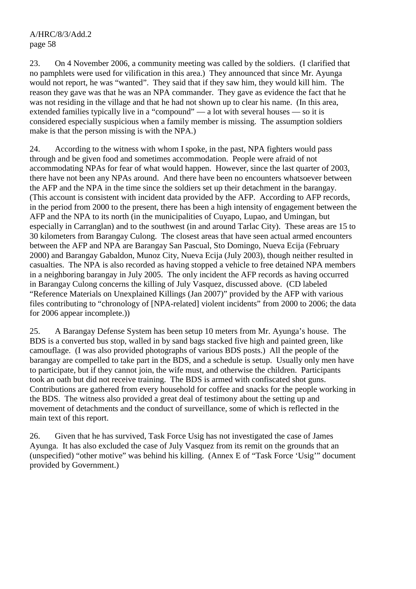A/HRC/8/3/Add.2 page 58

23. On 4 November 2006, a community meeting was called by the soldiers. (I clarified that no pamphlets were used for vilification in this area.) They announced that since Mr. Ayunga would not report, he was "wanted". They said that if they saw him, they would kill him. The reason they gave was that he was an NPA commander. They gave as evidence the fact that he was not residing in the village and that he had not shown up to clear his name. (In this area, extended families typically live in a "compound" — a lot with several houses — so it is considered especially suspicious when a family member is missing. The assumption soldiers make is that the person missing is with the NPA.)

24. According to the witness with whom I spoke, in the past, NPA fighters would pass through and be given food and sometimes accommodation. People were afraid of not accommodating NPAs for fear of what would happen. However, since the last quarter of 2003, there have not been any NPAs around. And there have been no encounters whatsoever between the AFP and the NPA in the time since the soldiers set up their detachment in the barangay. (This account is consistent with incident data provided by the AFP. According to AFP records, in the period from 2000 to the present, there has been a high intensity of engagement between the AFP and the NPA to its north (in the municipalities of Cuyapo, Lupao, and Umingan, but especially in Carranglan) and to the southwest (in and around Tarlac City). These areas are 15 to 30 kilometers from Barangay Culong. The closest areas that have seen actual armed encounters between the AFP and NPA are Barangay San Pascual, Sto Domingo, Nueva Ecija (February 2000) and Barangay Gabaldon, Munoz City, Nueva Ecija (July 2003), though neither resulted in casualties. The NPA is also recorded as having stopped a vehicle to free detained NPA members in a neighboring barangay in July 2005. The only incident the AFP records as having occurred in Barangay Culong concerns the killing of July Vasquez, discussed above. (CD labeled "Reference Materials on Unexplained Killings (Jan 2007)" provided by the AFP with various files contributing to "chronology of [NPA-related] violent incidents" from 2000 to 2006; the data for 2006 appear incomplete.))

25. A Barangay Defense System has been setup 10 meters from Mr. Ayunga's house. The BDS is a converted bus stop, walled in by sand bags stacked five high and painted green, like camouflage. (I was also provided photographs of various BDS posts.) All the people of the barangay are compelled to take part in the BDS, and a schedule is setup. Usually only men have to participate, but if they cannot join, the wife must, and otherwise the children. Participants took an oath but did not receive training. The BDS is armed with confiscated shot guns. Contributions are gathered from every household for coffee and snacks for the people working in the BDS. The witness also provided a great deal of testimony about the setting up and movement of detachments and the conduct of surveillance, some of which is reflected in the main text of this report.

26. Given that he has survived, Task Force Usig has not investigated the case of James Ayunga. It has also excluded the case of July Vasquez from its remit on the grounds that an (unspecified) "other motive" was behind his killing. (Annex E of "Task Force 'Usig'" document provided by Government.)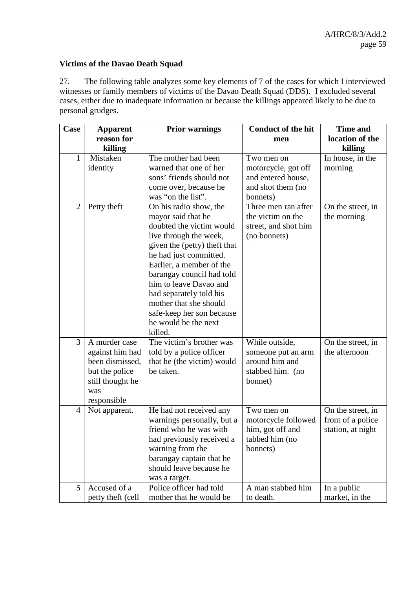## **Victims of the Davao Death Squad**

27. The following table analyzes some key elements of 7 of the cases for which I interviewed witnesses or family members of victims of the Davao Death Squad (DDS). I excluded several cases, either due to inadequate information or because the killings appeared likely to be due to personal grudges.

| Case           | <b>Apparent</b>   | <b>Prior warnings</b>        | <b>Conduct of the hit</b> |                   |
|----------------|-------------------|------------------------------|---------------------------|-------------------|
|                | reason for        |                              | men                       | location of the   |
|                | killing           |                              |                           | killing           |
| 1              | Mistaken          | The mother had been          | Two men on                | In house, in the  |
|                | identity          | warned that one of her       | motorcycle, got off       | morning           |
|                |                   | sons' friends should not     | and entered house,        |                   |
|                |                   | come over, because he        | and shot them (no         |                   |
|                |                   | was "on the list".           | bonnets)                  |                   |
| $\overline{2}$ | Petty theft       | On his radio show, the       | Three men ran after       | On the street, in |
|                |                   | mayor said that he           | the victim on the         | the morning       |
|                |                   | doubted the victim would     | street, and shot him      |                   |
|                |                   | live through the week,       | (no bonnets)              |                   |
|                |                   | given the (petty) theft that |                           |                   |
|                |                   | he had just committed.       |                           |                   |
|                |                   | Earlier, a member of the     |                           |                   |
|                |                   | barangay council had told    |                           |                   |
|                |                   | him to leave Davao and       |                           |                   |
|                |                   | had separately told his      |                           |                   |
|                |                   | mother that she should       |                           |                   |
|                |                   | safe-keep her son because    |                           |                   |
|                |                   | he would be the next         |                           |                   |
|                |                   | killed.                      |                           |                   |
| 3              | A murder case     | The victim's brother was     | While outside,            | On the street, in |
|                | against him had   | told by a police officer     | someone put an arm        | the afternoon     |
|                | been dismissed,   | that he (the victim) would   | around him and            |                   |
|                | but the police    | be taken.                    | stabbed him. (no          |                   |
|                | still thought he  |                              | bonnet)                   |                   |
|                | was               |                              |                           |                   |
|                | responsible       |                              |                           |                   |
| 4              | Not apparent.     | He had not received any      | Two men on                | On the street, in |
|                |                   | warnings personally, but a   | motorcycle followed       | front of a police |
|                |                   | friend who he was with       | him, got off and          | station, at night |
|                |                   | had previously received a    | tabbed him (no            |                   |
|                |                   | warning from the             | bonnets)                  |                   |
|                |                   | barangay captain that he     |                           |                   |
|                |                   | should leave because he      |                           |                   |
|                |                   | was a target.                |                           |                   |
| 5              | Accused of a      | Police officer had told      | A man stabbed him         | In a public       |
|                | petty theft (cell | mother that he would be      | to death.                 | market, in the    |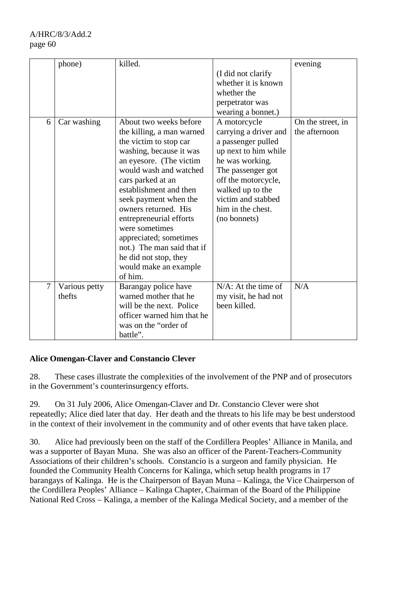A/HRC/8/3/Add.2 page 60

|   | phone)        | killed.                    |                        | evening           |
|---|---------------|----------------------------|------------------------|-------------------|
|   |               |                            | (I did not clarify     |                   |
|   |               |                            | whether it is known    |                   |
|   |               |                            | whether the            |                   |
|   |               |                            | perpetrator was        |                   |
|   |               |                            | wearing a bonnet.)     |                   |
| 6 | Car washing   | About two weeks before     | A motorcycle           | On the street, in |
|   |               | the killing, a man warned  | carrying a driver and  | the afternoon     |
|   |               | the victim to stop car     | a passenger pulled     |                   |
|   |               | washing, because it was    | up next to him while   |                   |
|   |               | an eyesore. (The victim    | he was working.        |                   |
|   |               | would wash and watched     | The passenger got      |                   |
|   |               | cars parked at an          | off the motorcycle,    |                   |
|   |               | establishment and then     | walked up to the       |                   |
|   |               | seek payment when the      | victim and stabbed     |                   |
|   |               | owners returned. His       | him in the chest.      |                   |
|   |               | entrepreneurial efforts    | (no bonnets)           |                   |
|   |               | were sometimes             |                        |                   |
|   |               | appreciated; sometimes     |                        |                   |
|   |               | not.) The man said that if |                        |                   |
|   |               | he did not stop, they      |                        |                   |
|   |               | would make an example      |                        |                   |
|   |               | of him.                    |                        |                   |
| 7 | Various petty | Barangay police have       | $N/A$ : At the time of | N/A               |
|   | thefts        | warned mother that he      | my visit, he had not   |                   |
|   |               | will be the next. Police   | been killed.           |                   |
|   |               | officer warned him that he |                        |                   |
|   |               | was on the "order of       |                        |                   |
|   |               | battle".                   |                        |                   |

## **Alice Omengan-Claver and Constancio Clever**

28. These cases illustrate the complexities of the involvement of the PNP and of prosecutors in the Government's counterinsurgency efforts.

29. On 31 July 2006, Alice Omengan-Claver and Dr. Constancio Clever were shot repeatedly; Alice died later that day. Her death and the threats to his life may be best understood in the context of their involvement in the community and of other events that have taken place.

30. Alice had previously been on the staff of the Cordillera Peoples' Alliance in Manila, and was a supporter of Bayan Muna. She was also an officer of the Parent-Teachers-Community Associations of their children's schools. Constancio is a surgeon and family physician. He founded the Community Health Concerns for Kalinga, which setup health programs in 17 barangays of Kalinga. He is the Chairperson of Bayan Muna – Kalinga, the Vice Chairperson of the Cordillera Peoples' Alliance – Kalinga Chapter, Chairman of the Board of the Philippine National Red Cross – Kalinga, a member of the Kalinga Medical Society, and a member of the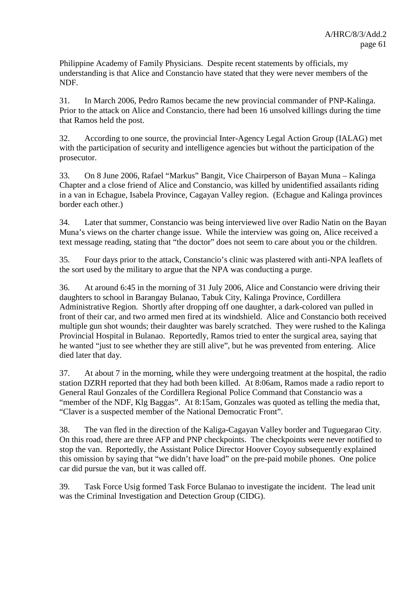Philippine Academy of Family Physicians. Despite recent statements by officials, my understanding is that Alice and Constancio have stated that they were never members of the NDF.

31. In March 2006, Pedro Ramos became the new provincial commander of PNP-Kalinga. Prior to the attack on Alice and Constancio, there had been 16 unsolved killings during the time that Ramos held the post.

32. According to one source, the provincial Inter-Agency Legal Action Group (IALAG) met with the participation of security and intelligence agencies but without the participation of the prosecutor.

33. On 8 June 2006, Rafael "Markus" Bangit, Vice Chairperson of Bayan Muna – Kalinga Chapter and a close friend of Alice and Constancio, was killed by unidentified assailants riding in a van in Echague, Isabela Province, Cagayan Valley region. (Echague and Kalinga provinces border each other.)

34. Later that summer, Constancio was being interviewed live over Radio Natin on the Bayan Muna's views on the charter change issue. While the interview was going on, Alice received a text message reading, stating that "the doctor" does not seem to care about you or the children.

35. Four days prior to the attack, Constancio's clinic was plastered with anti-NPA leaflets of the sort used by the military to argue that the NPA was conducting a purge.

36. At around 6:45 in the morning of 31 July 2006, Alice and Constancio were driving their daughters to school in Barangay Bulanao, Tabuk City, Kalinga Province, Cordillera Administrative Region. Shortly after dropping off one daughter, a dark-colored van pulled in front of their car, and two armed men fired at its windshield. Alice and Constancio both received multiple gun shot wounds; their daughter was barely scratched. They were rushed to the Kalinga Provincial Hospital in Bulanao. Reportedly, Ramos tried to enter the surgical area, saying that he wanted "just to see whether they are still alive", but he was prevented from entering. Alice died later that day.

37. At about 7 in the morning, while they were undergoing treatment at the hospital, the radio station DZRH reported that they had both been killed. At 8:06am, Ramos made a radio report to General Raul Gonzales of the Cordillera Regional Police Command that Constancio was a "member of the NDF, Klg Baggas". At 8:15am, Gonzales was quoted as telling the media that, "Claver is a suspected member of the National Democratic Front".

38. The van fled in the direction of the Kaliga-Cagayan Valley border and Tuguegarao City. On this road, there are three AFP and PNP checkpoints. The checkpoints were never notified to stop the van. Reportedly, the Assistant Police Director Hoover Coyoy subsequently explained this omission by saying that "we didn't have load" on the pre-paid mobile phones. One police car did pursue the van, but it was called off.

39. Task Force Usig formed Task Force Bulanao to investigate the incident. The lead unit was the Criminal Investigation and Detection Group (CIDG).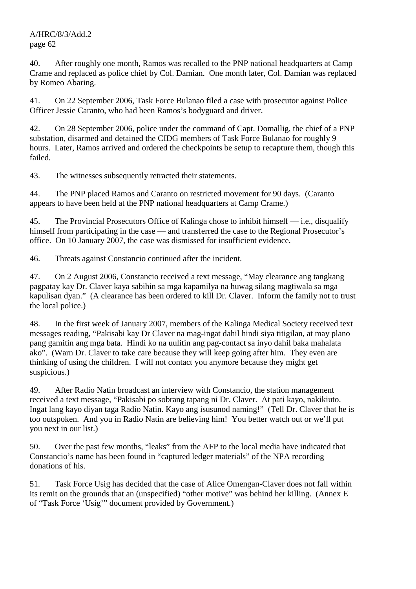## A/HRC/8/3/Add.2 page 62

40. After roughly one month, Ramos was recalled to the PNP national headquarters at Camp Crame and replaced as police chief by Col. Damian. One month later, Col. Damian was replaced by Romeo Abaring.

41. On 22 September 2006, Task Force Bulanao filed a case with prosecutor against Police Officer Jessie Caranto, who had been Ramos's bodyguard and driver.

42. On 28 September 2006, police under the command of Capt. Domallig, the chief of a PNP substation, disarmed and detained the CIDG members of Task Force Bulanao for roughly 9 hours. Later, Ramos arrived and ordered the checkpoints be setup to recapture them, though this failed.

43. The witnesses subsequently retracted their statements.

44. The PNP placed Ramos and Caranto on restricted movement for 90 days. (Caranto appears to have been held at the PNP national headquarters at Camp Crame.)

45. The Provincial Prosecutors Office of Kalinga chose to inhibit himself — i.e., disqualify himself from participating in the case — and transferred the case to the Regional Prosecutor's office. On 10 January 2007, the case was dismissed for insufficient evidence.

46. Threats against Constancio continued after the incident.

47. On 2 August 2006, Constancio received a text message, "May clearance ang tangkang pagpatay kay Dr. Claver kaya sabihin sa mga kapamilya na huwag silang magtiwala sa mga kapulisan dyan." (A clearance has been ordered to kill Dr. Claver. Inform the family not to trust the local police.)

48. In the first week of January 2007, members of the Kalinga Medical Society received text messages reading, "Pakisabi kay Dr Claver na mag-ingat dahil hindi siya titigilan, at may plano pang gamitin ang mga bata. Hindi ko na uulitin ang pag-contact sa inyo dahil baka mahalata ako". (Warn Dr. Claver to take care because they will keep going after him. They even are thinking of using the children. I will not contact you anymore because they might get suspicious.)

49. After Radio Natin broadcast an interview with Constancio, the station management received a text message, "Pakisabi po sobrang tapang ni Dr. Claver. At pati kayo, nakikiuto. Ingat lang kayo diyan taga Radio Natin. Kayo ang isusunod naming!" (Tell Dr. Claver that he is too outspoken. And you in Radio Natin are believing him! You better watch out or we'll put you next in our list.)

50. Over the past few months, "leaks" from the AFP to the local media have indicated that Constancio's name has been found in "captured ledger materials" of the NPA recording donations of his.

51. Task Force Usig has decided that the case of Alice Omengan-Claver does not fall within its remit on the grounds that an (unspecified) "other motive" was behind her killing. (Annex E of "Task Force 'Usig'" document provided by Government.)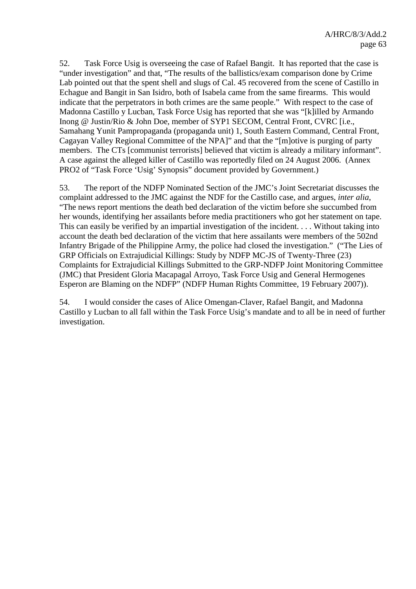52. Task Force Usig is overseeing the case of Rafael Bangit. It has reported that the case is "under investigation" and that, "The results of the ballistics/exam comparison done by Crime Lab pointed out that the spent shell and slugs of Cal. 45 recovered from the scene of Castillo in Echague and Bangit in San Isidro, both of Isabela came from the same firearms. This would indicate that the perpetrators in both crimes are the same people." With respect to the case of Madonna Castillo y Lucban, Task Force Usig has reported that she was "[k]illed by Armando Inong @ Justin/Rio & John Doe, member of SYP1 SECOM, Central Front, CVRC [i.e., Samahang Yunit Pampropaganda (propaganda unit) 1, South Eastern Command, Central Front, Cagayan Valley Regional Committee of the NPA]" and that the "[m]otive is purging of party members. The CTs [communist terrorists] believed that victim is already a military informant". A case against the alleged killer of Castillo was reportedly filed on 24 August 2006. (Annex PRO2 of "Task Force 'Usig' Synopsis" document provided by Government.)

53. The report of the NDFP Nominated Section of the JMC's Joint Secretariat discusses the complaint addressed to the JMC against the NDF for the Castillo case, and argues, *inter alia*, "The news report mentions the death bed declaration of the victim before she succumbed from her wounds, identifying her assailants before media practitioners who got her statement on tape. This can easily be verified by an impartial investigation of the incident. . . . Without taking into account the death bed declaration of the victim that here assailants were members of the 502nd Infantry Brigade of the Philippine Army, the police had closed the investigation." ("The Lies of GRP Officials on Extrajudicial Killings: Study by NDFP MC-JS of Twenty-Three (23) Complaints for Extrajudicial Killings Submitted to the GRP-NDFP Joint Monitoring Committee (JMC) that President Gloria Macapagal Arroyo, Task Force Usig and General Hermogenes Esperon are Blaming on the NDFP" (NDFP Human Rights Committee, 19 February 2007)).

54. I would consider the cases of Alice Omengan-Claver, Rafael Bangit, and Madonna Castillo y Lucban to all fall within the Task Force Usig's mandate and to all be in need of further investigation.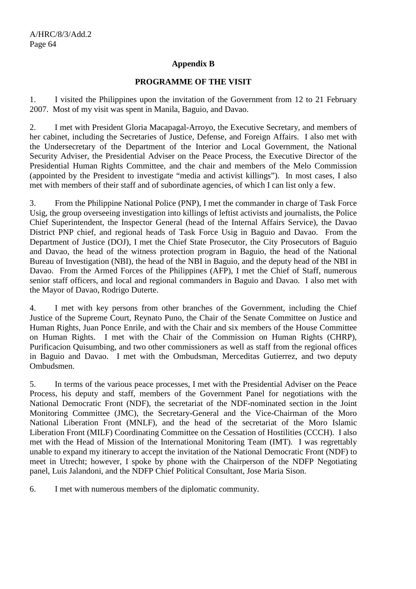#### **Appendix B**

#### **PROGRAMME OF THE VISIT**

1. I visited the Philippines upon the invitation of the Government from 12 to 21 February 2007. Most of my visit was spent in Manila, Baguio, and Davao.

2. I met with President Gloria Macapagal-Arroyo, the Executive Secretary, and members of her cabinet, including the Secretaries of Justice, Defense, and Foreign Affairs. I also met with the Undersecretary of the Department of the Interior and Local Government, the National Security Adviser, the Presidential Adviser on the Peace Process, the Executive Director of the Presidential Human Rights Committee, and the chair and members of the Melo Commission (appointed by the President to investigate "media and activist killings"). In most cases, I also met with members of their staff and of subordinate agencies, of which I can list only a few.

3. From the Philippine National Police (PNP), I met the commander in charge of Task Force Usig, the group overseeing investigation into killings of leftist activists and journalists, the Police Chief Superintendent, the Inspector General (head of the Internal Affairs Service), the Davao District PNP chief, and regional heads of Task Force Usig in Baguio and Davao. From the Department of Justice (DOJ), I met the Chief State Prosecutor, the City Prosecutors of Baguio and Davao, the head of the witness protection program in Baguio, the head of the National Bureau of Investigation (NBI), the head of the NBI in Baguio, and the deputy head of the NBI in Davao. From the Armed Forces of the Philippines (AFP), I met the Chief of Staff, numerous senior staff officers, and local and regional commanders in Baguio and Davao. I also met with the Mayor of Davao, Rodrigo Duterte.

4. I met with key persons from other branches of the Government, including the Chief Justice of the Supreme Court, Reynato Puno, the Chair of the Senate Committee on Justice and Human Rights, Juan Ponce Enrile, and with the Chair and six members of the House Committee on Human Rights. I met with the Chair of the Commission on Human Rights (CHRP), Purificacion Quisumbing, and two other commissioners as well as staff from the regional offices in Baguio and Davao. I met with the Ombudsman, Merceditas Gutierrez, and two deputy Ombudsmen.

5. In terms of the various peace processes, I met with the Presidential Adviser on the Peace Process, his deputy and staff, members of the Government Panel for negotiations with the National Democratic Front (NDF), the secretariat of the NDF-nominated section in the Joint Monitoring Committee (JMC), the Secretary-General and the Vice-Chairman of the Moro National Liberation Front (MNLF), and the head of the secretariat of the Moro Islamic Liberation Front (MILF) Coordinating Committee on the Cessation of Hostilities (CCCH). I also met with the Head of Mission of the International Monitoring Team (IMT). I was regrettably unable to expand my itinerary to accept the invitation of the National Democratic Front (NDF) to meet in Utrecht; however, I spoke by phone with the Chairperson of the NDFP Negotiating panel, Luis Jalandoni, and the NDFP Chief Political Consultant, Jose Maria Sison.

6. I met with numerous members of the diplomatic community.